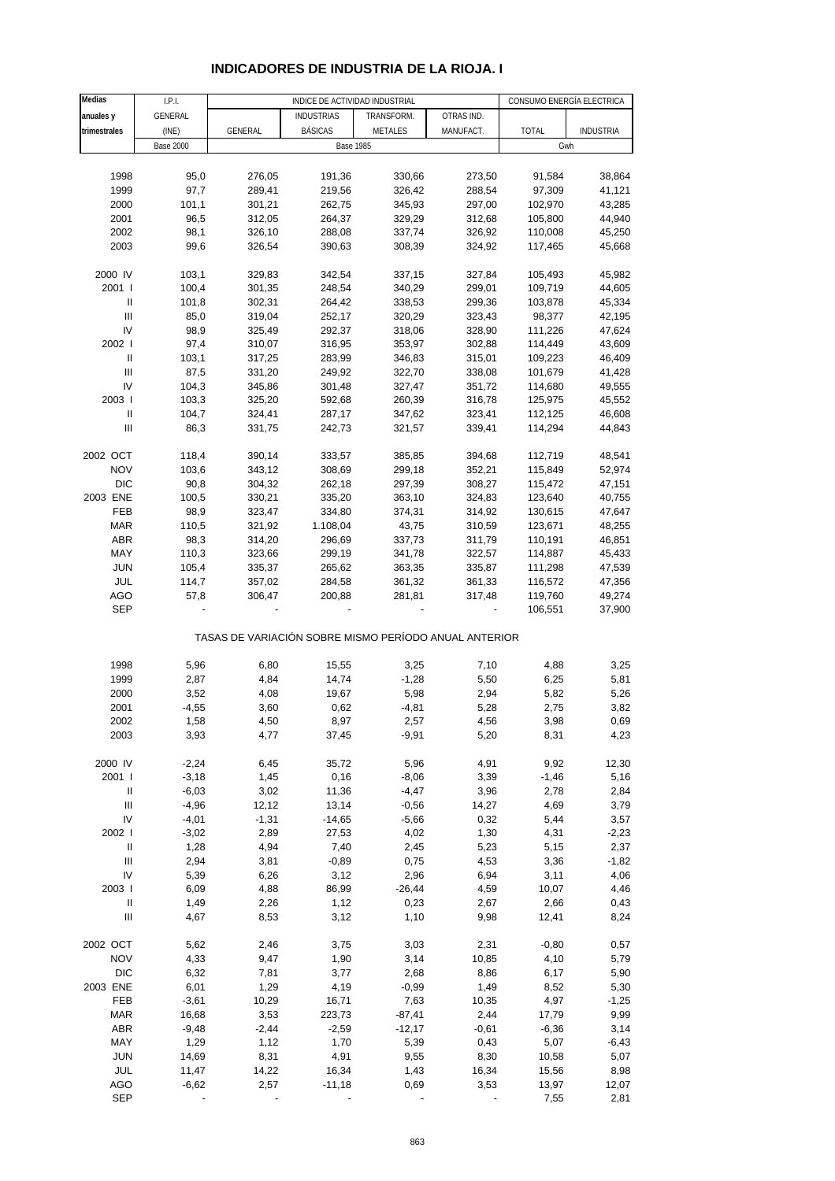# **INDICADORES DE INDUSTRIA DE LA RIOJA. I**

| Medias                                | I.P.I.           |         | INDICE DE ACTIVIDAD INDUSTRIAL                        |            |            | CONSUMO ENERGÍA ELECTRICA |                  |  |
|---------------------------------------|------------------|---------|-------------------------------------------------------|------------|------------|---------------------------|------------------|--|
| anuales y                             | GENERAL          |         | <b>INDUSTRIAS</b>                                     | TRANSFORM. | OTRAS IND. |                           |                  |  |
| trimestrales                          | (INE)            | GENERAL | <b>BÁSICAS</b>                                        | METALES    | MANUFACT.  | <b>TOTAL</b>              | <b>INDUSTRIA</b> |  |
|                                       | <b>Base 2000</b> |         | <b>Base 1985</b>                                      |            |            | Gwh                       |                  |  |
|                                       |                  |         |                                                       |            |            |                           |                  |  |
| 1998                                  | 95,0             | 276,05  | 191,36                                                | 330,66     | 273,50     | 91,584                    | 38,864           |  |
| 1999                                  | 97,7             | 289,41  | 219,56                                                | 326,42     | 288,54     | 97,309                    | 41,121           |  |
|                                       |                  |         |                                                       |            |            |                           |                  |  |
| 2000                                  | 101,1            | 301,21  | 262,75                                                | 345,93     | 297,00     | 102,970                   | 43,285           |  |
| 2001                                  | 96,5             | 312,05  | 264,37                                                | 329,29     | 312,68     | 105,800                   | 44,940           |  |
| 2002                                  | 98,1             | 326,10  | 288,08                                                | 337,74     | 326,92     | 110,008                   | 45,250           |  |
| 2003                                  | 99,6             | 326,54  | 390,63                                                | 308,39     | 324,92     | 117,465                   | 45,668           |  |
|                                       |                  |         |                                                       |            |            |                           |                  |  |
| 2000 IV                               | 103,1            | 329,83  | 342,54                                                | 337,15     | 327,84     | 105,493                   | 45,982           |  |
| 2001 l                                | 100,4            | 301,35  | 248,54                                                | 340,29     | 299,01     | 109,719                   | 44,605           |  |
| $\sf II$                              | 101,8            | 302,31  | 264,42                                                | 338,53     | 299,36     | 103,878                   | 45,334           |  |
| $\ensuremath{\mathsf{III}}\xspace$    | 85,0             | 319,04  | 252,17                                                | 320,29     | 323,43     | 98,377                    | 42,195           |  |
| IV                                    | 98,9             | 325,49  | 292,37                                                | 318,06     | 328,90     | 111,226                   | 47,624           |  |
| 2002                                  | 97,4             | 310,07  | 316,95                                                | 353,97     | 302,88     | 114,449                   | 43,609           |  |
| Ш                                     | 103,1            | 317,25  | 283,99                                                | 346,83     | 315,01     | 109,223                   | 46,409           |  |
| Ш                                     | 87,5             | 331,20  | 249,92                                                | 322,70     | 338,08     | 101,679                   | 41,428           |  |
| IV                                    | 104,3            | 345,86  | 301,48                                                | 327,47     | 351,72     | 114,680                   | 49,555           |  |
| 2003                                  | 103,3            | 325,20  | 592,68                                                | 260,39     | 316,78     | 125,975                   | 45,552           |  |
|                                       |                  |         |                                                       |            |            |                           |                  |  |
| Ш                                     | 104,7            | 324,41  | 287,17                                                | 347,62     | 323,41     | 112,125                   | 46,608           |  |
| III                                   | 86,3             | 331,75  | 242,73                                                | 321,57     | 339,41     | 114,294                   | 44,843           |  |
|                                       |                  |         |                                                       |            |            |                           |                  |  |
| 2002 OCT                              | 118,4            | 390,14  | 333,57                                                | 385,85     | 394,68     | 112,719                   | 48,541           |  |
| <b>NOV</b>                            | 103,6            | 343,12  | 308,69                                                | 299,18     | 352,21     | 115,849                   | 52,974           |  |
| <b>DIC</b>                            | 90,8             | 304,32  | 262,18                                                | 297,39     | 308,27     | 115,472                   | 47,151           |  |
| 2003 ENE                              | 100,5            | 330,21  | 335,20                                                | 363,10     | 324,83     | 123,640                   | 40,755           |  |
| FEB                                   | 98,9             | 323,47  | 334,80                                                | 374,31     | 314,92     | 130,615                   | 47,647           |  |
| <b>MAR</b>                            | 110,5            | 321,92  | 1.108,04                                              | 43,75      | 310,59     | 123,671                   | 48,255           |  |
| <b>ABR</b>                            | 98,3             | 314,20  | 296,69                                                | 337,73     | 311,79     | 110,191                   | 46,851           |  |
| MAY                                   | 110,3            | 323,66  | 299,19                                                | 341,78     | 322,57     | 114,887                   | 45,433           |  |
| <b>JUN</b>                            | 105,4            | 335,37  | 265,62                                                | 363,35     | 335,87     | 111,298                   | 47,539           |  |
| JUL                                   | 114,7            | 357,02  | 284,58                                                | 361,32     | 361,33     | 116,572                   | 47,356           |  |
| AGO                                   | 57,8             | 306,47  | 200,88                                                | 281,81     | 317,48     | 119,760                   | 49,274           |  |
| <b>SEP</b>                            |                  |         |                                                       |            |            | 106,551                   | 37,900           |  |
|                                       |                  |         | TASAS DE VARIACIÓN SOBRE MISMO PERÍODO ANUAL ANTERIOR |            |            |                           |                  |  |
| 1998                                  | 5,96             | 6,80    | 15,55                                                 | 3,25       | 7,10       | 4,88                      | 3,25             |  |
| 1999                                  | 2,87             | 4,84    | 14,74                                                 | $-1,28$    | 5,50       | 6,25                      | 5,81             |  |
| 2000                                  | 3,52             | 4,08    | 19,67                                                 | 5,98       | 2,94       | 5,82                      | 5,26             |  |
| 2001                                  | $-4,55$          | 3,60    | 0,62                                                  | $-4,81$    | 5,28       | 2,75                      | 3,82             |  |
| 2002                                  | 1,58             | 4,50    | 8,97                                                  | 2,57       | 4,56       | 3,98                      | 0,69             |  |
| 2003                                  | 3,93             | 4,77    | 37,45                                                 | $-9,91$    | 5,20       | 8,31                      | 4,23             |  |
|                                       |                  |         |                                                       |            |            |                           |                  |  |
| 2000 IV                               | $-2,24$          | 6,45    | 35,72                                                 | 5,96       | 4,91       | 9,92                      | 12,30            |  |
| 2001 l                                | $-3,18$          | 1,45    | 0,16                                                  | $-8,06$    | 3,39       | $-1,46$                   | 5,16             |  |
|                                       |                  |         |                                                       |            |            |                           |                  |  |
| Ш<br>$\mathop{\mathrm{III}}\nolimits$ | $-6,03$          | 3,02    | 11,36                                                 | $-4,47$    | 3,96       | 2,78                      | 2,84             |  |
|                                       | $-4,96$          | 12,12   | 13,14                                                 | $-0,56$    | 14,27      | 4,69                      | 3,79             |  |
| IV                                    | $-4,01$          | $-1,31$ | $-14,65$                                              | $-5,66$    | 0,32       | 5,44                      | 3,57             |  |
| 2002                                  | $-3,02$          | 2,89    | 27,53                                                 | 4,02       | 1,30       | 4,31                      | $-2,23$          |  |
| Ш                                     | 1,28             | 4,94    | 7,40                                                  | 2,45       | 5,23       | 5,15                      | 2,37             |  |
| Ш                                     | 2,94             | 3,81    | $-0,89$                                               | 0,75       | 4,53       | 3,36                      | $-1,82$          |  |
| IV                                    | 5,39             | 6,26    | 3,12                                                  | 2,96       | 6,94       | 3,11                      | 4,06             |  |
| 2003                                  | 6,09             | 4,88    | 86,99                                                 | $-26,44$   | 4,59       | 10,07                     | 4,46             |  |
| Ш                                     | 1,49             | 2,26    | 1,12                                                  | 0,23       | 2,67       | 2,66                      | 0,43             |  |
| III                                   | 4,67             | 8,53    | 3,12                                                  | 1,10       | 9,98       | 12,41                     | 8,24             |  |
|                                       |                  |         |                                                       |            |            |                           |                  |  |
| 2002 OCT                              | 5,62             | 2,46    | 3,75                                                  | 3,03       | 2,31       | $-0,80$                   | 0,57             |  |
| <b>NOV</b>                            | 4,33             | 9,47    | 1,90                                                  | 3,14       | 10,85      | 4,10                      | 5,79             |  |
| <b>DIC</b>                            | 6,32             | 7,81    | 3,77                                                  | 2,68       | 8,86       | 6,17                      | 5,90             |  |
| 2003 ENE                              | 6,01             | 1,29    | 4,19                                                  | $-0,99$    | 1,49       | 8,52                      | 5,30             |  |
| FEB                                   | $-3,61$          | 10,29   | 16,71                                                 | 7,63       | 10,35      | 4,97                      | $-1,25$          |  |
| MAR                                   | 16,68            | 3,53    | 223,73                                                | $-87,41$   | 2,44       | 17,79                     | 9,99             |  |
| <b>ABR</b>                            | $-9,48$          | $-2,44$ | $-2,59$                                               | $-12,17$   | $-0,61$    | $-6,36$                   | 3,14             |  |
| MAY                                   |                  |         |                                                       |            |            |                           |                  |  |
|                                       | 1,29             | 1,12    | 1,70                                                  | 5,39       | 0,43       | 5,07                      | $-6,43$          |  |
| <b>JUN</b>                            | 14,69            | 8,31    | 4,91                                                  | 9,55       | 8,30       | 10,58                     | 5,07             |  |
| JUL                                   | 11,47            | 14,22   | 16,34                                                 | 1,43       | 16,34      | 15,56                     | 8,98             |  |
| AGO                                   | $-6,62$          | 2,57    | $-11,18$                                              | 0,69       | 3,53       | 13,97                     | 12,07            |  |
| <b>SEP</b>                            |                  |         |                                                       |            |            | 7,55                      | 2,81             |  |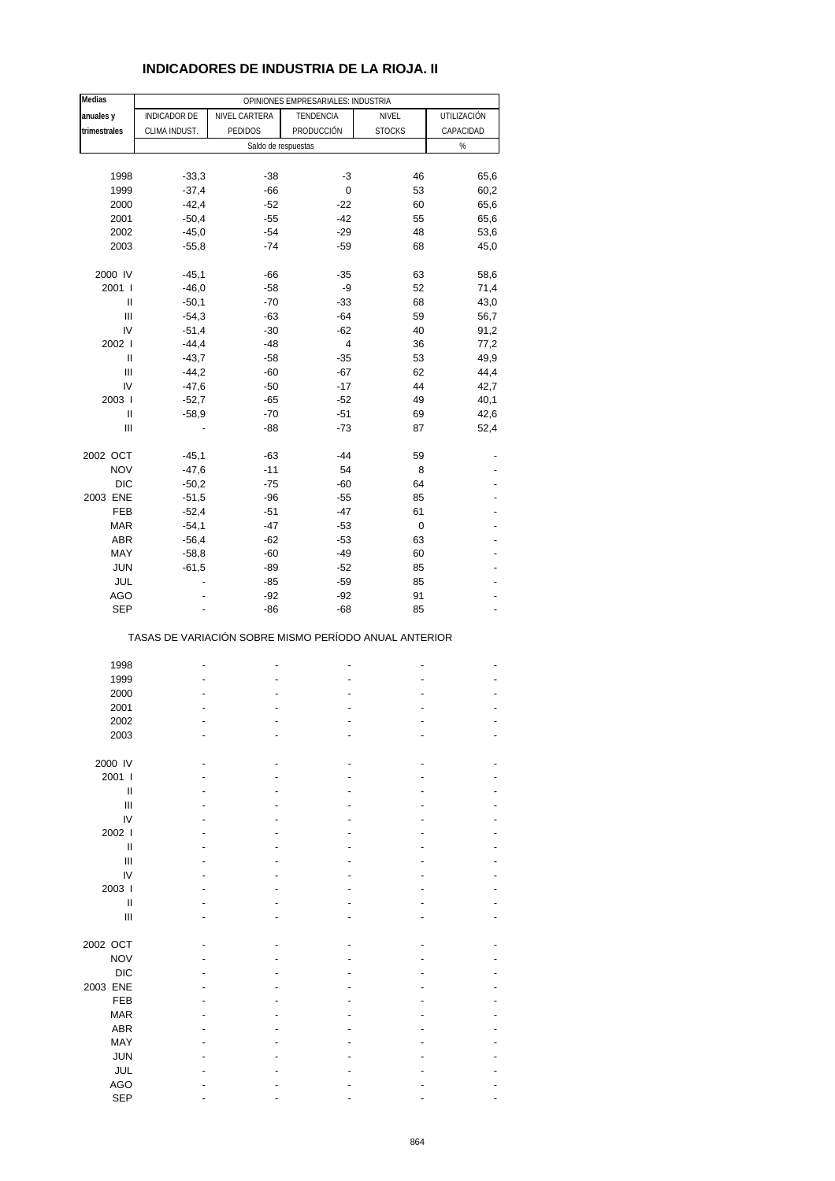## **INDICADORES DE INDUSTRIA DE LA RIOJA. II**

| Medias                             |               |                | OPINIONES EMPRESARIALES: INDUSTRIA                    |               |                          |
|------------------------------------|---------------|----------------|-------------------------------------------------------|---------------|--------------------------|
| anuales y                          | INDICADOR DE  | NIVEL CARTERA  | TENDENCIA                                             | NIVEL         | UTILIZACIÓN              |
| trimestrales                       | CLIMA INDUST. | <b>PEDIDOS</b> | PRODUCCIÓN                                            | <b>STOCKS</b> | CAPACIDAD                |
|                                    |               |                | Saldo de respuestas                                   |               | $\%$                     |
|                                    |               |                |                                                       |               |                          |
| 1998                               | $-33,3$       | $-38$          | -3                                                    | 46            | 65,6                     |
| 1999                               | $-37,4$       | -66            | 0                                                     | 53            | 60,2                     |
|                                    | $-42,4$       | $-52$          | $-22$                                                 | 60            | 65,6                     |
| 2000                               |               |                |                                                       |               |                          |
| 2001                               | $-50,4$       | $-55$          | $-42$                                                 | 55            | 65,6                     |
| 2002                               | $-45,0$       | $-54$          | $-29$                                                 | 48            | 53,6                     |
| 2003                               | $-55,8$       | $-74$          | $-59$                                                 | 68            | 45,0                     |
| 2000 IV                            | $-45,1$       | -66            | $-35$                                                 | 63            | 58,6                     |
| 2001 l                             | $-46,0$       | $-58$          | -9                                                    | 52            | 71,4                     |
| $\sf II$                           | $-50,1$       | $-70$          | $-33$                                                 | 68            | 43,0                     |
| $\ensuremath{\mathsf{III}}\xspace$ | $-54,3$       | $-63$          | $-64$                                                 | 59            | 56,7                     |
| IV                                 | $-51,4$       | $-30$          | $-62$                                                 | 40            | 91,2                     |
| 2002                               | $-44,4$       | $-48$          | 4                                                     | 36            | 77,2                     |
| Ш                                  | $-43,7$       | $-58$          | $-35$                                                 | 53            | 49,9                     |
|                                    |               |                |                                                       |               |                          |
| Ш                                  | $-44,2$       | $-60$          | $-67$                                                 | 62            | 44,4                     |
| IV                                 | $-47,6$       | $-50$          | $-17$                                                 | 44            | 42,7                     |
| 2003                               | $-52,7$       | $-65$          | $-52$                                                 | 49            | 40,1                     |
| Ш                                  | $-58,9$       | $-70$          | $-51$                                                 | 69            | 42,6                     |
| $\begin{array}{c} \Pi \end{array}$ |               | $-88$          | $-73$                                                 | 87            | 52,4                     |
|                                    | $-45,1$       |                |                                                       |               |                          |
| 2002 OCT                           | $-47,6$       | -63            | $-44$                                                 | 59            |                          |
| <b>NOV</b>                         |               | $-11$          | 54                                                    | 8             |                          |
| <b>DIC</b>                         | $-50,2$       | $-75$          | $-60$                                                 | 64            |                          |
| 2003 ENE                           | $-51,5$       | $-96$          | $-55$                                                 | 85            |                          |
| FEB                                | $-52,4$       | $-51$          | $-47$                                                 | 61            |                          |
| <b>MAR</b>                         | $-54,1$       | $-47$          | $-53$                                                 | 0             |                          |
| ABR                                | $-56,4$       | $-62$          | $-53$                                                 | 63            | $\overline{\phantom{a}}$ |
| MAY                                | $-58,8$       | $-60$          | $-49$                                                 | 60            |                          |
| <b>JUN</b>                         | $-61,5$       | $-89$          | $-52$                                                 | 85            |                          |
| JUL                                |               | $-85$          | $-59$                                                 | 85            |                          |
| AGO                                |               | $-92$          | $-92$                                                 | 91            |                          |
| <b>SEP</b>                         |               | $-86$          | $-68$                                                 | 85            |                          |
|                                    |               |                | TASAS DE VARIACIÓN SOBRE MISMO PERÍODO ANUAL ANTERIOR |               |                          |
|                                    |               |                |                                                       |               |                          |
| 1998                               |               |                |                                                       |               |                          |
| 1999                               |               |                |                                                       |               |                          |
| 2000                               |               |                |                                                       |               |                          |
| 2001                               |               | ÷              |                                                       |               |                          |
| 2002                               |               |                |                                                       |               |                          |
| 2003                               |               |                |                                                       |               |                          |
|                                    |               |                |                                                       |               |                          |
| 2000 IV                            |               |                |                                                       |               |                          |
| 2001 l                             |               |                |                                                       |               |                          |
| Ш                                  |               |                |                                                       |               |                          |
| Ш                                  |               |                |                                                       |               |                          |
| IV                                 |               |                |                                                       |               |                          |
| 2002 l                             |               |                |                                                       |               |                          |
| Ш                                  |               |                |                                                       |               |                          |
| Ш                                  |               |                |                                                       |               |                          |
| IV                                 |               |                |                                                       |               |                          |
| 2003                               |               |                |                                                       |               |                          |
| Ш                                  |               |                |                                                       |               |                          |
| Ш                                  |               |                |                                                       |               |                          |
|                                    |               |                |                                                       |               |                          |
| 2002 OCT                           |               |                |                                                       |               |                          |
| <b>NOV</b>                         |               |                |                                                       |               |                          |
| <b>DIC</b>                         |               |                |                                                       |               |                          |
| 2003 ENE                           |               |                |                                                       |               |                          |
| <b>FEB</b>                         |               |                |                                                       |               |                          |
| <b>MAR</b>                         |               |                |                                                       |               |                          |
| <b>ABR</b>                         |               |                |                                                       |               |                          |
| MAY                                |               |                |                                                       |               |                          |
| <b>JUN</b>                         |               |                |                                                       |               |                          |
| <b>JUL</b>                         |               |                |                                                       |               |                          |
| <b>AGO</b>                         |               |                |                                                       |               |                          |
| <b>SEP</b>                         |               |                |                                                       |               |                          |
|                                    |               |                |                                                       |               |                          |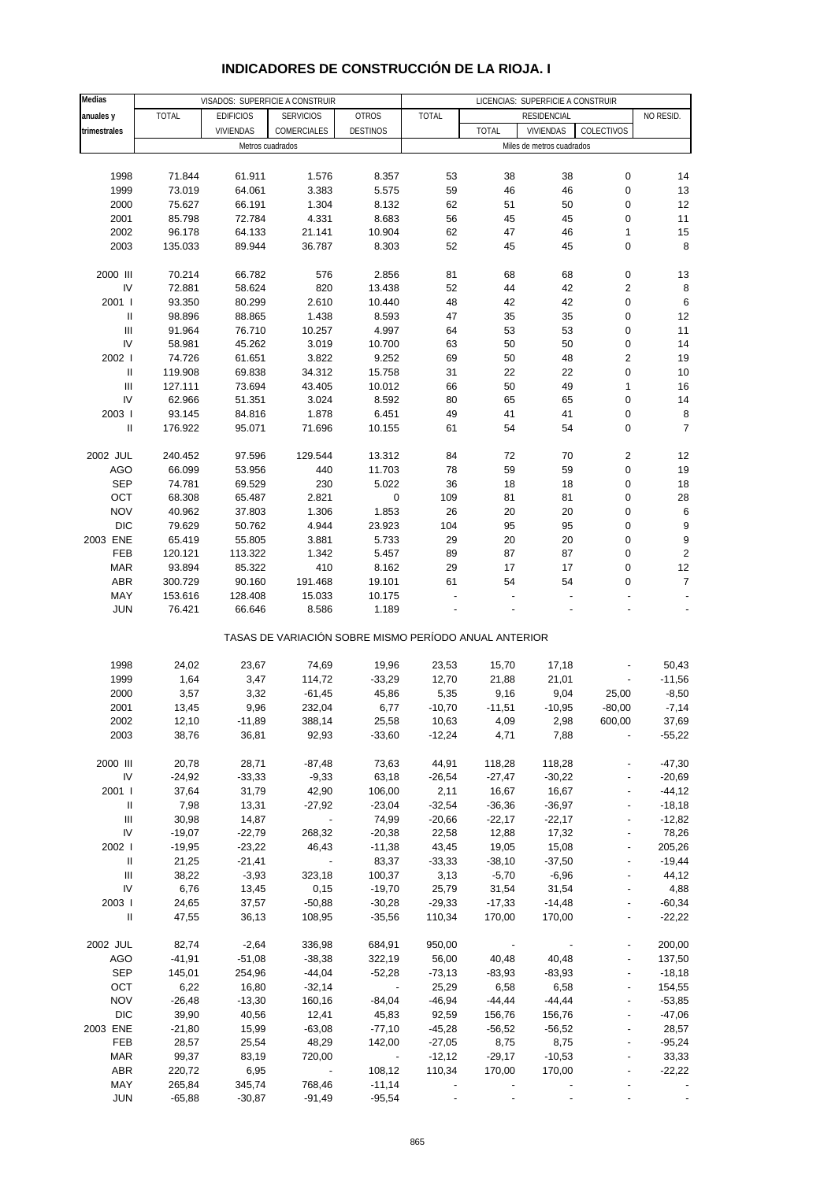| <b>Medias</b>                      |          |                  | VISADOS: SUPERFICIE A CONSTRUIR                       |                 |          | LICENCIAS: SUPERFICIE A CONSTRUIR |                           |                          |                  |
|------------------------------------|----------|------------------|-------------------------------------------------------|-----------------|----------|-----------------------------------|---------------------------|--------------------------|------------------|
| anuales y                          | TOTAL    | <b>EDIFICIOS</b> | <b>SERVICIOS</b>                                      | <b>OTROS</b>    | TOTAL    |                                   | <b>RESIDENCIAL</b>        |                          | NO RESID.        |
| trimestrales                       |          | <b>VIVIENDAS</b> | COMERCIALES                                           | <b>DESTINOS</b> |          | <b>TOTAL</b>                      | <b>VIVIENDAS</b>          | COLECTIVOS               |                  |
|                                    |          |                  | Metros cuadrados                                      |                 |          |                                   | Miles de metros cuadrados |                          |                  |
|                                    |          |                  |                                                       |                 |          |                                   |                           |                          |                  |
|                                    |          |                  |                                                       |                 |          |                                   |                           |                          |                  |
| 1998                               | 71.844   | 61.911           | 1.576                                                 | 8.357           | 53       | 38                                | 38                        | 0                        | 14               |
| 1999                               | 73.019   | 64.061           | 3.383                                                 | 5.575           | 59       | 46                                | 46                        | $\pmb{0}$                | 13               |
| 2000                               | 75.627   | 66.191           | 1.304                                                 | 8.132           | 62       | 51                                | 50                        | $\pmb{0}$                | 12               |
| 2001                               | 85.798   | 72.784           | 4.331                                                 | 8.683           | 56       | 45                                | 45                        | $\pmb{0}$                | 11               |
| 2002                               | 96.178   | 64.133           | 21.141                                                | 10.904          | 62       | 47                                | 46                        | $\mathbf{1}$             | 15               |
| 2003                               | 135.033  | 89.944           | 36.787                                                | 8.303           | 52       | 45                                | 45                        | $\pmb{0}$                | $\bf 8$          |
|                                    |          |                  |                                                       |                 |          |                                   |                           |                          |                  |
| 2000 III                           | 70.214   | 66.782           | 576                                                   | 2.856           | 81       | 68                                | 68                        | $\pmb{0}$                | 13               |
| IV                                 | 72.881   | 58.624           | 820                                                   | 13.438          | 52       | 44                                | 42                        | $\sqrt{2}$               | $\bf 8$          |
| 2001 l                             | 93.350   | 80.299           | 2.610                                                 | 10.440          | 48       | 42                                | 42                        | $\pmb{0}$                | $\,6\,$          |
| $\sf II$                           | 98.896   | 88.865           | 1.438                                                 | 8.593           | 47       | 35                                | 35                        | $\pmb{0}$                | 12               |
| $\ensuremath{\mathsf{III}}\xspace$ | 91.964   | 76.710           | 10.257                                                | 4.997           | 64       | 53                                | 53                        | 0                        | 11               |
| IV                                 | 58.981   | 45.262           | 3.019                                                 | 10.700          | 63       | 50                                | 50                        | 0                        | 14               |
| 2002 l                             | 74.726   | 61.651           | 3.822                                                 | 9.252           | 69       | 50                                | 48                        | $\sqrt{2}$               | 19               |
|                                    |          |                  |                                                       |                 |          |                                   |                           |                          |                  |
| $\, \parallel$                     | 119.908  | 69.838           | 34.312                                                | 15.758          | 31       | 22                                | 22                        | $\pmb{0}$                | $10$             |
| $\ensuremath{\mathsf{III}}\xspace$ | 127.111  | 73.694           | 43.405                                                | 10.012          | 66       | 50                                | 49                        | $\mathbf{1}$             | 16               |
| IV                                 | 62.966   | 51.351           | 3.024                                                 | 8.592           | 80       | 65                                | 65                        | $\pmb{0}$                | 14               |
| 2003                               | 93.145   | 84.816           | 1.878                                                 | 6.451           | 49       | 41                                | 41                        | 0                        | $\bf 8$          |
| Ш                                  | 176.922  | 95.071           | 71.696                                                | 10.155          | 61       | 54                                | 54                        | $\pmb{0}$                | $\overline{7}$   |
|                                    |          |                  |                                                       |                 |          |                                   |                           |                          |                  |
| 2002 JUL                           | 240.452  | 97.596           | 129.544                                               | 13.312          | 84       | 72                                | 70                        | $\overline{c}$           | 12               |
| <b>AGO</b>                         | 66.099   | 53.956           | 440                                                   | 11.703          | 78       | 59                                | 59                        | $\pmb{0}$                | 19               |
| <b>SEP</b>                         | 74.781   | 69.529           | 230                                                   | 5.022           | 36       | 18                                | 18                        | 0                        | 18               |
| OCT                                | 68.308   | 65.487           | 2.821                                                 | 0               | 109      | 81                                | 81                        | $\pmb{0}$                | 28               |
| <b>NOV</b>                         | 40.962   | 37.803           | 1.306                                                 | 1.853           | 26       | 20                                | 20                        | $\pmb{0}$                | $\,6\,$          |
| <b>DIC</b>                         | 79.629   | 50.762           | 4.944                                                 | 23.923          | 104      | 95                                | 95                        | 0                        | $\boldsymbol{9}$ |
| 2003 ENE                           | 65.419   | 55.805           | 3.881                                                 | 5.733           | 29       | 20                                | 20                        | $\pmb{0}$                | $\boldsymbol{9}$ |
|                                    |          |                  |                                                       |                 |          |                                   |                           | $\pmb{0}$                | $\sqrt{2}$       |
| FEB                                | 120.121  | 113.322          | 1.342                                                 | 5.457           | 89       | 87                                | 87                        |                          |                  |
| <b>MAR</b>                         | 93.894   | 85.322           | 410                                                   | 8.162           | 29       | 17                                | 17                        | 0                        | 12               |
| <b>ABR</b>                         | 300.729  | 90.160           | 191.468                                               | 19.101          | 61       | 54                                | 54                        | 0                        | $\overline{7}$   |
| MAY                                | 153.616  | 128.408          | 15.033                                                | 10.175          |          |                                   |                           |                          |                  |
| <b>JUN</b>                         | 76.421   | 66.646           | 8.586                                                 | 1.189           |          |                                   |                           |                          |                  |
|                                    |          |                  | TASAS DE VARIACIÓN SOBRE MISMO PERÍODO ANUAL ANTERIOR |                 |          |                                   |                           |                          |                  |
|                                    |          |                  |                                                       |                 |          |                                   |                           |                          |                  |
| 1998                               | 24,02    | 23,67            | 74,69                                                 | 19,96           | 23,53    | 15,70                             | 17,18                     |                          | 50,43            |
| 1999                               | 1,64     | 3,47             | 114,72                                                | $-33,29$        | 12,70    | 21,88                             | 21,01                     |                          | $-11,56$         |
| 2000                               | 3,57     | 3,32             | $-61,45$                                              | 45,86           | 5,35     | 9,16                              | 9,04                      | 25,00                    | $-8,50$          |
| 2001                               | 13,45    | 9,96             | 232,04                                                | 6,77            | $-10,70$ | $-11,51$                          | $-10,95$                  | $-80,00$                 | $-7,14$          |
| 2002                               | 12,10    | -11,89           | 388,14                                                | 25,58           | 10,63    | 4,09                              | 2,98                      | 600,00                   | 37,69            |
| 2003                               | 38,76    | 36,81            | 92,93                                                 | $-33,60$        | $-12,24$ | 4,71                              | 7,88                      |                          | $-55,22$         |
|                                    |          |                  |                                                       |                 |          |                                   |                           |                          |                  |
| 2000 III                           | 20,78    | 28,71            | $-87,48$                                              | 73,63           | 44,91    | 118,28                            | 118,28                    |                          | $-47,30$         |
| IV                                 | $-24,92$ | $-33,33$         | $-9,33$                                               | 63,18           | $-26,54$ | $-27,47$                          | $-30,22$                  |                          | $-20,69$         |
| 2001 l                             | 37,64    | 31,79            | 42,90                                                 | 106,00          | 2,11     | 16,67                             | 16,67                     | $\overline{\phantom{0}}$ | $-44, 12$        |
| Ш                                  | 7,98     | 13,31            | $-27,92$                                              | $-23,04$        | $-32,54$ | $-36,36$                          | $-36,97$                  |                          | $-18,18$         |
| III                                | 30,98    | 14,87            | $\sim$                                                | 74,99           | $-20,66$ | $-22,17$                          | $-22,17$                  | $\blacksquare$           | $-12,82$         |
| IV                                 | $-19,07$ | $-22,79$         | 268,32                                                | $-20,38$        | 22,58    | 12,88                             | 17,32                     |                          | 78,26            |
| 2002 l                             | $-19,95$ | $-23,22$         | 46,43                                                 | $-11,38$        | 43,45    | 19,05                             | 15,08                     |                          | 205,26           |
| $\mathbf{II}$                      | 21,25    | $-21,41$         | $\blacksquare$                                        | 83,37           | $-33,33$ | $-38,10$                          | $-37,50$                  | $\blacksquare$           | $-19,44$         |
| Ш                                  | 38,22    | $-3,93$          | 323,18                                                | 100,37          | 3,13     | $-5,70$                           | $-6,96$                   |                          | 44,12            |
|                                    |          |                  |                                                       |                 |          |                                   |                           |                          |                  |
| IV                                 | 6,76     | 13,45            | 0,15                                                  | $-19,70$        | 25,79    | 31,54                             | 31,54                     |                          | 4,88             |
| 2003                               | 24,65    | 37,57            | $-50,88$                                              | $-30,28$        | $-29,33$ | $-17,33$                          | $-14,48$                  |                          | $-60,34$         |
| $\, \parallel$                     | 47,55    | 36,13            | 108,95                                                | $-35,56$        | 110,34   | 170,00                            | 170,00                    |                          | $-22,22$         |
| 2002 JUL                           | 82,74    | $-2,64$          | 336,98                                                | 684,91          | 950,00   | $\overline{\phantom{a}}$          |                           |                          | 200,00           |
| <b>AGO</b>                         | $-41,91$ | $-51,08$         | $-38,38$                                              | 322,19          | 56,00    | 40,48                             | 40,48                     |                          | 137,50           |
| <b>SEP</b>                         | 145,01   | 254,96           | $-44,04$                                              | $-52,28$        | $-73,13$ | $-83,93$                          | $-83,93$                  |                          | $-18,18$         |
| OCT                                | 6,22     | 16,80            | $-32,14$                                              | $\sim$          | 25,29    | 6,58                              | 6,58                      |                          | 154,55           |
|                                    |          |                  |                                                       |                 |          |                                   |                           |                          |                  |
| <b>NOV</b>                         | $-26,48$ | $-13,30$         | 160,16                                                | $-84,04$        | $-46,94$ | $-44,44$                          | -44,44                    |                          | $-53,85$         |
| <b>DIC</b>                         | 39,90    | 40,56            | 12,41                                                 | 45,83           | 92,59    | 156,76                            | 156,76                    |                          | $-47,06$         |
| 2003 ENE                           | $-21,80$ | 15,99            | $-63,08$                                              | $-77,10$        | $-45,28$ | $-56,52$                          | $-56,52$                  |                          | 28,57            |
| FEB                                | 28,57    | 25,54            | 48,29                                                 | 142,00          | $-27,05$ | 8,75                              | 8,75                      |                          | $-95,24$         |
| <b>MAR</b>                         | 99,37    | 83,19            | 720,00                                                | $\blacksquare$  | $-12,12$ | $-29,17$                          | $-10,53$                  |                          | 33,33            |
| <b>ABR</b>                         | 220,72   | 6,95             | $\overline{\phantom{a}}$                              | 108,12          | 110,34   | 170,00                            | 170,00                    |                          | $-22,22$         |
| MAY                                | 265,84   | 345,74           | 768,46                                                | $-11,14$        |          |                                   |                           |                          |                  |
| <b>JUN</b>                         | $-65,88$ | $-30,87$         | $-91,49$                                              | $-95,54$        |          |                                   |                           |                          |                  |

## **INDICADORES DE CONSTRUCCIÓN DE LA RIOJA. I**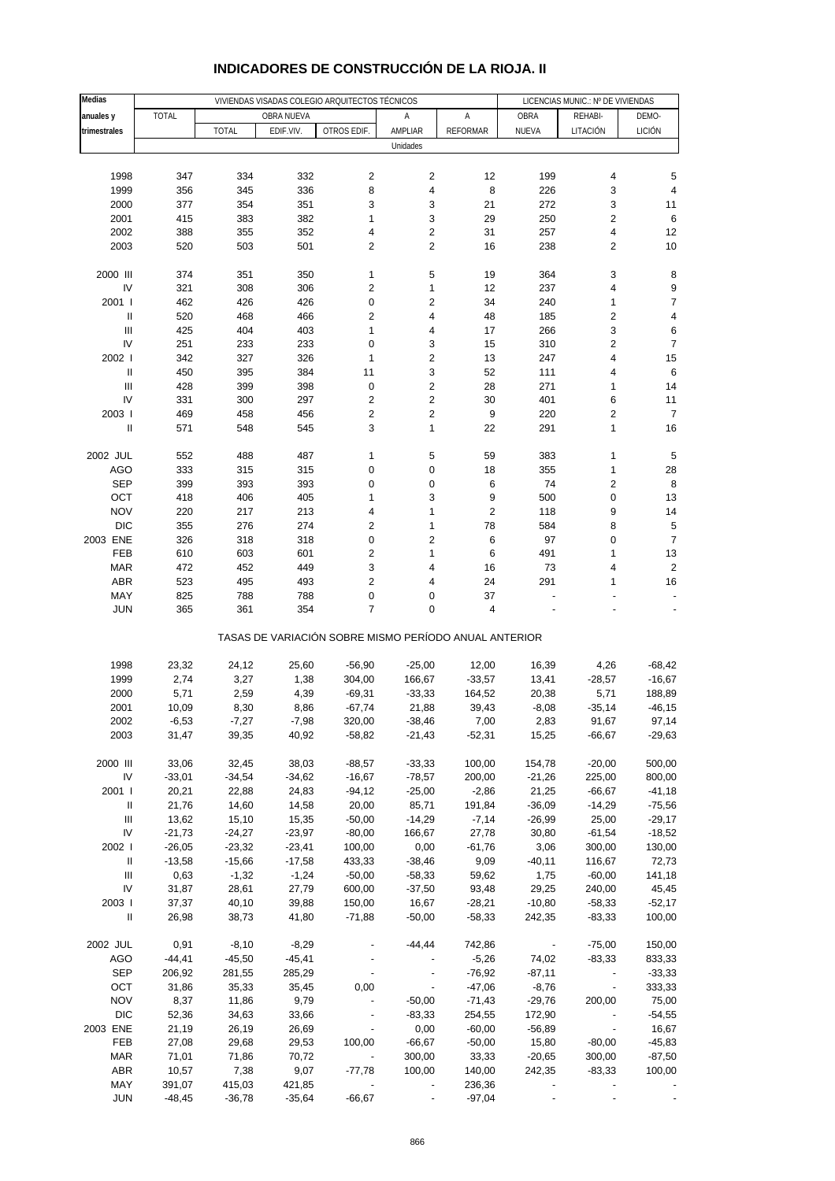| VIVIENDAS VISADAS COLEGIO ARQUITECTOS TÉCNICOS<br><b>TOTAL</b><br>anuales y<br>OBRA NUEVA<br>Α<br>OBRA<br>REHABI-<br>DEMO-<br>Α<br><b>TOTAL</b><br>EDIF.VIV.<br>AMPLIAR<br><b>REFORMAR</b><br>NUEVA<br>LICIÓN<br>trimestrales<br>OTROS EDIF.<br>LITACIÓN<br>Unidades<br>$\overline{\mathbf{c}}$<br>5<br>1998<br>347<br>334<br>332<br>$\overline{\mathbf{c}}$<br>12<br>199<br>4<br>1999<br>345<br>336<br>8<br>4<br>8<br>3<br>356<br>226<br>4<br>3<br>3<br>3<br>2000<br>377<br>354<br>351<br>21<br>272<br>11<br>382<br>3<br>$\overline{\mathbf{c}}$<br>$\,6$<br>2001<br>415<br>383<br>1<br>29<br>250<br>2002<br>4<br>$\overline{\mathbf{c}}$<br>31<br>4<br>12<br>388<br>355<br>352<br>257<br>$\overline{2}$<br>2<br>$\overline{c}$<br>10<br>2003<br>520<br>503<br>501<br>16<br>238<br>2000 III<br>5<br>8<br>374<br>351<br>350<br>1<br>19<br>364<br>3<br>IV<br>2<br>$\mathbf{1}$<br>12<br>4<br>9<br>321<br>308<br>306<br>237<br>2001 l<br>462<br>$\pmb{0}$<br>2<br>34<br>$\mathbf 1$<br>$\overline{\mathcal{I}}$<br>426<br>426<br>240<br>$\sf II$<br>2<br>4<br>$\overline{\mathbf{c}}$<br>$\overline{\mathbf{4}}$<br>520<br>468<br>466<br>48<br>185<br>3<br>Ш<br>1<br>4<br>6<br>425<br>404<br>403<br>17<br>266<br>$\overline{c}$<br>IV<br>233<br>$\mathbf 0$<br>3<br>15<br>$\overline{7}$<br>251<br>233<br>310<br>2<br>15<br>4<br>2002  <br>342<br>327<br>326<br>$\mathbf{1}$<br>13<br>247<br>$\sf II$<br>3<br>4<br>6<br>450<br>395<br>384<br>11<br>52<br>111<br>Ш<br>$\pmb{0}$<br>2<br>28<br>428<br>399<br>398<br>271<br>1<br>14<br>$\overline{c}$<br>IV<br>331<br>$\overline{\mathbf{c}}$<br>6<br>11<br>300<br>297<br>30<br>401<br>$\overline{\mathbf{c}}$<br>469<br>2<br>9<br>$\overline{\mathbf{c}}$<br>2003  <br>458<br>456<br>220<br>$\overline{7}$<br>$\mathsf{I}$<br>3<br>22<br>$\mathbf{1}$<br>16<br>571<br>548<br>545<br>1<br>291<br>2002 JUL<br>5<br>5<br>552<br>488<br>487<br>1<br>59<br>383<br>1<br><b>AGO</b><br>$\pmb{0}$<br>0<br>18<br>$\mathbf 1$<br>28<br>333<br>315<br>315<br>355<br><b>SEP</b><br>$\pmb{0}$<br>0<br>6<br>74<br>$\overline{\mathbf{c}}$<br>8<br>399<br>393<br>393<br>13<br>OCT<br>418<br>405<br>3<br>9<br>500<br>0<br>406<br>1<br>1<br>2<br>9<br>14<br><b>NOV</b><br>220<br>217<br>213<br>4<br>118<br>$\sqrt{5}$<br><b>DIC</b><br>2<br>1<br>78<br>8<br>355<br>276<br>274<br>584<br>2003 ENE<br>$\pmb{0}$<br>$\overline{\mathbf{c}}$<br>97<br>$\overline{7}$<br>326<br>318<br>318<br>6<br>0<br>2<br>1<br>6<br>13<br>FEB<br>610<br>603<br>601<br>491<br>1<br>3<br>$\overline{c}$<br>4<br>16<br>73<br>4<br><b>MAR</b><br>472<br>452<br>449<br><b>ABR</b><br>523<br>493<br>$\overline{\mathbf{c}}$<br>291<br>16<br>495<br>4<br>24<br>$\mathbf{1}$<br>MAY<br>825<br>788<br>788<br>0<br>0<br>37<br>$\overline{7}$<br>354<br>0<br>4<br><b>JUN</b><br>365<br>361<br>TASAS DE VARIACIÓN SOBRE MISMO PERÍODO ANUAL ANTERIOR<br>1998<br>23,32<br>24,12<br>25,60<br>$-56,90$<br>$-25,00$<br>12,00<br>16,39<br>4,26<br>$-68,42$<br>1999<br>2,74<br>3,27<br>166,67<br>$-33,57$<br>$-28,57$<br>$-16,67$<br>1,38<br>304,00<br>13,41<br>2000<br>5,71<br>2,59<br>4,39<br>$-69,31$<br>$-33,33$<br>164,52<br>20,38<br>5,71<br>188,89<br>2001<br>39,43<br>$-46, 15$<br>10,09<br>8,30<br>8,86<br>$-67,74$<br>21,88<br>$-8,08$<br>$-35,14$<br>2002<br>$-6,53$<br>$-7,27$<br>-7,98<br>320,00<br>$-38,46$<br>7,00<br>2,83<br>91,67<br>97,14<br>2003<br>31,47<br>39,35<br>40,92<br>$-58,82$<br>$-21,43$<br>$-52,31$<br>15,25<br>$-66,67$<br>$-29,63$<br>2000 III<br>33,06<br>32,45<br>38,03<br>$-88,57$<br>$-33,33$<br>100,00<br>$-20,00$<br>500,00<br>154,78<br>IV<br>$-33,01$<br>$-34,54$<br>$-34,62$<br>$-16,67$<br>$-78,57$<br>200,00<br>$-21,26$<br>225,00<br>800,00<br>2001 l<br>20,21<br>22,88<br>24,83<br>$-94, 12$<br>$-25,00$<br>$-2,86$<br>21,25<br>$-66,67$<br>$-41,18$<br>Ш<br>21,76<br>14,60<br>14,58<br>85,71<br>191,84<br>$-36,09$<br>$-14,29$<br>$-75,56$<br>20,00<br>Ш<br>13,62<br>15,10<br>15,35<br>$-50,00$<br>$-14,29$<br>$-7,14$<br>$-26,99$<br>25,00<br>$-29,17$<br>IV<br>$-21,73$<br>$-24,27$<br>$-23,97$<br>$-80,00$<br>166,67<br>27,78<br>30,80<br>$-61,54$<br>$-18,52$<br>2002  <br>$-26,05$<br>$-23,32$<br>$-23,41$<br>100,00<br>0,00<br>$-61,76$<br>3,06<br>130,00<br>300,00<br>$\mathbf{II}$<br>$-13,58$<br>$-15,66$<br>9,09<br>72,73<br>$-17,58$<br>433,33<br>$-38,46$<br>$-40,11$<br>116,67<br>$\ensuremath{\mathsf{III}}\xspace$<br>$-1,32$<br>1,75<br>0,63<br>$-1,24$<br>$-50,00$<br>$-58,33$<br>59,62<br>$-60,00$<br>141,18<br>IV<br>31,87<br>28,61<br>27,79<br>600,00<br>$-37,50$<br>93,48<br>29,25<br>45,45<br>240,00<br>2003  <br>37,37<br>40,10<br>39,88<br>150,00<br>16,67<br>$-28,21$<br>$-10,80$<br>$-52,17$<br>$-58,33$<br>$\ensuremath{\mathsf{II}}$<br>26,98<br>38,73<br>41,80<br>$-71,88$<br>$-50,00$<br>$-58,33$<br>242,35<br>100,00<br>$-83,33$<br>2002 JUL<br>0,91<br>$-8,10$<br>$-8,29$<br>$-44, 44$<br>742,86<br>150,00<br>$\overline{\phantom{a}}$<br>$-75,00$<br><b>AGO</b><br>$-44,41$<br>$-45,50$<br>$-45,41$<br>$-5,26$<br>74,02<br>$-83,33$<br>833,33<br><b>SEP</b><br>206,92<br>281,55<br>285,29<br>$-76,92$<br>$-87,11$<br>$-33,33$<br>$\overline{\phantom{a}}$<br>OCT<br>31,86<br>35,33<br>35,45<br>0,00<br>$-47,06$<br>$-8,76$<br>333,33<br>$\blacksquare$<br>$\overline{\phantom{a}}$<br><b>NOV</b><br>$-71,43$<br>75,00<br>8,37<br>11,86<br>9,79<br>$-50,00$<br>$-29,76$<br>200,00<br><b>DIC</b><br>52,36<br>34,63<br>33,66<br>$-83,33$<br>254,55<br>172,90<br>$-54,55$<br>$\overline{\phantom{a}}$<br>2003 ENE<br>21,19<br>26,19<br>26,69<br>0,00<br>$-60,00$<br>$-56,89$<br>$\overline{\phantom{a}}$<br>16,67<br>$\overline{\phantom{a}}$<br>$-66,67$<br>$-45,83$<br>FEB<br>27,08<br>29,68<br>29,53<br>100,00<br>$-50,00$<br>15,80<br>$-80,00$<br><b>MAR</b><br>71,01<br>71,86<br>70,72<br>300,00<br>33,33<br>$-20,65$<br>300,00<br>$-87,50$<br>$\overline{\phantom{a}}$<br>9,07<br>ABR<br>10,57<br>7,38<br>100,00<br>140,00<br>242,35<br>$-83,33$<br>100,00<br>$-77,78$<br>MAY<br>391,07<br>415,03<br>421,85<br>236,36<br><b>JUN</b><br>$-48,45$<br>$-35,64$<br>$-66,67$<br>$-97,04$ | <b>Medias</b> |          |  | LICENCIAS MUNIC.: Nº DE VIVIENDAS |  |  |  |
|--------------------------------------------------------------------------------------------------------------------------------------------------------------------------------------------------------------------------------------------------------------------------------------------------------------------------------------------------------------------------------------------------------------------------------------------------------------------------------------------------------------------------------------------------------------------------------------------------------------------------------------------------------------------------------------------------------------------------------------------------------------------------------------------------------------------------------------------------------------------------------------------------------------------------------------------------------------------------------------------------------------------------------------------------------------------------------------------------------------------------------------------------------------------------------------------------------------------------------------------------------------------------------------------------------------------------------------------------------------------------------------------------------------------------------------------------------------------------------------------------------------------------------------------------------------------------------------------------------------------------------------------------------------------------------------------------------------------------------------------------------------------------------------------------------------------------------------------------------------------------------------------------------------------------------------------------------------------------------------------------------------------------------------------------------------------------------------------------------------------------------------------------------------------------------------------------------------------------------------------------------------------------------------------------------------------------------------------------------------------------------------------------------------------------------------------------------------------------------------------------------------------------------------------------------------------------------------------------------------------------------------------------------------------------------------------------------------------------------------------------------------------------------------------------------------------------------------------------------------------------------------------------------------------------------------------------------------------------------------------------------------------------------------------------------------------------------------------------------------------------------------------------------------------------------------------------------------------------------------------------------------------------------------------------------------------------------------------------------------------------------------------------------------------------------------------------------------------------------------------------------------------------------------------------------------------------------------------------------------------------------------------------------------------------------------------------------------------------------------------------------------------------------------------------------------------------------------------------------------------------------------------------------------------------------------------------------------------------------------------------------------------------------------------------------------------------------------------------------------------------------------------------------------------------------------------------------------------------------------------------------------------------------------------------------------------------------------------------------------------------------------------------------------------------------------------------------------------------------------------------------------------------------------------------------------------------------------------------------------------------------------------------------------------------------------------------------------------------------------------------------------------------------------------------------------------------------------------------------------------------------------------------------------------------------------------------------------------------------------------------------------------------------------------------------------------------------------------------------------------------------------------------------------------------------------------------------------------------------------------------------------------------------------------------------------------------------------------------------------------------------------------------------------------------------------------------------------------------------------------------------------------------------------------------------------------------------------------------------------------------------------------------------------------------------------------------------------------------------------------------------------------------------------------------------------------------------------------------------------------------------------------------------------------------------------------------------------------------------------------------------------------------------------------------------------|---------------|----------|--|-----------------------------------|--|--|--|
|                                                                                                                                                                                                                                                                                                                                                                                                                                                                                                                                                                                                                                                                                                                                                                                                                                                                                                                                                                                                                                                                                                                                                                                                                                                                                                                                                                                                                                                                                                                                                                                                                                                                                                                                                                                                                                                                                                                                                                                                                                                                                                                                                                                                                                                                                                                                                                                                                                                                                                                                                                                                                                                                                                                                                                                                                                                                                                                                                                                                                                                                                                                                                                                                                                                                                                                                                                                                                                                                                                                                                                                                                                                                                                                                                                                                                                                                                                                                                                                                                                                                                                                                                                                                                                                                                                                                                                                                                                                                                                                                                                                                                                                                                                                                                                                                                                                                                                                                                                                                                                                                                                                                                                                                                                                                                                                                                                                                                                                                                                                                                                                                                                                                                                                                                                                                                                                                                                                                                                                                                                                              |               |          |  |                                   |  |  |  |
|                                                                                                                                                                                                                                                                                                                                                                                                                                                                                                                                                                                                                                                                                                                                                                                                                                                                                                                                                                                                                                                                                                                                                                                                                                                                                                                                                                                                                                                                                                                                                                                                                                                                                                                                                                                                                                                                                                                                                                                                                                                                                                                                                                                                                                                                                                                                                                                                                                                                                                                                                                                                                                                                                                                                                                                                                                                                                                                                                                                                                                                                                                                                                                                                                                                                                                                                                                                                                                                                                                                                                                                                                                                                                                                                                                                                                                                                                                                                                                                                                                                                                                                                                                                                                                                                                                                                                                                                                                                                                                                                                                                                                                                                                                                                                                                                                                                                                                                                                                                                                                                                                                                                                                                                                                                                                                                                                                                                                                                                                                                                                                                                                                                                                                                                                                                                                                                                                                                                                                                                                                                              |               |          |  |                                   |  |  |  |
|                                                                                                                                                                                                                                                                                                                                                                                                                                                                                                                                                                                                                                                                                                                                                                                                                                                                                                                                                                                                                                                                                                                                                                                                                                                                                                                                                                                                                                                                                                                                                                                                                                                                                                                                                                                                                                                                                                                                                                                                                                                                                                                                                                                                                                                                                                                                                                                                                                                                                                                                                                                                                                                                                                                                                                                                                                                                                                                                                                                                                                                                                                                                                                                                                                                                                                                                                                                                                                                                                                                                                                                                                                                                                                                                                                                                                                                                                                                                                                                                                                                                                                                                                                                                                                                                                                                                                                                                                                                                                                                                                                                                                                                                                                                                                                                                                                                                                                                                                                                                                                                                                                                                                                                                                                                                                                                                                                                                                                                                                                                                                                                                                                                                                                                                                                                                                                                                                                                                                                                                                                                              |               |          |  |                                   |  |  |  |
|                                                                                                                                                                                                                                                                                                                                                                                                                                                                                                                                                                                                                                                                                                                                                                                                                                                                                                                                                                                                                                                                                                                                                                                                                                                                                                                                                                                                                                                                                                                                                                                                                                                                                                                                                                                                                                                                                                                                                                                                                                                                                                                                                                                                                                                                                                                                                                                                                                                                                                                                                                                                                                                                                                                                                                                                                                                                                                                                                                                                                                                                                                                                                                                                                                                                                                                                                                                                                                                                                                                                                                                                                                                                                                                                                                                                                                                                                                                                                                                                                                                                                                                                                                                                                                                                                                                                                                                                                                                                                                                                                                                                                                                                                                                                                                                                                                                                                                                                                                                                                                                                                                                                                                                                                                                                                                                                                                                                                                                                                                                                                                                                                                                                                                                                                                                                                                                                                                                                                                                                                                                              |               |          |  |                                   |  |  |  |
|                                                                                                                                                                                                                                                                                                                                                                                                                                                                                                                                                                                                                                                                                                                                                                                                                                                                                                                                                                                                                                                                                                                                                                                                                                                                                                                                                                                                                                                                                                                                                                                                                                                                                                                                                                                                                                                                                                                                                                                                                                                                                                                                                                                                                                                                                                                                                                                                                                                                                                                                                                                                                                                                                                                                                                                                                                                                                                                                                                                                                                                                                                                                                                                                                                                                                                                                                                                                                                                                                                                                                                                                                                                                                                                                                                                                                                                                                                                                                                                                                                                                                                                                                                                                                                                                                                                                                                                                                                                                                                                                                                                                                                                                                                                                                                                                                                                                                                                                                                                                                                                                                                                                                                                                                                                                                                                                                                                                                                                                                                                                                                                                                                                                                                                                                                                                                                                                                                                                                                                                                                                              |               |          |  |                                   |  |  |  |
|                                                                                                                                                                                                                                                                                                                                                                                                                                                                                                                                                                                                                                                                                                                                                                                                                                                                                                                                                                                                                                                                                                                                                                                                                                                                                                                                                                                                                                                                                                                                                                                                                                                                                                                                                                                                                                                                                                                                                                                                                                                                                                                                                                                                                                                                                                                                                                                                                                                                                                                                                                                                                                                                                                                                                                                                                                                                                                                                                                                                                                                                                                                                                                                                                                                                                                                                                                                                                                                                                                                                                                                                                                                                                                                                                                                                                                                                                                                                                                                                                                                                                                                                                                                                                                                                                                                                                                                                                                                                                                                                                                                                                                                                                                                                                                                                                                                                                                                                                                                                                                                                                                                                                                                                                                                                                                                                                                                                                                                                                                                                                                                                                                                                                                                                                                                                                                                                                                                                                                                                                                                              |               |          |  |                                   |  |  |  |
|                                                                                                                                                                                                                                                                                                                                                                                                                                                                                                                                                                                                                                                                                                                                                                                                                                                                                                                                                                                                                                                                                                                                                                                                                                                                                                                                                                                                                                                                                                                                                                                                                                                                                                                                                                                                                                                                                                                                                                                                                                                                                                                                                                                                                                                                                                                                                                                                                                                                                                                                                                                                                                                                                                                                                                                                                                                                                                                                                                                                                                                                                                                                                                                                                                                                                                                                                                                                                                                                                                                                                                                                                                                                                                                                                                                                                                                                                                                                                                                                                                                                                                                                                                                                                                                                                                                                                                                                                                                                                                                                                                                                                                                                                                                                                                                                                                                                                                                                                                                                                                                                                                                                                                                                                                                                                                                                                                                                                                                                                                                                                                                                                                                                                                                                                                                                                                                                                                                                                                                                                                                              |               |          |  |                                   |  |  |  |
|                                                                                                                                                                                                                                                                                                                                                                                                                                                                                                                                                                                                                                                                                                                                                                                                                                                                                                                                                                                                                                                                                                                                                                                                                                                                                                                                                                                                                                                                                                                                                                                                                                                                                                                                                                                                                                                                                                                                                                                                                                                                                                                                                                                                                                                                                                                                                                                                                                                                                                                                                                                                                                                                                                                                                                                                                                                                                                                                                                                                                                                                                                                                                                                                                                                                                                                                                                                                                                                                                                                                                                                                                                                                                                                                                                                                                                                                                                                                                                                                                                                                                                                                                                                                                                                                                                                                                                                                                                                                                                                                                                                                                                                                                                                                                                                                                                                                                                                                                                                                                                                                                                                                                                                                                                                                                                                                                                                                                                                                                                                                                                                                                                                                                                                                                                                                                                                                                                                                                                                                                                                              |               |          |  |                                   |  |  |  |
|                                                                                                                                                                                                                                                                                                                                                                                                                                                                                                                                                                                                                                                                                                                                                                                                                                                                                                                                                                                                                                                                                                                                                                                                                                                                                                                                                                                                                                                                                                                                                                                                                                                                                                                                                                                                                                                                                                                                                                                                                                                                                                                                                                                                                                                                                                                                                                                                                                                                                                                                                                                                                                                                                                                                                                                                                                                                                                                                                                                                                                                                                                                                                                                                                                                                                                                                                                                                                                                                                                                                                                                                                                                                                                                                                                                                                                                                                                                                                                                                                                                                                                                                                                                                                                                                                                                                                                                                                                                                                                                                                                                                                                                                                                                                                                                                                                                                                                                                                                                                                                                                                                                                                                                                                                                                                                                                                                                                                                                                                                                                                                                                                                                                                                                                                                                                                                                                                                                                                                                                                                                              |               |          |  |                                   |  |  |  |
|                                                                                                                                                                                                                                                                                                                                                                                                                                                                                                                                                                                                                                                                                                                                                                                                                                                                                                                                                                                                                                                                                                                                                                                                                                                                                                                                                                                                                                                                                                                                                                                                                                                                                                                                                                                                                                                                                                                                                                                                                                                                                                                                                                                                                                                                                                                                                                                                                                                                                                                                                                                                                                                                                                                                                                                                                                                                                                                                                                                                                                                                                                                                                                                                                                                                                                                                                                                                                                                                                                                                                                                                                                                                                                                                                                                                                                                                                                                                                                                                                                                                                                                                                                                                                                                                                                                                                                                                                                                                                                                                                                                                                                                                                                                                                                                                                                                                                                                                                                                                                                                                                                                                                                                                                                                                                                                                                                                                                                                                                                                                                                                                                                                                                                                                                                                                                                                                                                                                                                                                                                                              |               |          |  |                                   |  |  |  |
|                                                                                                                                                                                                                                                                                                                                                                                                                                                                                                                                                                                                                                                                                                                                                                                                                                                                                                                                                                                                                                                                                                                                                                                                                                                                                                                                                                                                                                                                                                                                                                                                                                                                                                                                                                                                                                                                                                                                                                                                                                                                                                                                                                                                                                                                                                                                                                                                                                                                                                                                                                                                                                                                                                                                                                                                                                                                                                                                                                                                                                                                                                                                                                                                                                                                                                                                                                                                                                                                                                                                                                                                                                                                                                                                                                                                                                                                                                                                                                                                                                                                                                                                                                                                                                                                                                                                                                                                                                                                                                                                                                                                                                                                                                                                                                                                                                                                                                                                                                                                                                                                                                                                                                                                                                                                                                                                                                                                                                                                                                                                                                                                                                                                                                                                                                                                                                                                                                                                                                                                                                                              |               |          |  |                                   |  |  |  |
|                                                                                                                                                                                                                                                                                                                                                                                                                                                                                                                                                                                                                                                                                                                                                                                                                                                                                                                                                                                                                                                                                                                                                                                                                                                                                                                                                                                                                                                                                                                                                                                                                                                                                                                                                                                                                                                                                                                                                                                                                                                                                                                                                                                                                                                                                                                                                                                                                                                                                                                                                                                                                                                                                                                                                                                                                                                                                                                                                                                                                                                                                                                                                                                                                                                                                                                                                                                                                                                                                                                                                                                                                                                                                                                                                                                                                                                                                                                                                                                                                                                                                                                                                                                                                                                                                                                                                                                                                                                                                                                                                                                                                                                                                                                                                                                                                                                                                                                                                                                                                                                                                                                                                                                                                                                                                                                                                                                                                                                                                                                                                                                                                                                                                                                                                                                                                                                                                                                                                                                                                                                              |               |          |  |                                   |  |  |  |
|                                                                                                                                                                                                                                                                                                                                                                                                                                                                                                                                                                                                                                                                                                                                                                                                                                                                                                                                                                                                                                                                                                                                                                                                                                                                                                                                                                                                                                                                                                                                                                                                                                                                                                                                                                                                                                                                                                                                                                                                                                                                                                                                                                                                                                                                                                                                                                                                                                                                                                                                                                                                                                                                                                                                                                                                                                                                                                                                                                                                                                                                                                                                                                                                                                                                                                                                                                                                                                                                                                                                                                                                                                                                                                                                                                                                                                                                                                                                                                                                                                                                                                                                                                                                                                                                                                                                                                                                                                                                                                                                                                                                                                                                                                                                                                                                                                                                                                                                                                                                                                                                                                                                                                                                                                                                                                                                                                                                                                                                                                                                                                                                                                                                                                                                                                                                                                                                                                                                                                                                                                                              |               |          |  |                                   |  |  |  |
|                                                                                                                                                                                                                                                                                                                                                                                                                                                                                                                                                                                                                                                                                                                                                                                                                                                                                                                                                                                                                                                                                                                                                                                                                                                                                                                                                                                                                                                                                                                                                                                                                                                                                                                                                                                                                                                                                                                                                                                                                                                                                                                                                                                                                                                                                                                                                                                                                                                                                                                                                                                                                                                                                                                                                                                                                                                                                                                                                                                                                                                                                                                                                                                                                                                                                                                                                                                                                                                                                                                                                                                                                                                                                                                                                                                                                                                                                                                                                                                                                                                                                                                                                                                                                                                                                                                                                                                                                                                                                                                                                                                                                                                                                                                                                                                                                                                                                                                                                                                                                                                                                                                                                                                                                                                                                                                                                                                                                                                                                                                                                                                                                                                                                                                                                                                                                                                                                                                                                                                                                                                              |               |          |  |                                   |  |  |  |
|                                                                                                                                                                                                                                                                                                                                                                                                                                                                                                                                                                                                                                                                                                                                                                                                                                                                                                                                                                                                                                                                                                                                                                                                                                                                                                                                                                                                                                                                                                                                                                                                                                                                                                                                                                                                                                                                                                                                                                                                                                                                                                                                                                                                                                                                                                                                                                                                                                                                                                                                                                                                                                                                                                                                                                                                                                                                                                                                                                                                                                                                                                                                                                                                                                                                                                                                                                                                                                                                                                                                                                                                                                                                                                                                                                                                                                                                                                                                                                                                                                                                                                                                                                                                                                                                                                                                                                                                                                                                                                                                                                                                                                                                                                                                                                                                                                                                                                                                                                                                                                                                                                                                                                                                                                                                                                                                                                                                                                                                                                                                                                                                                                                                                                                                                                                                                                                                                                                                                                                                                                                              |               |          |  |                                   |  |  |  |
|                                                                                                                                                                                                                                                                                                                                                                                                                                                                                                                                                                                                                                                                                                                                                                                                                                                                                                                                                                                                                                                                                                                                                                                                                                                                                                                                                                                                                                                                                                                                                                                                                                                                                                                                                                                                                                                                                                                                                                                                                                                                                                                                                                                                                                                                                                                                                                                                                                                                                                                                                                                                                                                                                                                                                                                                                                                                                                                                                                                                                                                                                                                                                                                                                                                                                                                                                                                                                                                                                                                                                                                                                                                                                                                                                                                                                                                                                                                                                                                                                                                                                                                                                                                                                                                                                                                                                                                                                                                                                                                                                                                                                                                                                                                                                                                                                                                                                                                                                                                                                                                                                                                                                                                                                                                                                                                                                                                                                                                                                                                                                                                                                                                                                                                                                                                                                                                                                                                                                                                                                                                              |               |          |  |                                   |  |  |  |
|                                                                                                                                                                                                                                                                                                                                                                                                                                                                                                                                                                                                                                                                                                                                                                                                                                                                                                                                                                                                                                                                                                                                                                                                                                                                                                                                                                                                                                                                                                                                                                                                                                                                                                                                                                                                                                                                                                                                                                                                                                                                                                                                                                                                                                                                                                                                                                                                                                                                                                                                                                                                                                                                                                                                                                                                                                                                                                                                                                                                                                                                                                                                                                                                                                                                                                                                                                                                                                                                                                                                                                                                                                                                                                                                                                                                                                                                                                                                                                                                                                                                                                                                                                                                                                                                                                                                                                                                                                                                                                                                                                                                                                                                                                                                                                                                                                                                                                                                                                                                                                                                                                                                                                                                                                                                                                                                                                                                                                                                                                                                                                                                                                                                                                                                                                                                                                                                                                                                                                                                                                                              |               |          |  |                                   |  |  |  |
|                                                                                                                                                                                                                                                                                                                                                                                                                                                                                                                                                                                                                                                                                                                                                                                                                                                                                                                                                                                                                                                                                                                                                                                                                                                                                                                                                                                                                                                                                                                                                                                                                                                                                                                                                                                                                                                                                                                                                                                                                                                                                                                                                                                                                                                                                                                                                                                                                                                                                                                                                                                                                                                                                                                                                                                                                                                                                                                                                                                                                                                                                                                                                                                                                                                                                                                                                                                                                                                                                                                                                                                                                                                                                                                                                                                                                                                                                                                                                                                                                                                                                                                                                                                                                                                                                                                                                                                                                                                                                                                                                                                                                                                                                                                                                                                                                                                                                                                                                                                                                                                                                                                                                                                                                                                                                                                                                                                                                                                                                                                                                                                                                                                                                                                                                                                                                                                                                                                                                                                                                                                              |               |          |  |                                   |  |  |  |
|                                                                                                                                                                                                                                                                                                                                                                                                                                                                                                                                                                                                                                                                                                                                                                                                                                                                                                                                                                                                                                                                                                                                                                                                                                                                                                                                                                                                                                                                                                                                                                                                                                                                                                                                                                                                                                                                                                                                                                                                                                                                                                                                                                                                                                                                                                                                                                                                                                                                                                                                                                                                                                                                                                                                                                                                                                                                                                                                                                                                                                                                                                                                                                                                                                                                                                                                                                                                                                                                                                                                                                                                                                                                                                                                                                                                                                                                                                                                                                                                                                                                                                                                                                                                                                                                                                                                                                                                                                                                                                                                                                                                                                                                                                                                                                                                                                                                                                                                                                                                                                                                                                                                                                                                                                                                                                                                                                                                                                                                                                                                                                                                                                                                                                                                                                                                                                                                                                                                                                                                                                                              |               |          |  |                                   |  |  |  |
|                                                                                                                                                                                                                                                                                                                                                                                                                                                                                                                                                                                                                                                                                                                                                                                                                                                                                                                                                                                                                                                                                                                                                                                                                                                                                                                                                                                                                                                                                                                                                                                                                                                                                                                                                                                                                                                                                                                                                                                                                                                                                                                                                                                                                                                                                                                                                                                                                                                                                                                                                                                                                                                                                                                                                                                                                                                                                                                                                                                                                                                                                                                                                                                                                                                                                                                                                                                                                                                                                                                                                                                                                                                                                                                                                                                                                                                                                                                                                                                                                                                                                                                                                                                                                                                                                                                                                                                                                                                                                                                                                                                                                                                                                                                                                                                                                                                                                                                                                                                                                                                                                                                                                                                                                                                                                                                                                                                                                                                                                                                                                                                                                                                                                                                                                                                                                                                                                                                                                                                                                                                              |               |          |  |                                   |  |  |  |
|                                                                                                                                                                                                                                                                                                                                                                                                                                                                                                                                                                                                                                                                                                                                                                                                                                                                                                                                                                                                                                                                                                                                                                                                                                                                                                                                                                                                                                                                                                                                                                                                                                                                                                                                                                                                                                                                                                                                                                                                                                                                                                                                                                                                                                                                                                                                                                                                                                                                                                                                                                                                                                                                                                                                                                                                                                                                                                                                                                                                                                                                                                                                                                                                                                                                                                                                                                                                                                                                                                                                                                                                                                                                                                                                                                                                                                                                                                                                                                                                                                                                                                                                                                                                                                                                                                                                                                                                                                                                                                                                                                                                                                                                                                                                                                                                                                                                                                                                                                                                                                                                                                                                                                                                                                                                                                                                                                                                                                                                                                                                                                                                                                                                                                                                                                                                                                                                                                                                                                                                                                                              |               |          |  |                                   |  |  |  |
|                                                                                                                                                                                                                                                                                                                                                                                                                                                                                                                                                                                                                                                                                                                                                                                                                                                                                                                                                                                                                                                                                                                                                                                                                                                                                                                                                                                                                                                                                                                                                                                                                                                                                                                                                                                                                                                                                                                                                                                                                                                                                                                                                                                                                                                                                                                                                                                                                                                                                                                                                                                                                                                                                                                                                                                                                                                                                                                                                                                                                                                                                                                                                                                                                                                                                                                                                                                                                                                                                                                                                                                                                                                                                                                                                                                                                                                                                                                                                                                                                                                                                                                                                                                                                                                                                                                                                                                                                                                                                                                                                                                                                                                                                                                                                                                                                                                                                                                                                                                                                                                                                                                                                                                                                                                                                                                                                                                                                                                                                                                                                                                                                                                                                                                                                                                                                                                                                                                                                                                                                                                              |               |          |  |                                   |  |  |  |
|                                                                                                                                                                                                                                                                                                                                                                                                                                                                                                                                                                                                                                                                                                                                                                                                                                                                                                                                                                                                                                                                                                                                                                                                                                                                                                                                                                                                                                                                                                                                                                                                                                                                                                                                                                                                                                                                                                                                                                                                                                                                                                                                                                                                                                                                                                                                                                                                                                                                                                                                                                                                                                                                                                                                                                                                                                                                                                                                                                                                                                                                                                                                                                                                                                                                                                                                                                                                                                                                                                                                                                                                                                                                                                                                                                                                                                                                                                                                                                                                                                                                                                                                                                                                                                                                                                                                                                                                                                                                                                                                                                                                                                                                                                                                                                                                                                                                                                                                                                                                                                                                                                                                                                                                                                                                                                                                                                                                                                                                                                                                                                                                                                                                                                                                                                                                                                                                                                                                                                                                                                                              |               |          |  |                                   |  |  |  |
|                                                                                                                                                                                                                                                                                                                                                                                                                                                                                                                                                                                                                                                                                                                                                                                                                                                                                                                                                                                                                                                                                                                                                                                                                                                                                                                                                                                                                                                                                                                                                                                                                                                                                                                                                                                                                                                                                                                                                                                                                                                                                                                                                                                                                                                                                                                                                                                                                                                                                                                                                                                                                                                                                                                                                                                                                                                                                                                                                                                                                                                                                                                                                                                                                                                                                                                                                                                                                                                                                                                                                                                                                                                                                                                                                                                                                                                                                                                                                                                                                                                                                                                                                                                                                                                                                                                                                                                                                                                                                                                                                                                                                                                                                                                                                                                                                                                                                                                                                                                                                                                                                                                                                                                                                                                                                                                                                                                                                                                                                                                                                                                                                                                                                                                                                                                                                                                                                                                                                                                                                                                              |               |          |  |                                   |  |  |  |
|                                                                                                                                                                                                                                                                                                                                                                                                                                                                                                                                                                                                                                                                                                                                                                                                                                                                                                                                                                                                                                                                                                                                                                                                                                                                                                                                                                                                                                                                                                                                                                                                                                                                                                                                                                                                                                                                                                                                                                                                                                                                                                                                                                                                                                                                                                                                                                                                                                                                                                                                                                                                                                                                                                                                                                                                                                                                                                                                                                                                                                                                                                                                                                                                                                                                                                                                                                                                                                                                                                                                                                                                                                                                                                                                                                                                                                                                                                                                                                                                                                                                                                                                                                                                                                                                                                                                                                                                                                                                                                                                                                                                                                                                                                                                                                                                                                                                                                                                                                                                                                                                                                                                                                                                                                                                                                                                                                                                                                                                                                                                                                                                                                                                                                                                                                                                                                                                                                                                                                                                                                                              |               |          |  |                                   |  |  |  |
|                                                                                                                                                                                                                                                                                                                                                                                                                                                                                                                                                                                                                                                                                                                                                                                                                                                                                                                                                                                                                                                                                                                                                                                                                                                                                                                                                                                                                                                                                                                                                                                                                                                                                                                                                                                                                                                                                                                                                                                                                                                                                                                                                                                                                                                                                                                                                                                                                                                                                                                                                                                                                                                                                                                                                                                                                                                                                                                                                                                                                                                                                                                                                                                                                                                                                                                                                                                                                                                                                                                                                                                                                                                                                                                                                                                                                                                                                                                                                                                                                                                                                                                                                                                                                                                                                                                                                                                                                                                                                                                                                                                                                                                                                                                                                                                                                                                                                                                                                                                                                                                                                                                                                                                                                                                                                                                                                                                                                                                                                                                                                                                                                                                                                                                                                                                                                                                                                                                                                                                                                                                              |               |          |  |                                   |  |  |  |
|                                                                                                                                                                                                                                                                                                                                                                                                                                                                                                                                                                                                                                                                                                                                                                                                                                                                                                                                                                                                                                                                                                                                                                                                                                                                                                                                                                                                                                                                                                                                                                                                                                                                                                                                                                                                                                                                                                                                                                                                                                                                                                                                                                                                                                                                                                                                                                                                                                                                                                                                                                                                                                                                                                                                                                                                                                                                                                                                                                                                                                                                                                                                                                                                                                                                                                                                                                                                                                                                                                                                                                                                                                                                                                                                                                                                                                                                                                                                                                                                                                                                                                                                                                                                                                                                                                                                                                                                                                                                                                                                                                                                                                                                                                                                                                                                                                                                                                                                                                                                                                                                                                                                                                                                                                                                                                                                                                                                                                                                                                                                                                                                                                                                                                                                                                                                                                                                                                                                                                                                                                                              |               |          |  |                                   |  |  |  |
|                                                                                                                                                                                                                                                                                                                                                                                                                                                                                                                                                                                                                                                                                                                                                                                                                                                                                                                                                                                                                                                                                                                                                                                                                                                                                                                                                                                                                                                                                                                                                                                                                                                                                                                                                                                                                                                                                                                                                                                                                                                                                                                                                                                                                                                                                                                                                                                                                                                                                                                                                                                                                                                                                                                                                                                                                                                                                                                                                                                                                                                                                                                                                                                                                                                                                                                                                                                                                                                                                                                                                                                                                                                                                                                                                                                                                                                                                                                                                                                                                                                                                                                                                                                                                                                                                                                                                                                                                                                                                                                                                                                                                                                                                                                                                                                                                                                                                                                                                                                                                                                                                                                                                                                                                                                                                                                                                                                                                                                                                                                                                                                                                                                                                                                                                                                                                                                                                                                                                                                                                                                              |               |          |  |                                   |  |  |  |
|                                                                                                                                                                                                                                                                                                                                                                                                                                                                                                                                                                                                                                                                                                                                                                                                                                                                                                                                                                                                                                                                                                                                                                                                                                                                                                                                                                                                                                                                                                                                                                                                                                                                                                                                                                                                                                                                                                                                                                                                                                                                                                                                                                                                                                                                                                                                                                                                                                                                                                                                                                                                                                                                                                                                                                                                                                                                                                                                                                                                                                                                                                                                                                                                                                                                                                                                                                                                                                                                                                                                                                                                                                                                                                                                                                                                                                                                                                                                                                                                                                                                                                                                                                                                                                                                                                                                                                                                                                                                                                                                                                                                                                                                                                                                                                                                                                                                                                                                                                                                                                                                                                                                                                                                                                                                                                                                                                                                                                                                                                                                                                                                                                                                                                                                                                                                                                                                                                                                                                                                                                                              |               |          |  |                                   |  |  |  |
|                                                                                                                                                                                                                                                                                                                                                                                                                                                                                                                                                                                                                                                                                                                                                                                                                                                                                                                                                                                                                                                                                                                                                                                                                                                                                                                                                                                                                                                                                                                                                                                                                                                                                                                                                                                                                                                                                                                                                                                                                                                                                                                                                                                                                                                                                                                                                                                                                                                                                                                                                                                                                                                                                                                                                                                                                                                                                                                                                                                                                                                                                                                                                                                                                                                                                                                                                                                                                                                                                                                                                                                                                                                                                                                                                                                                                                                                                                                                                                                                                                                                                                                                                                                                                                                                                                                                                                                                                                                                                                                                                                                                                                                                                                                                                                                                                                                                                                                                                                                                                                                                                                                                                                                                                                                                                                                                                                                                                                                                                                                                                                                                                                                                                                                                                                                                                                                                                                                                                                                                                                                              |               |          |  |                                   |  |  |  |
|                                                                                                                                                                                                                                                                                                                                                                                                                                                                                                                                                                                                                                                                                                                                                                                                                                                                                                                                                                                                                                                                                                                                                                                                                                                                                                                                                                                                                                                                                                                                                                                                                                                                                                                                                                                                                                                                                                                                                                                                                                                                                                                                                                                                                                                                                                                                                                                                                                                                                                                                                                                                                                                                                                                                                                                                                                                                                                                                                                                                                                                                                                                                                                                                                                                                                                                                                                                                                                                                                                                                                                                                                                                                                                                                                                                                                                                                                                                                                                                                                                                                                                                                                                                                                                                                                                                                                                                                                                                                                                                                                                                                                                                                                                                                                                                                                                                                                                                                                                                                                                                                                                                                                                                                                                                                                                                                                                                                                                                                                                                                                                                                                                                                                                                                                                                                                                                                                                                                                                                                                                                              |               |          |  |                                   |  |  |  |
|                                                                                                                                                                                                                                                                                                                                                                                                                                                                                                                                                                                                                                                                                                                                                                                                                                                                                                                                                                                                                                                                                                                                                                                                                                                                                                                                                                                                                                                                                                                                                                                                                                                                                                                                                                                                                                                                                                                                                                                                                                                                                                                                                                                                                                                                                                                                                                                                                                                                                                                                                                                                                                                                                                                                                                                                                                                                                                                                                                                                                                                                                                                                                                                                                                                                                                                                                                                                                                                                                                                                                                                                                                                                                                                                                                                                                                                                                                                                                                                                                                                                                                                                                                                                                                                                                                                                                                                                                                                                                                                                                                                                                                                                                                                                                                                                                                                                                                                                                                                                                                                                                                                                                                                                                                                                                                                                                                                                                                                                                                                                                                                                                                                                                                                                                                                                                                                                                                                                                                                                                                                              |               |          |  |                                   |  |  |  |
|                                                                                                                                                                                                                                                                                                                                                                                                                                                                                                                                                                                                                                                                                                                                                                                                                                                                                                                                                                                                                                                                                                                                                                                                                                                                                                                                                                                                                                                                                                                                                                                                                                                                                                                                                                                                                                                                                                                                                                                                                                                                                                                                                                                                                                                                                                                                                                                                                                                                                                                                                                                                                                                                                                                                                                                                                                                                                                                                                                                                                                                                                                                                                                                                                                                                                                                                                                                                                                                                                                                                                                                                                                                                                                                                                                                                                                                                                                                                                                                                                                                                                                                                                                                                                                                                                                                                                                                                                                                                                                                                                                                                                                                                                                                                                                                                                                                                                                                                                                                                                                                                                                                                                                                                                                                                                                                                                                                                                                                                                                                                                                                                                                                                                                                                                                                                                                                                                                                                                                                                                                                              |               |          |  |                                   |  |  |  |
|                                                                                                                                                                                                                                                                                                                                                                                                                                                                                                                                                                                                                                                                                                                                                                                                                                                                                                                                                                                                                                                                                                                                                                                                                                                                                                                                                                                                                                                                                                                                                                                                                                                                                                                                                                                                                                                                                                                                                                                                                                                                                                                                                                                                                                                                                                                                                                                                                                                                                                                                                                                                                                                                                                                                                                                                                                                                                                                                                                                                                                                                                                                                                                                                                                                                                                                                                                                                                                                                                                                                                                                                                                                                                                                                                                                                                                                                                                                                                                                                                                                                                                                                                                                                                                                                                                                                                                                                                                                                                                                                                                                                                                                                                                                                                                                                                                                                                                                                                                                                                                                                                                                                                                                                                                                                                                                                                                                                                                                                                                                                                                                                                                                                                                                                                                                                                                                                                                                                                                                                                                                              |               |          |  |                                   |  |  |  |
|                                                                                                                                                                                                                                                                                                                                                                                                                                                                                                                                                                                                                                                                                                                                                                                                                                                                                                                                                                                                                                                                                                                                                                                                                                                                                                                                                                                                                                                                                                                                                                                                                                                                                                                                                                                                                                                                                                                                                                                                                                                                                                                                                                                                                                                                                                                                                                                                                                                                                                                                                                                                                                                                                                                                                                                                                                                                                                                                                                                                                                                                                                                                                                                                                                                                                                                                                                                                                                                                                                                                                                                                                                                                                                                                                                                                                                                                                                                                                                                                                                                                                                                                                                                                                                                                                                                                                                                                                                                                                                                                                                                                                                                                                                                                                                                                                                                                                                                                                                                                                                                                                                                                                                                                                                                                                                                                                                                                                                                                                                                                                                                                                                                                                                                                                                                                                                                                                                                                                                                                                                                              |               |          |  |                                   |  |  |  |
|                                                                                                                                                                                                                                                                                                                                                                                                                                                                                                                                                                                                                                                                                                                                                                                                                                                                                                                                                                                                                                                                                                                                                                                                                                                                                                                                                                                                                                                                                                                                                                                                                                                                                                                                                                                                                                                                                                                                                                                                                                                                                                                                                                                                                                                                                                                                                                                                                                                                                                                                                                                                                                                                                                                                                                                                                                                                                                                                                                                                                                                                                                                                                                                                                                                                                                                                                                                                                                                                                                                                                                                                                                                                                                                                                                                                                                                                                                                                                                                                                                                                                                                                                                                                                                                                                                                                                                                                                                                                                                                                                                                                                                                                                                                                                                                                                                                                                                                                                                                                                                                                                                                                                                                                                                                                                                                                                                                                                                                                                                                                                                                                                                                                                                                                                                                                                                                                                                                                                                                                                                                              |               |          |  |                                   |  |  |  |
|                                                                                                                                                                                                                                                                                                                                                                                                                                                                                                                                                                                                                                                                                                                                                                                                                                                                                                                                                                                                                                                                                                                                                                                                                                                                                                                                                                                                                                                                                                                                                                                                                                                                                                                                                                                                                                                                                                                                                                                                                                                                                                                                                                                                                                                                                                                                                                                                                                                                                                                                                                                                                                                                                                                                                                                                                                                                                                                                                                                                                                                                                                                                                                                                                                                                                                                                                                                                                                                                                                                                                                                                                                                                                                                                                                                                                                                                                                                                                                                                                                                                                                                                                                                                                                                                                                                                                                                                                                                                                                                                                                                                                                                                                                                                                                                                                                                                                                                                                                                                                                                                                                                                                                                                                                                                                                                                                                                                                                                                                                                                                                                                                                                                                                                                                                                                                                                                                                                                                                                                                                                              |               |          |  |                                   |  |  |  |
|                                                                                                                                                                                                                                                                                                                                                                                                                                                                                                                                                                                                                                                                                                                                                                                                                                                                                                                                                                                                                                                                                                                                                                                                                                                                                                                                                                                                                                                                                                                                                                                                                                                                                                                                                                                                                                                                                                                                                                                                                                                                                                                                                                                                                                                                                                                                                                                                                                                                                                                                                                                                                                                                                                                                                                                                                                                                                                                                                                                                                                                                                                                                                                                                                                                                                                                                                                                                                                                                                                                                                                                                                                                                                                                                                                                                                                                                                                                                                                                                                                                                                                                                                                                                                                                                                                                                                                                                                                                                                                                                                                                                                                                                                                                                                                                                                                                                                                                                                                                                                                                                                                                                                                                                                                                                                                                                                                                                                                                                                                                                                                                                                                                                                                                                                                                                                                                                                                                                                                                                                                                              |               |          |  |                                   |  |  |  |
|                                                                                                                                                                                                                                                                                                                                                                                                                                                                                                                                                                                                                                                                                                                                                                                                                                                                                                                                                                                                                                                                                                                                                                                                                                                                                                                                                                                                                                                                                                                                                                                                                                                                                                                                                                                                                                                                                                                                                                                                                                                                                                                                                                                                                                                                                                                                                                                                                                                                                                                                                                                                                                                                                                                                                                                                                                                                                                                                                                                                                                                                                                                                                                                                                                                                                                                                                                                                                                                                                                                                                                                                                                                                                                                                                                                                                                                                                                                                                                                                                                                                                                                                                                                                                                                                                                                                                                                                                                                                                                                                                                                                                                                                                                                                                                                                                                                                                                                                                                                                                                                                                                                                                                                                                                                                                                                                                                                                                                                                                                                                                                                                                                                                                                                                                                                                                                                                                                                                                                                                                                                              |               |          |  |                                   |  |  |  |
|                                                                                                                                                                                                                                                                                                                                                                                                                                                                                                                                                                                                                                                                                                                                                                                                                                                                                                                                                                                                                                                                                                                                                                                                                                                                                                                                                                                                                                                                                                                                                                                                                                                                                                                                                                                                                                                                                                                                                                                                                                                                                                                                                                                                                                                                                                                                                                                                                                                                                                                                                                                                                                                                                                                                                                                                                                                                                                                                                                                                                                                                                                                                                                                                                                                                                                                                                                                                                                                                                                                                                                                                                                                                                                                                                                                                                                                                                                                                                                                                                                                                                                                                                                                                                                                                                                                                                                                                                                                                                                                                                                                                                                                                                                                                                                                                                                                                                                                                                                                                                                                                                                                                                                                                                                                                                                                                                                                                                                                                                                                                                                                                                                                                                                                                                                                                                                                                                                                                                                                                                                                              |               |          |  |                                   |  |  |  |
|                                                                                                                                                                                                                                                                                                                                                                                                                                                                                                                                                                                                                                                                                                                                                                                                                                                                                                                                                                                                                                                                                                                                                                                                                                                                                                                                                                                                                                                                                                                                                                                                                                                                                                                                                                                                                                                                                                                                                                                                                                                                                                                                                                                                                                                                                                                                                                                                                                                                                                                                                                                                                                                                                                                                                                                                                                                                                                                                                                                                                                                                                                                                                                                                                                                                                                                                                                                                                                                                                                                                                                                                                                                                                                                                                                                                                                                                                                                                                                                                                                                                                                                                                                                                                                                                                                                                                                                                                                                                                                                                                                                                                                                                                                                                                                                                                                                                                                                                                                                                                                                                                                                                                                                                                                                                                                                                                                                                                                                                                                                                                                                                                                                                                                                                                                                                                                                                                                                                                                                                                                                              |               |          |  |                                   |  |  |  |
|                                                                                                                                                                                                                                                                                                                                                                                                                                                                                                                                                                                                                                                                                                                                                                                                                                                                                                                                                                                                                                                                                                                                                                                                                                                                                                                                                                                                                                                                                                                                                                                                                                                                                                                                                                                                                                                                                                                                                                                                                                                                                                                                                                                                                                                                                                                                                                                                                                                                                                                                                                                                                                                                                                                                                                                                                                                                                                                                                                                                                                                                                                                                                                                                                                                                                                                                                                                                                                                                                                                                                                                                                                                                                                                                                                                                                                                                                                                                                                                                                                                                                                                                                                                                                                                                                                                                                                                                                                                                                                                                                                                                                                                                                                                                                                                                                                                                                                                                                                                                                                                                                                                                                                                                                                                                                                                                                                                                                                                                                                                                                                                                                                                                                                                                                                                                                                                                                                                                                                                                                                                              |               |          |  |                                   |  |  |  |
|                                                                                                                                                                                                                                                                                                                                                                                                                                                                                                                                                                                                                                                                                                                                                                                                                                                                                                                                                                                                                                                                                                                                                                                                                                                                                                                                                                                                                                                                                                                                                                                                                                                                                                                                                                                                                                                                                                                                                                                                                                                                                                                                                                                                                                                                                                                                                                                                                                                                                                                                                                                                                                                                                                                                                                                                                                                                                                                                                                                                                                                                                                                                                                                                                                                                                                                                                                                                                                                                                                                                                                                                                                                                                                                                                                                                                                                                                                                                                                                                                                                                                                                                                                                                                                                                                                                                                                                                                                                                                                                                                                                                                                                                                                                                                                                                                                                                                                                                                                                                                                                                                                                                                                                                                                                                                                                                                                                                                                                                                                                                                                                                                                                                                                                                                                                                                                                                                                                                                                                                                                                              |               |          |  |                                   |  |  |  |
|                                                                                                                                                                                                                                                                                                                                                                                                                                                                                                                                                                                                                                                                                                                                                                                                                                                                                                                                                                                                                                                                                                                                                                                                                                                                                                                                                                                                                                                                                                                                                                                                                                                                                                                                                                                                                                                                                                                                                                                                                                                                                                                                                                                                                                                                                                                                                                                                                                                                                                                                                                                                                                                                                                                                                                                                                                                                                                                                                                                                                                                                                                                                                                                                                                                                                                                                                                                                                                                                                                                                                                                                                                                                                                                                                                                                                                                                                                                                                                                                                                                                                                                                                                                                                                                                                                                                                                                                                                                                                                                                                                                                                                                                                                                                                                                                                                                                                                                                                                                                                                                                                                                                                                                                                                                                                                                                                                                                                                                                                                                                                                                                                                                                                                                                                                                                                                                                                                                                                                                                                                                              |               |          |  |                                   |  |  |  |
|                                                                                                                                                                                                                                                                                                                                                                                                                                                                                                                                                                                                                                                                                                                                                                                                                                                                                                                                                                                                                                                                                                                                                                                                                                                                                                                                                                                                                                                                                                                                                                                                                                                                                                                                                                                                                                                                                                                                                                                                                                                                                                                                                                                                                                                                                                                                                                                                                                                                                                                                                                                                                                                                                                                                                                                                                                                                                                                                                                                                                                                                                                                                                                                                                                                                                                                                                                                                                                                                                                                                                                                                                                                                                                                                                                                                                                                                                                                                                                                                                                                                                                                                                                                                                                                                                                                                                                                                                                                                                                                                                                                                                                                                                                                                                                                                                                                                                                                                                                                                                                                                                                                                                                                                                                                                                                                                                                                                                                                                                                                                                                                                                                                                                                                                                                                                                                                                                                                                                                                                                                                              |               |          |  |                                   |  |  |  |
|                                                                                                                                                                                                                                                                                                                                                                                                                                                                                                                                                                                                                                                                                                                                                                                                                                                                                                                                                                                                                                                                                                                                                                                                                                                                                                                                                                                                                                                                                                                                                                                                                                                                                                                                                                                                                                                                                                                                                                                                                                                                                                                                                                                                                                                                                                                                                                                                                                                                                                                                                                                                                                                                                                                                                                                                                                                                                                                                                                                                                                                                                                                                                                                                                                                                                                                                                                                                                                                                                                                                                                                                                                                                                                                                                                                                                                                                                                                                                                                                                                                                                                                                                                                                                                                                                                                                                                                                                                                                                                                                                                                                                                                                                                                                                                                                                                                                                                                                                                                                                                                                                                                                                                                                                                                                                                                                                                                                                                                                                                                                                                                                                                                                                                                                                                                                                                                                                                                                                                                                                                                              |               |          |  |                                   |  |  |  |
|                                                                                                                                                                                                                                                                                                                                                                                                                                                                                                                                                                                                                                                                                                                                                                                                                                                                                                                                                                                                                                                                                                                                                                                                                                                                                                                                                                                                                                                                                                                                                                                                                                                                                                                                                                                                                                                                                                                                                                                                                                                                                                                                                                                                                                                                                                                                                                                                                                                                                                                                                                                                                                                                                                                                                                                                                                                                                                                                                                                                                                                                                                                                                                                                                                                                                                                                                                                                                                                                                                                                                                                                                                                                                                                                                                                                                                                                                                                                                                                                                                                                                                                                                                                                                                                                                                                                                                                                                                                                                                                                                                                                                                                                                                                                                                                                                                                                                                                                                                                                                                                                                                                                                                                                                                                                                                                                                                                                                                                                                                                                                                                                                                                                                                                                                                                                                                                                                                                                                                                                                                                              |               |          |  |                                   |  |  |  |
|                                                                                                                                                                                                                                                                                                                                                                                                                                                                                                                                                                                                                                                                                                                                                                                                                                                                                                                                                                                                                                                                                                                                                                                                                                                                                                                                                                                                                                                                                                                                                                                                                                                                                                                                                                                                                                                                                                                                                                                                                                                                                                                                                                                                                                                                                                                                                                                                                                                                                                                                                                                                                                                                                                                                                                                                                                                                                                                                                                                                                                                                                                                                                                                                                                                                                                                                                                                                                                                                                                                                                                                                                                                                                                                                                                                                                                                                                                                                                                                                                                                                                                                                                                                                                                                                                                                                                                                                                                                                                                                                                                                                                                                                                                                                                                                                                                                                                                                                                                                                                                                                                                                                                                                                                                                                                                                                                                                                                                                                                                                                                                                                                                                                                                                                                                                                                                                                                                                                                                                                                                                              |               |          |  |                                   |  |  |  |
|                                                                                                                                                                                                                                                                                                                                                                                                                                                                                                                                                                                                                                                                                                                                                                                                                                                                                                                                                                                                                                                                                                                                                                                                                                                                                                                                                                                                                                                                                                                                                                                                                                                                                                                                                                                                                                                                                                                                                                                                                                                                                                                                                                                                                                                                                                                                                                                                                                                                                                                                                                                                                                                                                                                                                                                                                                                                                                                                                                                                                                                                                                                                                                                                                                                                                                                                                                                                                                                                                                                                                                                                                                                                                                                                                                                                                                                                                                                                                                                                                                                                                                                                                                                                                                                                                                                                                                                                                                                                                                                                                                                                                                                                                                                                                                                                                                                                                                                                                                                                                                                                                                                                                                                                                                                                                                                                                                                                                                                                                                                                                                                                                                                                                                                                                                                                                                                                                                                                                                                                                                                              |               |          |  |                                   |  |  |  |
|                                                                                                                                                                                                                                                                                                                                                                                                                                                                                                                                                                                                                                                                                                                                                                                                                                                                                                                                                                                                                                                                                                                                                                                                                                                                                                                                                                                                                                                                                                                                                                                                                                                                                                                                                                                                                                                                                                                                                                                                                                                                                                                                                                                                                                                                                                                                                                                                                                                                                                                                                                                                                                                                                                                                                                                                                                                                                                                                                                                                                                                                                                                                                                                                                                                                                                                                                                                                                                                                                                                                                                                                                                                                                                                                                                                                                                                                                                                                                                                                                                                                                                                                                                                                                                                                                                                                                                                                                                                                                                                                                                                                                                                                                                                                                                                                                                                                                                                                                                                                                                                                                                                                                                                                                                                                                                                                                                                                                                                                                                                                                                                                                                                                                                                                                                                                                                                                                                                                                                                                                                                              |               |          |  |                                   |  |  |  |
|                                                                                                                                                                                                                                                                                                                                                                                                                                                                                                                                                                                                                                                                                                                                                                                                                                                                                                                                                                                                                                                                                                                                                                                                                                                                                                                                                                                                                                                                                                                                                                                                                                                                                                                                                                                                                                                                                                                                                                                                                                                                                                                                                                                                                                                                                                                                                                                                                                                                                                                                                                                                                                                                                                                                                                                                                                                                                                                                                                                                                                                                                                                                                                                                                                                                                                                                                                                                                                                                                                                                                                                                                                                                                                                                                                                                                                                                                                                                                                                                                                                                                                                                                                                                                                                                                                                                                                                                                                                                                                                                                                                                                                                                                                                                                                                                                                                                                                                                                                                                                                                                                                                                                                                                                                                                                                                                                                                                                                                                                                                                                                                                                                                                                                                                                                                                                                                                                                                                                                                                                                                              |               |          |  |                                   |  |  |  |
|                                                                                                                                                                                                                                                                                                                                                                                                                                                                                                                                                                                                                                                                                                                                                                                                                                                                                                                                                                                                                                                                                                                                                                                                                                                                                                                                                                                                                                                                                                                                                                                                                                                                                                                                                                                                                                                                                                                                                                                                                                                                                                                                                                                                                                                                                                                                                                                                                                                                                                                                                                                                                                                                                                                                                                                                                                                                                                                                                                                                                                                                                                                                                                                                                                                                                                                                                                                                                                                                                                                                                                                                                                                                                                                                                                                                                                                                                                                                                                                                                                                                                                                                                                                                                                                                                                                                                                                                                                                                                                                                                                                                                                                                                                                                                                                                                                                                                                                                                                                                                                                                                                                                                                                                                                                                                                                                                                                                                                                                                                                                                                                                                                                                                                                                                                                                                                                                                                                                                                                                                                                              |               |          |  |                                   |  |  |  |
|                                                                                                                                                                                                                                                                                                                                                                                                                                                                                                                                                                                                                                                                                                                                                                                                                                                                                                                                                                                                                                                                                                                                                                                                                                                                                                                                                                                                                                                                                                                                                                                                                                                                                                                                                                                                                                                                                                                                                                                                                                                                                                                                                                                                                                                                                                                                                                                                                                                                                                                                                                                                                                                                                                                                                                                                                                                                                                                                                                                                                                                                                                                                                                                                                                                                                                                                                                                                                                                                                                                                                                                                                                                                                                                                                                                                                                                                                                                                                                                                                                                                                                                                                                                                                                                                                                                                                                                                                                                                                                                                                                                                                                                                                                                                                                                                                                                                                                                                                                                                                                                                                                                                                                                                                                                                                                                                                                                                                                                                                                                                                                                                                                                                                                                                                                                                                                                                                                                                                                                                                                                              |               |          |  |                                   |  |  |  |
|                                                                                                                                                                                                                                                                                                                                                                                                                                                                                                                                                                                                                                                                                                                                                                                                                                                                                                                                                                                                                                                                                                                                                                                                                                                                                                                                                                                                                                                                                                                                                                                                                                                                                                                                                                                                                                                                                                                                                                                                                                                                                                                                                                                                                                                                                                                                                                                                                                                                                                                                                                                                                                                                                                                                                                                                                                                                                                                                                                                                                                                                                                                                                                                                                                                                                                                                                                                                                                                                                                                                                                                                                                                                                                                                                                                                                                                                                                                                                                                                                                                                                                                                                                                                                                                                                                                                                                                                                                                                                                                                                                                                                                                                                                                                                                                                                                                                                                                                                                                                                                                                                                                                                                                                                                                                                                                                                                                                                                                                                                                                                                                                                                                                                                                                                                                                                                                                                                                                                                                                                                                              |               |          |  |                                   |  |  |  |
|                                                                                                                                                                                                                                                                                                                                                                                                                                                                                                                                                                                                                                                                                                                                                                                                                                                                                                                                                                                                                                                                                                                                                                                                                                                                                                                                                                                                                                                                                                                                                                                                                                                                                                                                                                                                                                                                                                                                                                                                                                                                                                                                                                                                                                                                                                                                                                                                                                                                                                                                                                                                                                                                                                                                                                                                                                                                                                                                                                                                                                                                                                                                                                                                                                                                                                                                                                                                                                                                                                                                                                                                                                                                                                                                                                                                                                                                                                                                                                                                                                                                                                                                                                                                                                                                                                                                                                                                                                                                                                                                                                                                                                                                                                                                                                                                                                                                                                                                                                                                                                                                                                                                                                                                                                                                                                                                                                                                                                                                                                                                                                                                                                                                                                                                                                                                                                                                                                                                                                                                                                                              |               |          |  |                                   |  |  |  |
|                                                                                                                                                                                                                                                                                                                                                                                                                                                                                                                                                                                                                                                                                                                                                                                                                                                                                                                                                                                                                                                                                                                                                                                                                                                                                                                                                                                                                                                                                                                                                                                                                                                                                                                                                                                                                                                                                                                                                                                                                                                                                                                                                                                                                                                                                                                                                                                                                                                                                                                                                                                                                                                                                                                                                                                                                                                                                                                                                                                                                                                                                                                                                                                                                                                                                                                                                                                                                                                                                                                                                                                                                                                                                                                                                                                                                                                                                                                                                                                                                                                                                                                                                                                                                                                                                                                                                                                                                                                                                                                                                                                                                                                                                                                                                                                                                                                                                                                                                                                                                                                                                                                                                                                                                                                                                                                                                                                                                                                                                                                                                                                                                                                                                                                                                                                                                                                                                                                                                                                                                                                              |               |          |  |                                   |  |  |  |
|                                                                                                                                                                                                                                                                                                                                                                                                                                                                                                                                                                                                                                                                                                                                                                                                                                                                                                                                                                                                                                                                                                                                                                                                                                                                                                                                                                                                                                                                                                                                                                                                                                                                                                                                                                                                                                                                                                                                                                                                                                                                                                                                                                                                                                                                                                                                                                                                                                                                                                                                                                                                                                                                                                                                                                                                                                                                                                                                                                                                                                                                                                                                                                                                                                                                                                                                                                                                                                                                                                                                                                                                                                                                                                                                                                                                                                                                                                                                                                                                                                                                                                                                                                                                                                                                                                                                                                                                                                                                                                                                                                                                                                                                                                                                                                                                                                                                                                                                                                                                                                                                                                                                                                                                                                                                                                                                                                                                                                                                                                                                                                                                                                                                                                                                                                                                                                                                                                                                                                                                                                                              |               |          |  |                                   |  |  |  |
|                                                                                                                                                                                                                                                                                                                                                                                                                                                                                                                                                                                                                                                                                                                                                                                                                                                                                                                                                                                                                                                                                                                                                                                                                                                                                                                                                                                                                                                                                                                                                                                                                                                                                                                                                                                                                                                                                                                                                                                                                                                                                                                                                                                                                                                                                                                                                                                                                                                                                                                                                                                                                                                                                                                                                                                                                                                                                                                                                                                                                                                                                                                                                                                                                                                                                                                                                                                                                                                                                                                                                                                                                                                                                                                                                                                                                                                                                                                                                                                                                                                                                                                                                                                                                                                                                                                                                                                                                                                                                                                                                                                                                                                                                                                                                                                                                                                                                                                                                                                                                                                                                                                                                                                                                                                                                                                                                                                                                                                                                                                                                                                                                                                                                                                                                                                                                                                                                                                                                                                                                                                              |               |          |  |                                   |  |  |  |
|                                                                                                                                                                                                                                                                                                                                                                                                                                                                                                                                                                                                                                                                                                                                                                                                                                                                                                                                                                                                                                                                                                                                                                                                                                                                                                                                                                                                                                                                                                                                                                                                                                                                                                                                                                                                                                                                                                                                                                                                                                                                                                                                                                                                                                                                                                                                                                                                                                                                                                                                                                                                                                                                                                                                                                                                                                                                                                                                                                                                                                                                                                                                                                                                                                                                                                                                                                                                                                                                                                                                                                                                                                                                                                                                                                                                                                                                                                                                                                                                                                                                                                                                                                                                                                                                                                                                                                                                                                                                                                                                                                                                                                                                                                                                                                                                                                                                                                                                                                                                                                                                                                                                                                                                                                                                                                                                                                                                                                                                                                                                                                                                                                                                                                                                                                                                                                                                                                                                                                                                                                                              |               |          |  |                                   |  |  |  |
|                                                                                                                                                                                                                                                                                                                                                                                                                                                                                                                                                                                                                                                                                                                                                                                                                                                                                                                                                                                                                                                                                                                                                                                                                                                                                                                                                                                                                                                                                                                                                                                                                                                                                                                                                                                                                                                                                                                                                                                                                                                                                                                                                                                                                                                                                                                                                                                                                                                                                                                                                                                                                                                                                                                                                                                                                                                                                                                                                                                                                                                                                                                                                                                                                                                                                                                                                                                                                                                                                                                                                                                                                                                                                                                                                                                                                                                                                                                                                                                                                                                                                                                                                                                                                                                                                                                                                                                                                                                                                                                                                                                                                                                                                                                                                                                                                                                                                                                                                                                                                                                                                                                                                                                                                                                                                                                                                                                                                                                                                                                                                                                                                                                                                                                                                                                                                                                                                                                                                                                                                                                              |               |          |  |                                   |  |  |  |
|                                                                                                                                                                                                                                                                                                                                                                                                                                                                                                                                                                                                                                                                                                                                                                                                                                                                                                                                                                                                                                                                                                                                                                                                                                                                                                                                                                                                                                                                                                                                                                                                                                                                                                                                                                                                                                                                                                                                                                                                                                                                                                                                                                                                                                                                                                                                                                                                                                                                                                                                                                                                                                                                                                                                                                                                                                                                                                                                                                                                                                                                                                                                                                                                                                                                                                                                                                                                                                                                                                                                                                                                                                                                                                                                                                                                                                                                                                                                                                                                                                                                                                                                                                                                                                                                                                                                                                                                                                                                                                                                                                                                                                                                                                                                                                                                                                                                                                                                                                                                                                                                                                                                                                                                                                                                                                                                                                                                                                                                                                                                                                                                                                                                                                                                                                                                                                                                                                                                                                                                                                                              |               |          |  |                                   |  |  |  |
|                                                                                                                                                                                                                                                                                                                                                                                                                                                                                                                                                                                                                                                                                                                                                                                                                                                                                                                                                                                                                                                                                                                                                                                                                                                                                                                                                                                                                                                                                                                                                                                                                                                                                                                                                                                                                                                                                                                                                                                                                                                                                                                                                                                                                                                                                                                                                                                                                                                                                                                                                                                                                                                                                                                                                                                                                                                                                                                                                                                                                                                                                                                                                                                                                                                                                                                                                                                                                                                                                                                                                                                                                                                                                                                                                                                                                                                                                                                                                                                                                                                                                                                                                                                                                                                                                                                                                                                                                                                                                                                                                                                                                                                                                                                                                                                                                                                                                                                                                                                                                                                                                                                                                                                                                                                                                                                                                                                                                                                                                                                                                                                                                                                                                                                                                                                                                                                                                                                                                                                                                                                              |               |          |  |                                   |  |  |  |
|                                                                                                                                                                                                                                                                                                                                                                                                                                                                                                                                                                                                                                                                                                                                                                                                                                                                                                                                                                                                                                                                                                                                                                                                                                                                                                                                                                                                                                                                                                                                                                                                                                                                                                                                                                                                                                                                                                                                                                                                                                                                                                                                                                                                                                                                                                                                                                                                                                                                                                                                                                                                                                                                                                                                                                                                                                                                                                                                                                                                                                                                                                                                                                                                                                                                                                                                                                                                                                                                                                                                                                                                                                                                                                                                                                                                                                                                                                                                                                                                                                                                                                                                                                                                                                                                                                                                                                                                                                                                                                                                                                                                                                                                                                                                                                                                                                                                                                                                                                                                                                                                                                                                                                                                                                                                                                                                                                                                                                                                                                                                                                                                                                                                                                                                                                                                                                                                                                                                                                                                                                                              |               |          |  |                                   |  |  |  |
|                                                                                                                                                                                                                                                                                                                                                                                                                                                                                                                                                                                                                                                                                                                                                                                                                                                                                                                                                                                                                                                                                                                                                                                                                                                                                                                                                                                                                                                                                                                                                                                                                                                                                                                                                                                                                                                                                                                                                                                                                                                                                                                                                                                                                                                                                                                                                                                                                                                                                                                                                                                                                                                                                                                                                                                                                                                                                                                                                                                                                                                                                                                                                                                                                                                                                                                                                                                                                                                                                                                                                                                                                                                                                                                                                                                                                                                                                                                                                                                                                                                                                                                                                                                                                                                                                                                                                                                                                                                                                                                                                                                                                                                                                                                                                                                                                                                                                                                                                                                                                                                                                                                                                                                                                                                                                                                                                                                                                                                                                                                                                                                                                                                                                                                                                                                                                                                                                                                                                                                                                                                              |               |          |  |                                   |  |  |  |
|                                                                                                                                                                                                                                                                                                                                                                                                                                                                                                                                                                                                                                                                                                                                                                                                                                                                                                                                                                                                                                                                                                                                                                                                                                                                                                                                                                                                                                                                                                                                                                                                                                                                                                                                                                                                                                                                                                                                                                                                                                                                                                                                                                                                                                                                                                                                                                                                                                                                                                                                                                                                                                                                                                                                                                                                                                                                                                                                                                                                                                                                                                                                                                                                                                                                                                                                                                                                                                                                                                                                                                                                                                                                                                                                                                                                                                                                                                                                                                                                                                                                                                                                                                                                                                                                                                                                                                                                                                                                                                                                                                                                                                                                                                                                                                                                                                                                                                                                                                                                                                                                                                                                                                                                                                                                                                                                                                                                                                                                                                                                                                                                                                                                                                                                                                                                                                                                                                                                                                                                                                                              |               |          |  |                                   |  |  |  |
|                                                                                                                                                                                                                                                                                                                                                                                                                                                                                                                                                                                                                                                                                                                                                                                                                                                                                                                                                                                                                                                                                                                                                                                                                                                                                                                                                                                                                                                                                                                                                                                                                                                                                                                                                                                                                                                                                                                                                                                                                                                                                                                                                                                                                                                                                                                                                                                                                                                                                                                                                                                                                                                                                                                                                                                                                                                                                                                                                                                                                                                                                                                                                                                                                                                                                                                                                                                                                                                                                                                                                                                                                                                                                                                                                                                                                                                                                                                                                                                                                                                                                                                                                                                                                                                                                                                                                                                                                                                                                                                                                                                                                                                                                                                                                                                                                                                                                                                                                                                                                                                                                                                                                                                                                                                                                                                                                                                                                                                                                                                                                                                                                                                                                                                                                                                                                                                                                                                                                                                                                                                              |               |          |  |                                   |  |  |  |
|                                                                                                                                                                                                                                                                                                                                                                                                                                                                                                                                                                                                                                                                                                                                                                                                                                                                                                                                                                                                                                                                                                                                                                                                                                                                                                                                                                                                                                                                                                                                                                                                                                                                                                                                                                                                                                                                                                                                                                                                                                                                                                                                                                                                                                                                                                                                                                                                                                                                                                                                                                                                                                                                                                                                                                                                                                                                                                                                                                                                                                                                                                                                                                                                                                                                                                                                                                                                                                                                                                                                                                                                                                                                                                                                                                                                                                                                                                                                                                                                                                                                                                                                                                                                                                                                                                                                                                                                                                                                                                                                                                                                                                                                                                                                                                                                                                                                                                                                                                                                                                                                                                                                                                                                                                                                                                                                                                                                                                                                                                                                                                                                                                                                                                                                                                                                                                                                                                                                                                                                                                                              |               |          |  |                                   |  |  |  |
|                                                                                                                                                                                                                                                                                                                                                                                                                                                                                                                                                                                                                                                                                                                                                                                                                                                                                                                                                                                                                                                                                                                                                                                                                                                                                                                                                                                                                                                                                                                                                                                                                                                                                                                                                                                                                                                                                                                                                                                                                                                                                                                                                                                                                                                                                                                                                                                                                                                                                                                                                                                                                                                                                                                                                                                                                                                                                                                                                                                                                                                                                                                                                                                                                                                                                                                                                                                                                                                                                                                                                                                                                                                                                                                                                                                                                                                                                                                                                                                                                                                                                                                                                                                                                                                                                                                                                                                                                                                                                                                                                                                                                                                                                                                                                                                                                                                                                                                                                                                                                                                                                                                                                                                                                                                                                                                                                                                                                                                                                                                                                                                                                                                                                                                                                                                                                                                                                                                                                                                                                                                              |               |          |  |                                   |  |  |  |
|                                                                                                                                                                                                                                                                                                                                                                                                                                                                                                                                                                                                                                                                                                                                                                                                                                                                                                                                                                                                                                                                                                                                                                                                                                                                                                                                                                                                                                                                                                                                                                                                                                                                                                                                                                                                                                                                                                                                                                                                                                                                                                                                                                                                                                                                                                                                                                                                                                                                                                                                                                                                                                                                                                                                                                                                                                                                                                                                                                                                                                                                                                                                                                                                                                                                                                                                                                                                                                                                                                                                                                                                                                                                                                                                                                                                                                                                                                                                                                                                                                                                                                                                                                                                                                                                                                                                                                                                                                                                                                                                                                                                                                                                                                                                                                                                                                                                                                                                                                                                                                                                                                                                                                                                                                                                                                                                                                                                                                                                                                                                                                                                                                                                                                                                                                                                                                                                                                                                                                                                                                                              |               |          |  |                                   |  |  |  |
|                                                                                                                                                                                                                                                                                                                                                                                                                                                                                                                                                                                                                                                                                                                                                                                                                                                                                                                                                                                                                                                                                                                                                                                                                                                                                                                                                                                                                                                                                                                                                                                                                                                                                                                                                                                                                                                                                                                                                                                                                                                                                                                                                                                                                                                                                                                                                                                                                                                                                                                                                                                                                                                                                                                                                                                                                                                                                                                                                                                                                                                                                                                                                                                                                                                                                                                                                                                                                                                                                                                                                                                                                                                                                                                                                                                                                                                                                                                                                                                                                                                                                                                                                                                                                                                                                                                                                                                                                                                                                                                                                                                                                                                                                                                                                                                                                                                                                                                                                                                                                                                                                                                                                                                                                                                                                                                                                                                                                                                                                                                                                                                                                                                                                                                                                                                                                                                                                                                                                                                                                                                              |               | $-36,78$ |  |                                   |  |  |  |

## **INDICADORES DE CONSTRUCCIÓN DE LA RIOJA. II**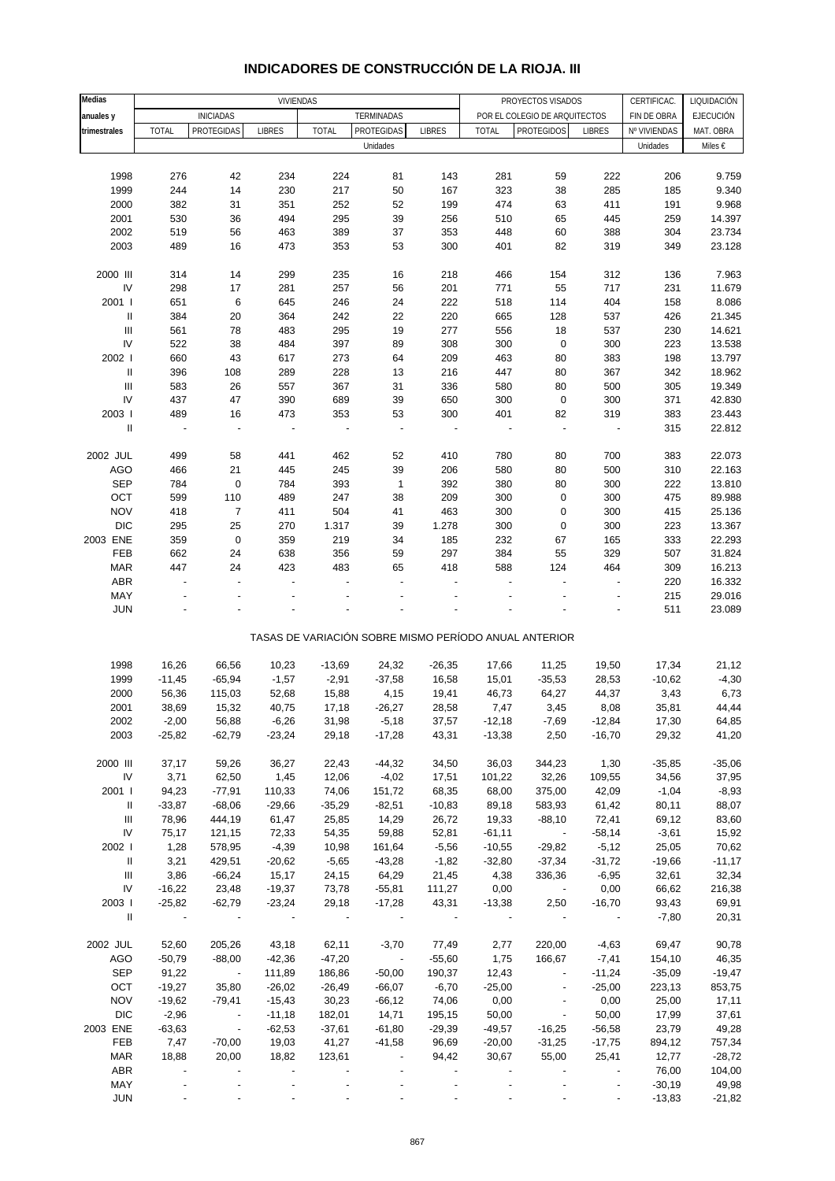| Medias                                    |                | VIVIENDAS                |                          |              |                          |               | PROYECTOS VISADOS<br>CERTIFICAC. |                                                       |                |              | LIQUIDACIÓN      |
|-------------------------------------------|----------------|--------------------------|--------------------------|--------------|--------------------------|---------------|----------------------------------|-------------------------------------------------------|----------------|--------------|------------------|
| anuales y                                 |                | <b>INICIADAS</b>         |                          |              | TERMINADAS               |               |                                  | POR EL COLEGIO DE ARQUITECTOS                         |                | FIN DE OBRA  | <b>EJECUCIÓN</b> |
| trimestrales                              | <b>TOTAL</b>   | PROTEGIDAS               | <b>LIBRES</b>            | <b>TOTAL</b> | PROTEGIDAS               | <b>LIBRES</b> | <b>TOTAL</b>                     | <b>PROTEGIDOS</b>                                     | <b>LIBRES</b>  | Nº VIVIENDAS | MAT. OBRA        |
|                                           |                |                          |                          |              | Unidades                 |               |                                  |                                                       |                | Unidades     | Miles €          |
|                                           |                |                          |                          |              |                          |               |                                  |                                                       |                |              |                  |
| 1998                                      | 276            | 42                       | 234                      | 224          | 81                       | 143           | 281                              | 59                                                    | 222            | 206          | 9.759            |
| 1999                                      | 244            | 14                       | 230                      | 217          | 50                       | 167           | 323                              | 38                                                    | 285            | 185          | 9.340            |
| 2000                                      | 382            | 31                       | 351                      | 252          | 52                       | 199           | 474                              | 63                                                    | 411            | 191          | 9.968            |
| 2001                                      | 530            | 36                       | 494                      | 295          | 39                       | 256           | 510                              | 65                                                    | 445            | 259          | 14.397           |
| 2002                                      | 519            | 56                       | 463                      | 389          | 37                       | 353           | 448                              | 60                                                    | 388            | 304          | 23.734           |
| 2003                                      | 489            | 16                       | 473                      | 353          | 53                       | 300           | 401                              | 82                                                    | 319            | 349          | 23.128           |
|                                           |                |                          |                          |              |                          |               |                                  |                                                       |                |              |                  |
| 2000 III                                  | 314            | 14                       | 299                      | 235          | 16                       | 218           | 466                              | 154                                                   | 312            | 136          | 7.963            |
| IV                                        | 298            | 17                       | 281                      | 257          | 56                       | 201           | 771                              | 55                                                    | 717            | 231          | 11.679           |
| 2001 l                                    | 651            | 6                        | 645                      | 246          | 24                       | 222           | 518                              | 114                                                   | 404            | 158          | 8.086            |
| $\ensuremath{\mathsf{II}}$                | 384            | 20                       | 364                      | 242          | 22                       | 220           | 665                              | 128                                                   | 537            | 426          | 21.345           |
| $\ensuremath{\mathsf{III}}\xspace$        | 561            | 78                       | 483                      | 295          | 19                       | 277           | 556                              | 18                                                    | 537            | 230          | 14.621           |
| IV                                        | 522            | 38                       | 484                      | 397          | 89                       | 308           | 300                              | $\pmb{0}$                                             | 300            | 223          | 13.538           |
| 2002                                      | 660            | 43                       | 617                      | 273          | 64                       | 209           | 463                              | 80                                                    | 383            | 198          | 13.797           |
| $\mathbf{II}$                             | 396            | 108                      | 289                      | 228          | 13                       | 216           | 447                              | 80                                                    | 367            | 342          | 18.962           |
| $\label{eq:1} \prod_{i=1}^n \mathbb{I}_i$ | 583            | 26                       | 557                      | 367          | 31                       | 336           | 580                              | 80                                                    | 500            | 305          | 19.349           |
| IV                                        | 437            | 47                       | 390                      | 689          | 39                       | 650           | 300                              | $\pmb{0}$                                             | 300            | 371          | 42.830           |
| 2003                                      | 489            | 16                       | 473                      | 353          | 53                       | 300           | 401                              | 82                                                    | 319            | 383          | 23.443           |
| Ш                                         | $\blacksquare$ | $\overline{\phantom{a}}$ | $\overline{\phantom{a}}$ |              | ÷                        |               |                                  | $\overline{\phantom{a}}$                              | $\blacksquare$ | 315          | 22.812           |
|                                           |                |                          |                          |              |                          |               |                                  |                                                       |                |              |                  |
| 2002 JUL                                  | 499            | 58                       | 441                      | 462          | 52                       | 410           | 780                              | 80                                                    | 700            | 383          | 22.073           |
| <b>AGO</b>                                | 466            | 21                       | 445                      | 245          | 39                       | 206           | 580                              | 80                                                    | 500            | 310          | 22.163           |
| <b>SEP</b>                                | 784            | $\pmb{0}$                | 784                      | 393          | $\mathbf{1}$             | 392           | 380                              | 80                                                    | 300            | 222          | 13.810           |
| OCT                                       | 599            | 110                      | 489                      | 247          | 38                       | 209           | 300                              | $\pmb{0}$                                             | 300            | 475          | 89.988           |
| <b>NOV</b>                                | 418            | $\overline{7}$           | 411                      | 504          | 41                       | 463           | 300                              | $\pmb{0}$                                             | 300            | 415          | 25.136           |
| DIC                                       | 295            | 25                       | 270                      | 1.317        | 39                       | 1.278         | 300                              | 0                                                     | 300            | 223          | 13.367           |
| 2003 ENE                                  | 359            | $\pmb{0}$                | 359                      | 219          | 34                       | 185           | 232                              | 67                                                    | 165            | 333          | 22.293           |
| FEB                                       | 662            | 24                       | 638                      | 356          | 59                       | 297           | 384                              | 55                                                    | 329            | 507          | 31.824           |
| <b>MAR</b>                                | 447            | 24                       | 423                      | 483          | 65                       | 418           | 588                              | 124                                                   | 464            | 309          | 16.213           |
| ABR                                       |                |                          |                          |              |                          |               |                                  |                                                       | $\overline{a}$ | 220          | 16.332           |
| MAY                                       |                |                          |                          |              |                          |               |                                  |                                                       | ÷,             | 215          | 29.016           |
| <b>JUN</b>                                |                |                          |                          |              |                          |               |                                  |                                                       |                | 511          | 23.089           |
|                                           |                |                          |                          |              |                          |               |                                  | TASAS DE VARIACIÓN SOBRE MISMO PERÍODO ANUAL ANTERIOR |                |              |                  |
| 1998                                      | 16,26          | 66,56                    | 10,23                    | $-13,69$     | 24,32                    | $-26,35$      | 17,66                            | 11,25                                                 | 19,50          | 17,34        | 21,12            |
| 1999                                      | $-11,45$       | $-65,94$                 | $-1,57$                  | $-2,91$      | $-37,58$                 | 16,58         | 15,01                            | $-35,53$                                              | 28,53          | $-10,62$     | $-4,30$          |
| 2000                                      | 56,36          | 115,03                   | 52,68                    | 15,88        | 4,15                     | 19,41         | 46,73                            | 64,27                                                 | 44,37          | 3,43         | 6,73             |
| 2001                                      | 38,69          | 15,32                    | 40,75                    | 17,18        | $-26,27$                 | 28,58         | 7,47                             | 3,45                                                  | 8,08           | 35,81        | 44,44            |
| 2002                                      | $-2,00$        | 56,88                    | $-6,26$                  | 31,98        | $-5,18$                  | 37,57         | $-12,18$                         | $-7,69$                                               | $-12,84$       | 17,30        | 64,85            |
| 2003                                      | $-25,82$       | $-62,79$                 | $-23,24$                 | 29,18        | $-17,28$                 | 43,31         | $-13,38$                         | 2,50                                                  | $-16,70$       | 29,32        | 41,20            |
|                                           |                |                          |                          |              |                          |               |                                  |                                                       |                |              |                  |
| 2000 III                                  | 37,17          | 59,26                    | 36,27                    | 22,43        | $-44,32$                 | 34,50         | 36,03                            | 344,23                                                | 1,30           | $-35,85$     | $-35,06$         |
| ${\sf IV}$                                | 3,71           | 62,50                    | 1,45                     | 12,06        | $-4,02$                  | 17,51         | 101,22                           | 32,26                                                 | 109,55         | 34,56        | 37,95            |
| 2001 l                                    | 94,23          | $-77,91$                 | 110,33                   | 74,06        | 151,72                   | 68,35         | 68,00                            | 375,00                                                | 42,09          | $-1,04$      | $-8,93$          |
| Ш                                         | $-33,87$       | $-68,06$                 | $-29,66$                 | $-35,29$     | $-82,51$                 | $-10,83$      | 89,18                            | 583,93                                                | 61,42          | 80,11        | 88,07            |
| $\ensuremath{\mathsf{III}}\xspace$        | 78,96          | 444,19                   | 61,47                    | 25,85        | 14,29                    | 26,72         | 19,33                            | $-88,10$                                              | 72,41          | 69,12        | 83,60            |
| IV                                        | 75,17          | 121,15                   | 72,33                    | 54,35        | 59,88                    | 52,81         | $-61,11$                         | $\sim 100$                                            | $-58,14$       | $-3,61$      | 15,92            |
| 2002                                      | 1,28           | 578,95                   | $-4,39$                  | 10,98        | 161,64                   | $-5,56$       | $-10,55$                         | $-29,82$                                              | $-5,12$        | 25,05        | 70,62            |
| Ш                                         | 3,21           | 429,51                   | $-20,62$                 | $-5,65$      | $-43,28$                 | $-1,82$       | $-32,80$                         | $-37,34$                                              | $-31,72$       | $-19,66$     | $-11,17$         |
| Ш                                         | 3,86           | $-66,24$                 | 15,17                    | 24,15        | 64,29                    | 21,45         | 4,38                             | 336,36                                                | $-6,95$        | 32,61        | 32,34            |
| IV                                        | $-16,22$       | 23,48                    | $-19,37$                 | 73,78        | $-55,81$                 | 111,27        | 0,00                             | $\sim 10^{-10}$                                       | 0,00           | 66,62        | 216,38           |
| 2003                                      | $-25,82$       | $-62,79$                 | $-23,24$                 | 29,18        | $-17,28$                 | 43,31         | $-13,38$                         | 2,50                                                  | $-16,70$       | 93,43        | 69,91            |
| $\mathbf{II}$                             | $\sim$ $-$     |                          |                          |              |                          |               |                                  |                                                       |                | $-7,80$      | 20,31            |
| 2002 JUL                                  | 52,60          | 205,26                   | 43,18                    | 62,11        | $-3,70$                  | 77,49         | 2,77                             | 220,00                                                | $-4,63$        | 69,47        | 90,78            |
| AGO                                       | $-50,79$       | $-88,00$                 | $-42,36$                 | $-47,20$     | $\overline{\phantom{a}}$ | $-55,60$      | 1,75                             | 166,67                                                | $-7,41$        | 154,10       | 46,35            |
| <b>SEP</b>                                | 91,22          | $\sim 10^{-1}$ m         | 111,89                   | 186,86       | $-50,00$                 | 190,37        | 12,43                            | $\overline{\phantom{a}}$                              | $-11,24$       | $-35,09$     | $-19,47$         |
| OCT                                       | $-19,27$       | 35,80                    | $-26,02$                 | $-26,49$     | $-66,07$                 | $-6,70$       | $-25,00$                         | $\overline{\phantom{a}}$                              | $-25,00$       | 223,13       | 853,75           |
| <b>NOV</b>                                | $-19,62$       | $-79,41$                 | $-15,43$                 | 30,23        | $-66,12$                 | 74,06         | 0,00                             | $\overline{\phantom{a}}$                              | 0,00           | 25,00        | 17,11            |
| <b>DIC</b>                                | $-2,96$        | $\sim$ $-$               | $-11,18$                 | 182,01       | 14,71                    | 195,15        | 50,00                            | $\overline{\phantom{a}}$                              | 50,00          | 17,99        | 37,61            |
| 2003 ENE                                  | $-63,63$       | $\overline{\phantom{a}}$ | $-62,53$                 | $-37,61$     | $-61,80$                 | $-29,39$      | $-49,57$                         | $-16,25$                                              | $-56,58$       | 23,79        | 49,28            |
| FEB                                       | 7,47           | $-70,00$                 | 19,03                    | 41,27        | $-41,58$                 | 96,69         | $-20,00$                         | $-31,25$                                              | $-17,75$       | 894,12       | 757,34           |
| <b>MAR</b>                                | 18,88          | 20,00                    | 18,82                    | 123,61       | $\overline{\phantom{a}}$ | 94,42         | 30,67                            | 55,00                                                 | 25,41          | 12,77        | $-28,72$         |
| ABR                                       |                |                          |                          |              |                          |               |                                  |                                                       |                | 76,00        | 104,00           |
| MAY                                       |                |                          |                          |              |                          |               |                                  |                                                       |                | $-30,19$     | 49,98            |
| <b>JUN</b>                                |                |                          |                          |              |                          |               |                                  |                                                       |                | $-13,83$     | $-21,82$         |

### **INDICADORES DE CONSTRUCCIÓN DE LA RIOJA. III**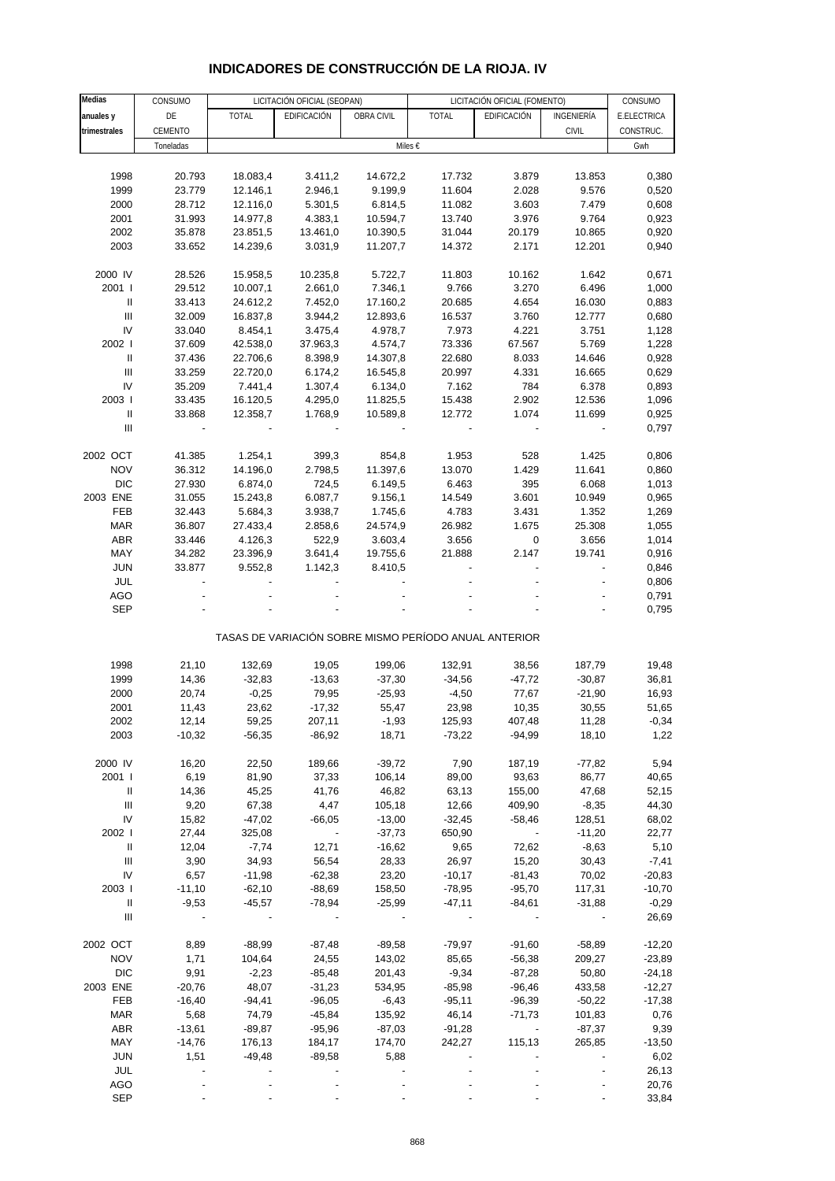# **INDICADORES DE CONSTRUCCIÓN DE LA RIOJA. IV**

| <b>Medias</b>                      | CONSUMO   |              | LICITACIÓN OFICIAL (SEOPAN) |            |                                                       | LICITACIÓN OFICIAL (FOMENTO) |              | CONSUMO     |
|------------------------------------|-----------|--------------|-----------------------------|------------|-------------------------------------------------------|------------------------------|--------------|-------------|
| anuales y                          | DE        | <b>TOTAL</b> | EDIFICACIÓN                 | OBRA CIVIL | <b>TOTAL</b>                                          | EDIFICACIÓN                  | INGENIERÍA   | E.ELECTRICA |
| trimestrales                       | CEMENTO   |              |                             |            |                                                       |                              | <b>CIVIL</b> | CONSTRUC.   |
|                                    | Toneladas |              |                             | Miles €    |                                                       |                              |              | Gwh         |
|                                    |           |              |                             |            |                                                       |                              |              |             |
|                                    |           |              |                             |            |                                                       |                              |              |             |
| 1998                               | 20.793    | 18.083,4     | 3.411,2                     | 14.672,2   | 17.732                                                | 3.879                        | 13.853       | 0,380       |
| 1999                               | 23.779    | 12.146,1     | 2.946,1                     | 9.199,9    | 11.604                                                | 2.028                        | 9.576        | 0,520       |
| 2000                               | 28.712    | 12.116,0     | 5.301,5                     | 6.814,5    | 11.082                                                | 3.603                        | 7.479        | 0,608       |
| 2001                               | 31.993    | 14.977,8     | 4.383,1                     | 10.594,7   | 13.740                                                | 3.976                        | 9.764        | 0,923       |
| 2002                               | 35.878    | 23.851,5     | 13.461,0                    | 10.390,5   | 31.044                                                | 20.179                       | 10.865       | 0,920       |
| 2003                               | 33.652    | 14.239,6     | 3.031,9                     | 11.207,7   | 14.372                                                | 2.171                        | 12.201       | 0,940       |
|                                    |           |              |                             |            |                                                       |                              |              |             |
|                                    |           |              |                             |            |                                                       |                              |              |             |
| 2000 IV                            | 28.526    | 15.958,5     | 10.235,8                    | 5.722,7    | 11.803                                                | 10.162                       | 1.642        | 0,671       |
| 2001 l                             | 29.512    | 10.007,1     | 2.661,0                     | 7.346,1    | 9.766                                                 | 3.270                        | 6.496        | 1,000       |
| Ш                                  | 33.413    | 24.612,2     | 7.452,0                     | 17.160,2   | 20.685                                                | 4.654                        | 16.030       | 0,883       |
| III                                | 32.009    | 16.837,8     | 3.944,2                     | 12.893,6   | 16.537                                                | 3.760                        | 12.777       | 0,680       |
| IV                                 | 33.040    | 8.454,1      | 3.475,4                     | 4.978,7    | 7.973                                                 | 4.221                        | 3.751        | 1,128       |
| 2002                               | 37.609    | 42.538,0     | 37.963,3                    | 4.574,7    | 73.336                                                | 67.567                       | 5.769        | 1,228       |
| $\mathbf{II}$                      | 37.436    | 22.706,6     | 8.398,9                     | 14.307,8   | 22.680                                                | 8.033                        | 14.646       | 0,928       |
| III                                | 33.259    | 22.720,0     | 6.174,2                     | 16.545,8   | 20.997                                                | 4.331                        | 16.665       | 0,629       |
|                                    |           |              |                             |            |                                                       |                              |              |             |
| IV                                 | 35.209    | 7.441,4      | 1.307,4                     | 6.134,0    | 7.162                                                 | 784                          | 6.378        | 0,893       |
| 2003                               | 33.435    | 16.120,5     | 4.295,0                     | 11.825,5   | 15.438                                                | 2.902                        | 12.536       | 1,096       |
| Ш                                  | 33.868    | 12.358,7     | 1.768,9                     | 10.589,8   | 12.772                                                | 1.074                        | 11.699       | 0,925       |
| $\ensuremath{\mathsf{III}}\xspace$ |           |              |                             |            |                                                       |                              |              | 0,797       |
|                                    |           |              |                             |            |                                                       |                              |              |             |
| 2002 OCT                           | 41.385    | 1.254,1      | 399,3                       | 854,8      | 1.953                                                 | 528                          | 1.425        | 0,806       |
| <b>NOV</b>                         | 36.312    | 14.196,0     | 2.798,5                     | 11.397,6   | 13.070                                                | 1.429                        | 11.641       | 0,860       |
| <b>DIC</b>                         | 27.930    | 6.874,0      | 724,5                       | 6.149,5    | 6.463                                                 | 395                          | 6.068        | 1,013       |
| 2003 ENE                           | 31.055    | 15.243,8     | 6.087,7                     | 9.156,1    | 14.549                                                | 3.601                        | 10.949       | 0,965       |
|                                    |           |              |                             |            |                                                       |                              |              |             |
| FEB                                | 32.443    | 5.684,3      | 3.938,7                     | 1.745,6    | 4.783                                                 | 3.431                        | 1.352        | 1,269       |
| <b>MAR</b>                         | 36.807    | 27.433,4     | 2.858,6                     | 24.574,9   | 26.982                                                | 1.675                        | 25.308       | 1,055       |
| ABR                                | 33.446    | 4.126,3      | 522,9                       | 3.603,4    | 3.656                                                 | 0                            | 3.656        | 1,014       |
| MAY                                | 34.282    | 23.396,9     | 3.641,4                     | 19.755,6   | 21.888                                                | 2.147                        | 19.741       | 0,916       |
| <b>JUN</b>                         | 33.877    | 9.552,8      | 1.142,3                     | 8.410,5    |                                                       |                              |              | 0,846       |
| JUL                                |           |              |                             |            |                                                       |                              |              | 0,806       |
| AGO                                |           |              |                             |            |                                                       |                              |              | 0,791       |
| <b>SEP</b>                         |           |              |                             |            |                                                       |                              |              | 0,795       |
|                                    |           |              |                             |            |                                                       |                              |              |             |
|                                    |           |              |                             |            | TASAS DE VARIACIÓN SOBRE MISMO PERÍODO ANUAL ANTERIOR |                              |              |             |
|                                    |           |              |                             |            |                                                       |                              |              |             |
| 1998                               | 21,10     | 132,69       | 19,05                       | 199,06     | 132,91                                                | 38,56                        | 187,79       | 19,48       |
|                                    |           |              |                             |            |                                                       |                              |              |             |
| 1999                               | 14,36     | $-32,83$     | $-13,63$                    | $-37,30$   | $-34,56$                                              | $-47,72$                     | $-30,87$     | 36,81       |
| 2000                               | 20,74     | $-0,25$      | 79,95                       | $-25,93$   | $-4,50$                                               | 77,67                        | $-21,90$     | 16,93       |
| 2001                               | 11,43     | 23,62        | $-17,32$                    | 55,47      | 23,98                                                 | 10,35                        | 30,55        | 51,65       |
| 2002                               | 12,14     | 59,25        | 207,11                      | $-1,93$    | 125,93                                                | 407,48                       | 11,28        | $-0,34$     |
| 2003                               | $-10,32$  | $-56,35$     | $-86,92$                    | 18,71      | -73,22                                                | $-94,99$                     | 18,10        | 1,22        |
|                                    |           |              |                             |            |                                                       |                              |              |             |
| 2000 IV                            | 16,20     | 22,50        | 189,66                      | $-39,72$   | 7,90                                                  | 187,19                       | $-77,82$     | 5,94        |
| 2001 l                             | 6,19      | 81,90        | 37,33                       | 106,14     | 89,00                                                 | 93,63                        | 86,77        | 40,65       |
| Ш                                  | 14,36     | 45,25        | 41,76                       | 46,82      | 63,13                                                 | 155,00                       | 47,68        | 52,15       |
| $\mathbf{III}$                     |           |              |                             |            |                                                       |                              |              |             |
|                                    | 9,20      | 67,38        | 4,47                        | 105,18     | 12,66                                                 | 409,90                       | $-8,35$      | 44,30       |
| IV                                 | 15,82     | $-47,02$     | $-66,05$                    | $-13,00$   | $-32,45$                                              | $-58,46$                     | 128,51       | 68,02       |
| 2002                               | 27,44     | 325,08       | $\sim$                      | $-37,73$   | 650,90                                                |                              | $-11,20$     | 22,77       |
| $\mathbf{II}$                      | 12,04     | $-7,74$      | 12,71                       | $-16,62$   | 9,65                                                  | 72,62                        | $-8,63$      | 5,10        |
| $\ensuremath{\mathsf{III}}\xspace$ | 3,90      | 34,93        | 56,54                       | 28,33      | 26,97                                                 | 15,20                        | 30,43        | $-7,41$     |
| ${\sf IV}$                         | 6,57      | $-11,98$     | $-62,38$                    | 23,20      | $-10,17$                                              | $-81,43$                     | 70,02        | $-20,83$    |
| 2003                               | $-11,10$  | $-62,10$     | $-88,69$                    | 158,50     | $-78,95$                                              | $-95,70$                     | 117,31       | $-10,70$    |
| $\ensuremath{\mathsf{II}}$         | $-9,53$   | $-45,57$     | $-78,94$                    | $-25,99$   | $-47,11$                                              | $-84,61$                     | $-31,88$     | $-0,29$     |
| $\ensuremath{\mathsf{III}}\xspace$ |           |              |                             |            |                                                       |                              |              | 26,69       |
|                                    |           |              |                             |            |                                                       |                              |              |             |
|                                    |           |              |                             |            |                                                       |                              |              |             |
| 2002 OCT                           | 8,89      | $-88,99$     | $-87,48$                    | $-89,58$   | $-79,97$                                              | $-91,60$                     | $-58,89$     | $-12,20$    |
| <b>NOV</b>                         | 1,71      | 104,64       | 24,55                       | 143,02     | 85,65                                                 | $-56,38$                     | 209,27       | $-23,89$    |
| <b>DIC</b>                         | 9,91      | $-2,23$      | $-85,48$                    | 201,43     | $-9,34$                                               | $-87,28$                     | 50,80        | $-24,18$    |
| 2003 ENE                           | $-20,76$  | 48,07        | $-31,23$                    | 534,95     | $-85,98$                                              | $-96,46$                     | 433,58       | $-12,27$    |
| FEB                                | $-16,40$  | $-94,41$     | $-96,05$                    | $-6,43$    | $-95,11$                                              | $-96,39$                     | $-50,22$     | $-17,38$    |
| <b>MAR</b>                         | 5,68      | 74,79        | $-45,84$                    | 135,92     | 46,14                                                 | $-71,73$                     | 101,83       | 0,76        |
| ABR                                | $-13,61$  | $-89,87$     | $-95,96$                    | $-87,03$   | $-91,28$                                              | $\overline{\phantom{a}}$     | $-87,37$     | 9,39        |
| MAY                                | $-14,76$  | 176,13       | 184,17                      | 174,70     | 242,27                                                | 115,13                       | 265,85       | $-13,50$    |
| <b>JUN</b>                         |           |              |                             |            |                                                       |                              |              |             |
|                                    | 1,51      | $-49,48$     | $-89,58$                    | 5,88       |                                                       |                              |              | 6,02        |
| JUL                                |           |              |                             |            |                                                       |                              |              | 26,13       |
| <b>AGO</b>                         |           |              |                             |            |                                                       |                              |              | 20,76       |
| <b>SEP</b>                         |           |              |                             |            |                                                       |                              |              | 33,84       |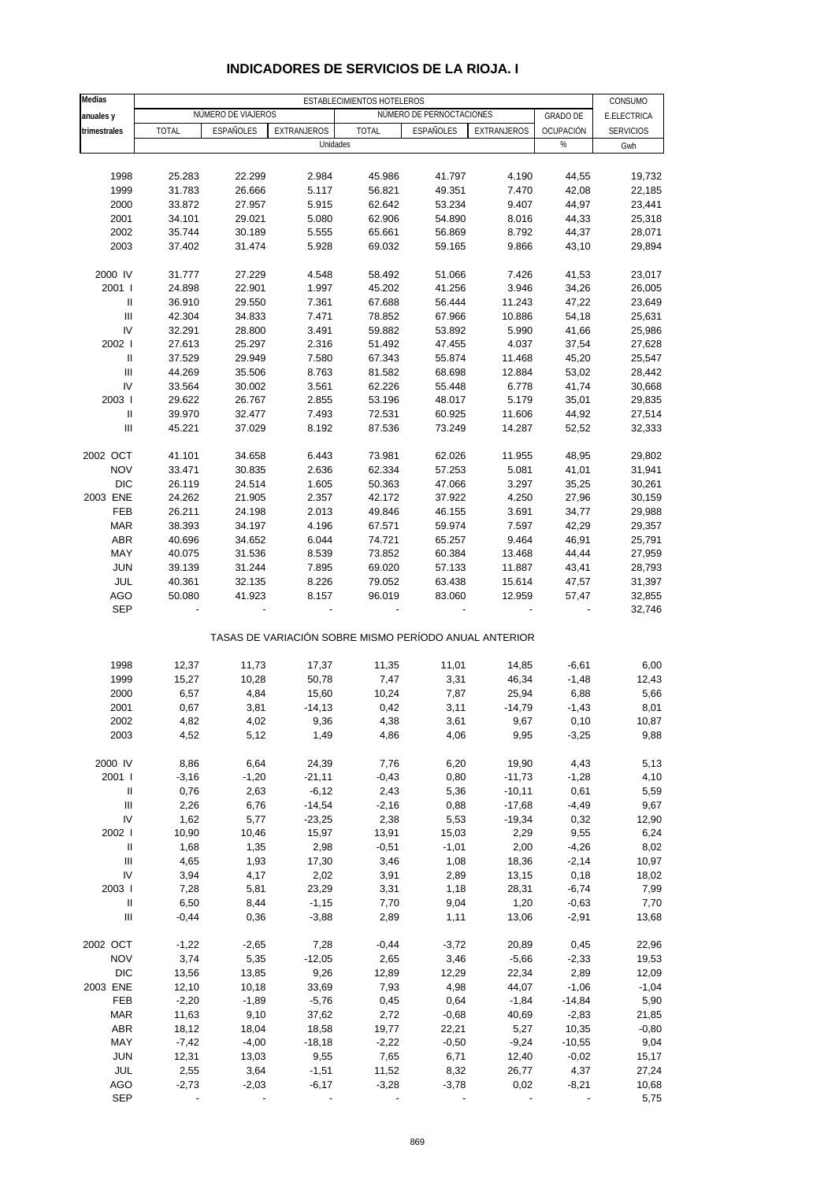| Medias                               |                 |                    |                     | ESTABLECIMIENTOS HOTELEROS                            |                          |                      |                  | CONSUMO          |
|--------------------------------------|-----------------|--------------------|---------------------|-------------------------------------------------------|--------------------------|----------------------|------------------|------------------|
| anuales y                            |                 | NÚMERO DE VIAJEROS |                     |                                                       | NÚMERO DE PERNOCTACIONES |                      | <b>GRADO DE</b>  | E.ELECTRICA      |
| trimestrales                         | <b>TOTAL</b>    | <b>ESPAÑOLES</b>   | <b>EXTRANJEROS</b>  | <b>TOTAL</b>                                          | ESPAÑOLES                | <b>EXTRANJEROS</b>   | OCUPACIÓN        | <b>SERVICIOS</b> |
|                                      |                 |                    |                     | Unidades                                              |                          |                      | $\%$             | Gwh              |
|                                      |                 |                    |                     |                                                       |                          |                      |                  |                  |
| 1998                                 | 25.283          | 22.299             | 2.984               | 45.986                                                | 41.797                   | 4.190                | 44,55            | 19,732           |
| 1999                                 | 31.783          | 26.666             | 5.117               | 56.821                                                | 49.351                   | 7.470                | 42,08            | 22,185           |
| 2000                                 | 33.872          | 27.957             | 5.915               | 62.642                                                | 53.234                   | 9.407                | 44,97            | 23,441           |
| 2001                                 | 34.101          | 29.021             | 5.080               | 62.906                                                | 54.890                   | 8.016                | 44,33            | 25,318           |
| 2002                                 | 35.744          | 30.189             | 5.555               | 65.661                                                | 56.869                   | 8.792                | 44,37            | 28,071           |
| 2003                                 | 37.402          | 31.474             | 5.928               | 69.032                                                | 59.165                   | 9.866                | 43,10            | 29,894           |
| 2000 IV                              | 31.777          | 27.229             | 4.548               | 58.492                                                | 51.066                   | 7.426                | 41,53            | 23,017           |
| 2001 l                               | 24.898          | 22.901             | 1.997               | 45.202                                                | 41.256                   | 3.946                | 34,26            | 26,005           |
| Ш                                    | 36.910          | 29.550             | 7.361               | 67.688                                                | 56.444                   | 11.243               | 47,22            | 23,649           |
| Ш                                    | 42.304          | 34.833             | 7.471               | 78.852                                                | 67.966                   | 10.886               | 54,18            | 25,631           |
| IV                                   | 32.291          | 28.800             | 3.491               | 59.882                                                | 53.892                   | 5.990                | 41,66            | 25,986           |
| 2002 l                               | 27.613          | 25.297             | 2.316               | 51.492                                                | 47.455                   | 4.037                | 37,54            | 27,628           |
| Ш                                    | 37.529          | 29.949             | 7.580               | 67.343                                                | 55.874                   | 11.468               | 45,20            | 25,547           |
| $\mathbf{III}$                       | 44.269          | 35.506             | 8.763               | 81.582                                                | 68.698                   | 12.884               | 53,02            | 28,442           |
| IV                                   | 33.564          | 30.002             | 3.561               | 62.226                                                | 55.448                   | 6.778                | 41,74            | 30,668           |
| 2003                                 | 29.622          | 26.767             | 2.855               | 53.196                                                | 48.017                   | 5.179                | 35,01            | 29,835           |
| $\ensuremath{\mathsf{II}}$           | 39.970          | 32.477             | 7.493               | 72.531                                                | 60.925                   | 11.606               | 44,92            | 27,514           |
| $\mathbf{III}$                       | 45.221          | 37.029             | 8.192               | 87.536                                                | 73.249                   | 14.287               | 52,52            | 32,333           |
| 2002 OCT                             | 41.101          | 34.658             | 6.443               | 73.981                                                | 62.026                   | 11.955               | 48,95            | 29,802           |
| <b>NOV</b>                           | 33.471          | 30.835             | 2.636               | 62.334                                                | 57.253                   | 5.081                | 41,01            | 31,941           |
| <b>DIC</b>                           | 26.119          | 24.514             | 1.605               | 50.363                                                | 47.066                   | 3.297                | 35,25            | 30,261           |
| 2003 ENE                             | 24.262          | 21.905             | 2.357               | 42.172                                                | 37.922                   | 4.250                | 27,96            | 30,159           |
| FEB                                  | 26.211          | 24.198             | 2.013               | 49.846                                                | 46.155                   | 3.691                | 34,77            | 29,988           |
| <b>MAR</b>                           | 38.393          | 34.197             | 4.196               | 67.571                                                | 59.974                   | 7.597                | 42,29            | 29,357           |
| <b>ABR</b>                           | 40.696          | 34.652             | 6.044               | 74.721                                                | 65.257                   | 9.464                | 46,91            | 25,791           |
| MAY                                  | 40.075          | 31.536             | 8.539               | 73.852                                                | 60.384                   | 13.468               | 44,44            | 27,959           |
| <b>JUN</b>                           | 39.139          | 31.244             | 7.895               | 69.020                                                | 57.133                   | 11.887               | 43,41            | 28,793           |
| JUL                                  | 40.361          | 32.135             | 8.226               | 79.052                                                | 63.438                   | 15.614               | 47,57            | 31,397           |
| <b>AGO</b>                           | 50.080          | 41.923             | 8.157               | 96.019                                                | 83.060                   | 12.959               | 57,47            | 32,855           |
| <b>SEP</b>                           |                 |                    |                     |                                                       |                          |                      |                  | 32,746           |
|                                      |                 |                    |                     | TASAS DE VARIACIÓN SOBRE MISMO PERÍODO ANUAL ANTERIOR |                          |                      |                  |                  |
|                                      |                 |                    |                     |                                                       |                          |                      |                  |                  |
| 1998                                 | 12,37           | 11,73              | 17,37               | 11,35                                                 | 11,01                    | 14,85                | $-6,61$          | 6,00             |
| 1999                                 | 15,27           | 10,28              | 50,78               | 7,47                                                  | 3,31                     | 46,34                | $-1,48$          | 12,43            |
| 2000                                 | 6,57            | 4,84               | 15,60               | 10,24                                                 | 7,87                     | 25,94                | 6,88             | 5,66             |
| 2001                                 | 0,67            | 3,81               | $-14, 13$           | 0,42                                                  | 3,11                     | $-14,79$             | $-1,43$          | 8,01             |
| 2002                                 | 4,82            | 4,02               | 9,36                | 4,38                                                  | 3,61                     | 9,67                 | 0,10             | 10,87            |
| 2003                                 | 4,52            | 5,12               | 1,49                | 4,86                                                  | 4,06                     | 9,95                 | $-3,25$          | 9,88             |
|                                      |                 |                    |                     |                                                       |                          |                      |                  |                  |
| 2000 IV                              | 8,86            | 6,64               | 24,39               | 7,76                                                  | 6,20                     | 19,90                | 4,43             | 5,13             |
| 2001 l<br>$\ensuremath{\mathsf{II}}$ | $-3,16$<br>0,76 | $-1,20$            | $-21,11$            | $-0,43$                                               | 0,80                     | $-11,73$             | $-1,28$<br>0,61  | 4,10             |
| Ш                                    | 2,26            | 2,63<br>6,76       | $-6,12$<br>$-14,54$ | 2,43<br>$-2,16$                                       | 5,36<br>0,88             | $-10,11$<br>$-17,68$ | $-4,49$          | 5,59<br>9,67     |
| IV                                   | 1,62            | 5,77               | $-23,25$            | 2,38                                                  | 5,53                     | $-19,34$             | 0,32             | 12,90            |
| 2002                                 | 10,90           | 10,46              | 15,97               | 13,91                                                 | 15,03                    | 2,29                 | 9,55             | 6,24             |
| Ш                                    | 1,68            | 1,35               | 2,98                | $-0,51$                                               | $-1,01$                  | 2,00                 | $-4,26$          | 8,02             |
| $\ensuremath{\mathsf{III}}\xspace$   | 4,65            | 1,93               | 17,30               | 3,46                                                  | 1,08                     | 18,36                | $-2,14$          | 10,97            |
| IV                                   | 3,94            | 4,17               | 2,02                | 3,91                                                  | 2,89                     | 13,15                | 0,18             | 18,02            |
| 2003                                 | 7,28            | 5,81               | 23,29               | 3,31                                                  | 1,18                     | 28,31                | $-6,74$          | 7,99             |
| Ш                                    | 6,50            | 8,44               | $-1,15$             | 7,70                                                  | 9,04                     | 1,20                 | $-0,63$          | 7,70             |
| $\ensuremath{\mathsf{III}}\xspace$   | $-0,44$         | 0,36               | $-3,88$             | 2,89                                                  | 1,11                     | 13,06                | $-2,91$          | 13,68            |
|                                      |                 |                    |                     |                                                       |                          |                      |                  |                  |
| 2002 OCT                             | $-1,22$         | $-2,65$            | 7,28                | $-0,44$                                               | $-3,72$                  | 20,89                | 0,45             | 22,96            |
| <b>NOV</b>                           | 3,74            | 5,35               | $-12,05$            | 2,65                                                  | 3,46                     | $-5,66$              | $-2,33$          | 19,53            |
| <b>DIC</b>                           | 13,56           | 13,85              | 9,26                | 12,89                                                 | 12,29                    | 22,34                | 2,89             | 12,09            |
| 2003 ENE                             | 12,10           | 10,18              | 33,69               | 7,93                                                  | 4,98                     | 44,07                | $-1,06$          | $-1,04$          |
| FEB                                  | $-2,20$         | $-1,89$            | $-5,76$             | 0,45                                                  | 0,64                     | $-1,84$              | $-14,84$         | 5,90             |
| <b>MAR</b><br><b>ABR</b>             | 11,63<br>18,12  | 9,10<br>18,04      | 37,62<br>18,58      | 2,72<br>19,77                                         | $-0,68$<br>22,21         | 40,69<br>5,27        | $-2,83$<br>10,35 | 21,85            |
| MAY                                  | $-7,42$         | $-4,00$            | $-18,18$            | $-2,22$                                               | $-0,50$                  | $-9,24$              | $-10,55$         | $-0,80$<br>9,04  |
| <b>JUN</b>                           | 12,31           | 13,03              | 9,55                | 7,65                                                  | 6,71                     | 12,40                | $-0,02$          | 15,17            |
| JUL                                  | 2,55            | 3,64               | $-1,51$             | 11,52                                                 | 8,32                     | 26,77                | 4,37             | 27,24            |
| <b>AGO</b>                           | $-2,73$         | $-2,03$            | $-6,17$             | $-3,28$                                               | $-3,78$                  | 0,02                 | $-8,21$          | 10,68            |
| <b>SEP</b>                           |                 |                    |                     |                                                       |                          |                      |                  | 5,75             |

## **INDICADORES DE SERVICIOS DE LA RIOJA. I**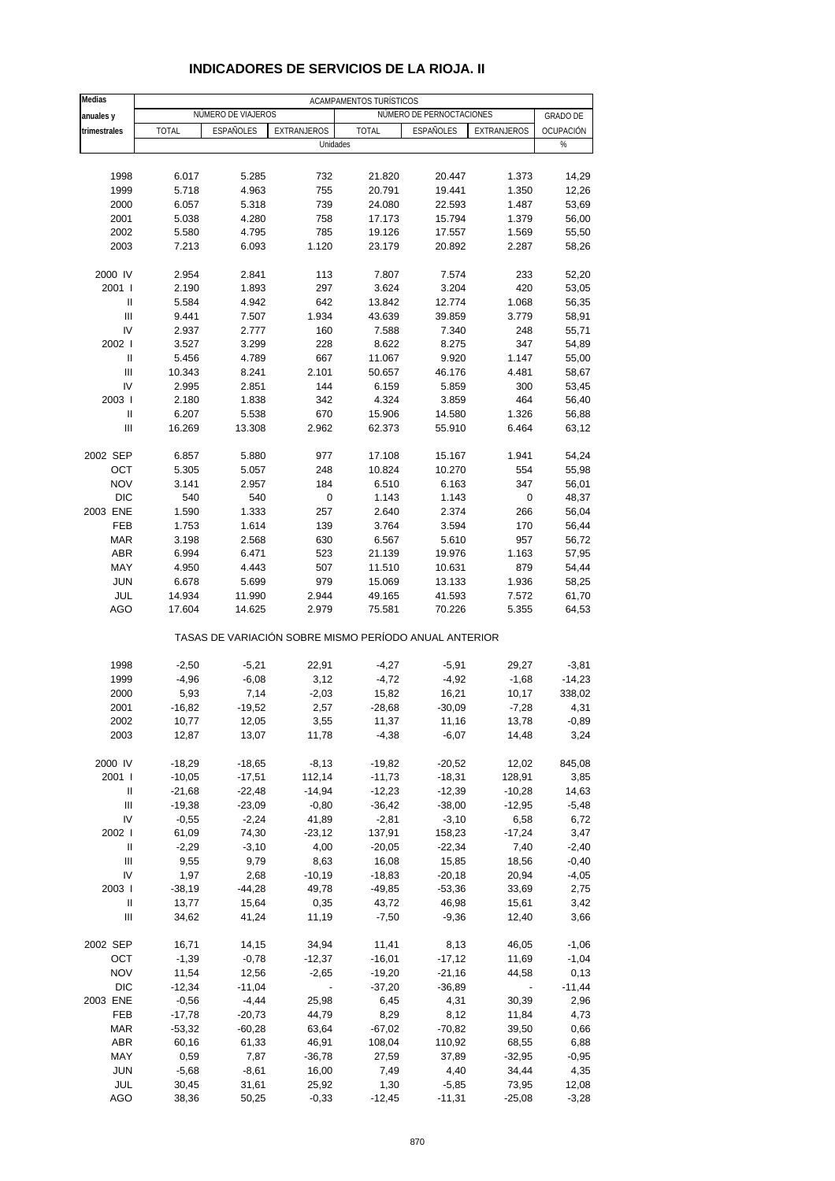| Medias                             |                    |                    |                         | ACAMPAMENTOS TURÍSTICOS                               |                          |                |                 |
|------------------------------------|--------------------|--------------------|-------------------------|-------------------------------------------------------|--------------------------|----------------|-----------------|
| anuales y                          |                    | NÚMERO DE VIAJEROS |                         |                                                       | NÚMERO DE PERNOCTACIONES |                | <b>GRADO DE</b> |
| trimestrales                       | <b>TOTAL</b>       | ESPAÑOLES          | EXTRANJEROS<br>Unidades | <b>TOTAL</b>                                          | ESPAÑOLES                | EXTRANJEROS    | OCUPACIÓN<br>%  |
|                                    |                    |                    |                         |                                                       |                          |                |                 |
| 1998                               | 6.017              | 5.285              | 732                     | 21.820                                                | 20.447                   | 1.373          | 14,29           |
| 1999                               | 5.718              | 4.963              | 755                     | 20.791                                                | 19.441                   | 1.350          | 12,26           |
| 2000                               | 6.057              | 5.318              | 739                     | 24.080                                                | 22.593                   | 1.487          | 53,69           |
| 2001                               | 5.038              | 4.280              | 758                     | 17.173                                                | 15.794                   | 1.379          | 56,00           |
| 2002                               | 5.580              | 4.795              | 785                     | 19.126                                                | 17.557                   | 1.569          | 55,50           |
| 2003                               | 7.213              | 6.093              | 1.120                   | 23.179                                                | 20.892                   | 2.287          | 58,26           |
|                                    |                    |                    |                         |                                                       |                          |                |                 |
| 2000 IV                            | 2.954              | 2.841              | 113                     | 7.807                                                 | 7.574                    | 233            | 52,20           |
| 2001 l                             | 2.190              | 1.893              | 297                     | 3.624                                                 | 3.204                    | 420            | 53,05           |
| Ш                                  | 5.584              | 4.942              | 642                     | 13.842                                                | 12.774                   | 1.068          | 56,35           |
| $\ensuremath{\mathsf{III}}\xspace$ | 9.441              | 7.507              | 1.934                   | 43.639                                                | 39.859                   | 3.779          | 58,91           |
| IV                                 | 2.937              | 2.777              | 160                     | 7.588                                                 | 7.340                    | 248            | 55,71           |
| 2002 l                             | 3.527              | 3.299              | 228                     | 8.622                                                 | 8.275                    | 347            | 54,89           |
| Ш                                  | 5.456              | 4.789              | 667                     | 11.067                                                | 9.920                    | 1.147          | 55,00           |
| $\mathbf{III}$                     | 10.343             | 8.241              | 2.101                   | 50.657                                                | 46.176                   | 4.481          | 58,67           |
| IV                                 | 2.995              | 2.851              | 144                     | 6.159                                                 | 5.859                    | 300            | 53,45           |
| 2003                               | 2.180              | 1.838              | 342                     | 4.324                                                 | 3.859                    | 464            | 56,40           |
| Ш                                  | 6.207              | 5.538              | 670                     | 15.906                                                | 14.580                   | 1.326          | 56,88           |
| Ш                                  | 16.269             | 13.308             | 2.962                   | 62.373                                                | 55.910                   | 6.464          | 63,12           |
|                                    |                    |                    |                         |                                                       |                          |                |                 |
| 2002 SEP                           | 6.857              | 5.880              | 977                     | 17.108                                                | 15.167                   | 1.941          | 54,24           |
| OCT                                | 5.305              | 5.057              | 248                     | 10.824                                                | 10.270                   | 554            | 55,98           |
| <b>NOV</b>                         | 3.141              | 2.957              | 184                     | 6.510                                                 | 6.163                    | 347            | 56,01           |
| <b>DIC</b>                         | 540                | 540                | 0                       | 1.143                                                 | 1.143                    | 0              | 48,37           |
| 2003 ENE                           | 1.590              | 1.333              | 257                     | 2.640                                                 | 2.374                    | 266            | 56,04           |
| <b>FEB</b>                         | 1.753              | 1.614              | 139                     | 3.764                                                 | 3.594                    | 170            | 56,44           |
| <b>MAR</b>                         | 3.198              | 2.568              | 630                     | 6.567                                                 | 5.610                    | 957            | 56,72           |
| <b>ABR</b>                         | 6.994              | 6.471              | 523                     | 21.139                                                | 19.976                   | 1.163          | 57,95           |
| MAY                                | 4.950              | 4.443              | 507                     | 11.510                                                | 10.631                   | 879            | 54,44           |
| <b>JUN</b>                         | 6.678              | 5.699              | 979                     | 15.069                                                | 13.133                   | 1.936          | 58,25           |
| JUL                                | 14.934             | 11.990             | 2.944                   | 49.165                                                | 41.593                   | 7.572          | 61,70           |
| AGO                                | 17.604             | 14.625             | 2.979                   | 75.581                                                | 70.226                   | 5.355          | 64,53           |
|                                    |                    |                    |                         | TASAS DE VARIACIÓN SOBRE MISMO PERÍODO ANUAL ANTERIOR |                          |                |                 |
|                                    |                    |                    |                         |                                                       |                          |                |                 |
| 1998<br>1999                       | $-2,50$<br>$-4,96$ | $-5,21$<br>$-6,08$ | 22,91<br>3,12           | $-4,27$<br>$-4,72$                                    | $-5,91$<br>$-4,92$       | 29,27          | $-3,81$         |
|                                    |                    |                    |                         |                                                       |                          | $-1,68$        | $-14,23$        |
| 2000                               | 5,93               | 7,14               | $-2,03$                 | 15,82                                                 | 16,21                    | 10,17          | 338,02          |
| 2001                               | $-16,82$           | $-19,52$           | 2,57                    | $-28,68$                                              | $-30,09$                 | $-7,28$        | 4,31            |
| 2002<br>2003                       | 10,77<br>12,87     | 12,05<br>13,07     | 3,55<br>11,78           | 11,37<br>$-4,38$                                      | 11,16<br>$-6,07$         | 13,78<br>14,48 | $-0,89$<br>3,24 |
|                                    |                    |                    |                         |                                                       |                          |                |                 |
| 2000 IV                            | $-18,29$           | $-18,65$           | $-8,13$                 | $-19,82$                                              | $-20,52$                 | 12,02          | 845,08          |
| 2001 l                             | $-10,05$           | $-17,51$           | 112,14                  | $-11,73$                                              | $-18,31$                 | 128,91         | 3,85            |
| Ш                                  | $-21,68$           | $-22,48$           | $-14,94$                | $-12,23$                                              | $-12,39$                 | $-10,28$       | 14,63           |
| Ш                                  | $-19,38$           | $-23,09$           | $-0,80$                 | $-36,42$                                              | $-38,00$                 | $-12,95$       | $-5,48$         |
| IV                                 | $-0,55$            | $-2,24$            | 41,89                   | $-2,81$                                               | $-3,10$                  | 6,58           | 6,72            |
| 2002 l                             | 61,09              | 74,30              | $-23,12$                | 137,91                                                | 158,23                   | $-17,24$       | 3,47            |
| Ш                                  | $-2,29$            | $-3,10$            | 4,00                    | $-20,05$                                              | $-22,34$                 | 7,40           | $-2,40$         |
| Ш                                  | 9,55               | 9,79               | 8,63                    | 16,08                                                 | 15,85                    | 18,56          | $-0,40$         |
| IV                                 | 1,97               | 2,68               | $-10,19$                | $-18,83$                                              | $-20,18$                 | 20,94          | $-4,05$         |
| 2003                               | $-38,19$           | $-44,28$           | 49,78                   | $-49,85$                                              | $-53,36$                 | 33,69          | 2,75            |
| Ш                                  | 13,77              | 15,64              | 0,35                    | 43,72                                                 | 46,98                    | 15,61          | 3,42            |
| Ш                                  | 34,62              | 41,24              | 11,19                   | $-7,50$                                               | $-9,36$                  | 12,40          | 3,66            |
|                                    |                    |                    |                         |                                                       |                          |                |                 |
| 2002 SEP                           | 16,71              | 14,15              | 34,94                   | 11,41                                                 | 8,13                     | 46,05          | $-1,06$         |
| OCT                                | $-1,39$            | $-0,78$            | $-12,37$                | $-16,01$                                              | $-17,12$                 | 11,69          | $-1,04$         |
| <b>NOV</b>                         | 11,54              | 12,56              | $-2,65$                 | $-19,20$                                              | $-21,16$                 | 44,58          | 0,13            |
| DIC                                | $-12,34$           | $-11,04$           | $\overline{a}$          | $-37,20$                                              | $-36,89$                 |                | $-11,44$        |
| 2003 ENE                           | $-0,56$            | $-4,44$            | 25,98                   | 6,45                                                  | 4,31                     | 30,39          | 2,96            |
| FEB                                | $-17,78$           | $-20,73$           | 44,79                   | 8,29                                                  | 8,12                     | 11,84          | 4,73            |
| <b>MAR</b>                         | $-53,32$           | $-60,28$           | 63,64                   | $-67,02$                                              | $-70,82$                 | 39,50          | 0,66            |
| <b>ABR</b>                         | 60,16              | 61,33              | 46,91                   | 108,04                                                | 110,92                   | 68,55          | 6,88            |
| MAY                                | 0,59               | 7,87               | $-36,78$                | 27,59                                                 | 37,89                    | $-32,95$       | $-0,95$         |
| <b>JUN</b>                         | $-5,68$            | $-8,61$            | 16,00                   | 7,49                                                  | 4,40                     | 34,44          | 4,35            |
| JUL                                | 30,45              | 31,61              | 25,92                   | 1,30                                                  | $-5,85$                  | 73,95          | 12,08           |
| AGO                                | 38,36              | 50,25              | $-0,33$                 | $-12,45$                                              | $-11,31$                 | $-25,08$       | $-3,28$         |
|                                    |                    |                    |                         |                                                       |                          |                |                 |

### **INDICADORES DE SERVICIOS DE LA RIOJA. II**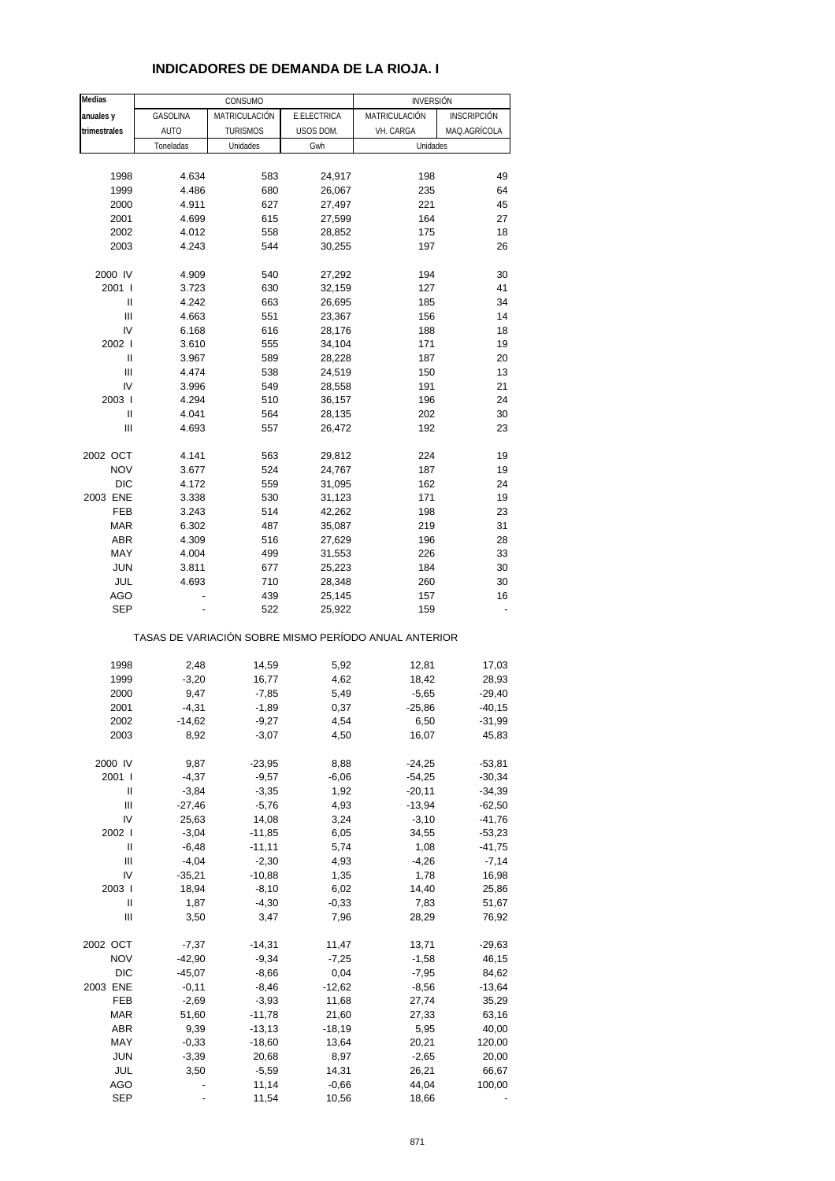| <b>Medias</b>                      |           | CONSUMO         |             |                                                       | <b>INVERSIÓN</b>   |  |  |  |
|------------------------------------|-----------|-----------------|-------------|-------------------------------------------------------|--------------------|--|--|--|
| anuales y                          | GASOLINA  | MATRICULACIÓN   | E.ELECTRICA | MATRICULACIÓN                                         | <b>INSCRIPCIÓN</b> |  |  |  |
| trimestrales                       | AUTO      | <b>TURISMOS</b> | USOS DOM.   | VH. CARGA                                             | MAQ.AGRÍCOLA       |  |  |  |
|                                    | Toneladas | Unidades        | Gwh         | Unidades                                              |                    |  |  |  |
|                                    |           |                 |             |                                                       |                    |  |  |  |
| 1998                               | 4.634     | 583             | 24,917      | 198                                                   | 49                 |  |  |  |
| 1999                               | 4.486     | 680             | 26,067      | 235                                                   | 64                 |  |  |  |
| 2000                               | 4.911     | 627             | 27,497      | 221                                                   | 45                 |  |  |  |
| 2001                               | 4.699     | 615             | 27,599      | 164                                                   | 27                 |  |  |  |
|                                    |           |                 |             |                                                       |                    |  |  |  |
| 2002                               | 4.012     | 558             | 28,852      | 175                                                   | 18                 |  |  |  |
| 2003                               | 4.243     | 544             | 30,255      | 197                                                   | 26                 |  |  |  |
| 2000 IV                            | 4.909     | 540             | 27,292      | 194                                                   | 30                 |  |  |  |
| 2001 l                             | 3.723     | 630             | 32,159      | 127                                                   | 41                 |  |  |  |
| Ш                                  | 4.242     | 663             |             | 185                                                   | 34                 |  |  |  |
|                                    |           |                 | 26,695      |                                                       |                    |  |  |  |
| Ш                                  | 4.663     | 551             | 23,367      | 156                                                   | 14                 |  |  |  |
| IV                                 | 6.168     | 616             | 28,176      | 188                                                   | 18                 |  |  |  |
| 2002 l                             | 3.610     | 555             | 34,104      | 171                                                   | 19                 |  |  |  |
| Ш                                  | 3.967     | 589             | 28,228      | 187                                                   | 20                 |  |  |  |
| Ш                                  | 4.474     | 538             | 24,519      | 150                                                   | 13                 |  |  |  |
| IV                                 | 3.996     | 549             | 28,558      | 191                                                   | 21                 |  |  |  |
| 2003                               | 4.294     | 510             | 36,157      | 196                                                   | 24                 |  |  |  |
| Ш                                  | 4.041     | 564             | 28,135      | 202                                                   | 30                 |  |  |  |
|                                    |           |                 |             |                                                       |                    |  |  |  |
| Ш                                  | 4.693     | 557             | 26,472      | 192                                                   | 23                 |  |  |  |
| 2002 OCT                           | 4.141     | 563             | 29,812      | 224                                                   | 19                 |  |  |  |
| <b>NOV</b>                         | 3.677     | 524             | 24,767      | 187                                                   | 19                 |  |  |  |
| <b>DIC</b>                         | 4.172     | 559             | 31,095      | 162                                                   | 24                 |  |  |  |
|                                    |           |                 |             |                                                       |                    |  |  |  |
| 2003 ENE                           | 3.338     | 530             | 31,123      | 171                                                   | 19                 |  |  |  |
| FEB                                | 3.243     | 514             | 42,262      | 198                                                   | 23                 |  |  |  |
| <b>MAR</b>                         | 6.302     | 487             | 35,087      | 219                                                   | 31                 |  |  |  |
| <b>ABR</b>                         | 4.309     | 516             | 27,629      | 196                                                   | 28                 |  |  |  |
| MAY                                | 4.004     | 499             | 31,553      | 226                                                   | 33                 |  |  |  |
| <b>JUN</b>                         | 3.811     | 677             | 25,223      | 184                                                   | 30                 |  |  |  |
| JUL                                | 4.693     | 710             | 28,348      | 260                                                   | 30                 |  |  |  |
| AGO                                |           | 439             | 25,145      | 157                                                   | 16                 |  |  |  |
| SEP                                |           | 522             | 25,922      | 159                                                   |                    |  |  |  |
|                                    |           |                 |             | TASAS DE VARIACIÓN SOBRE MISMO PERÍODO ANUAL ANTERIOR |                    |  |  |  |
|                                    |           |                 |             |                                                       |                    |  |  |  |
| 1998                               | 2,48      | 14,59           | 5,92        | 12,81                                                 | 17,03              |  |  |  |
| 1999                               | $-3,20$   | 16,77           | 4,62        | 18,42                                                 | 28,93              |  |  |  |
| 2000                               | 9,47      | $-7,85$         | 5,49        | $-5,65$                                               | $-29,40$           |  |  |  |
| 2001                               | $-4,31$   | $-1,89$         | 0,37        | $-25,86$                                              | $-40,15$           |  |  |  |
| 2002                               | $-14,62$  | $-9,27$         | 4,54        | 6,50                                                  | $-31,99$           |  |  |  |
| 2003                               | 8,92      | $-3,07$         | 4,50        | 16,07                                                 | 45,83              |  |  |  |
|                                    |           |                 |             |                                                       |                    |  |  |  |
| 2000 IV                            | 9,87      | $-23,95$        | 8,88        | $-24,25$                                              | $-53,81$           |  |  |  |
| 2001 l                             | $-4,37$   | $-9,57$         | $-6,06$     | $-54,25$                                              | $-30,34$           |  |  |  |
| Ш                                  | $-3,84$   | $-3,35$         | 1,92        | $-20,11$                                              | $-34,39$           |  |  |  |
| $\ensuremath{\mathsf{III}}\xspace$ | $-27,46$  | $-5,76$         | 4,93        | $-13,94$                                              | $-62,50$           |  |  |  |
| IV                                 | 25,63     | 14,08           | 3,24        | $-3,10$                                               | $-41,76$           |  |  |  |
| 2002                               | $-3,04$   | $-11,85$        | 6,05        | 34,55                                                 | $-53,23$           |  |  |  |
| $\ensuremath{\mathsf{II}}$         | $-6,48$   | $-11,11$        | 5,74        | 1,08                                                  | $-41,75$           |  |  |  |
| $\ensuremath{\mathsf{III}}\xspace$ | $-4,04$   | $-2,30$         | 4,93        | $-4,26$                                               | $-7,14$            |  |  |  |
| IV                                 | $-35,21$  | $-10,88$        |             | 1,78                                                  |                    |  |  |  |
|                                    |           |                 | 1,35        |                                                       | 16,98              |  |  |  |
| 2003                               | 18,94     | $-8,10$         | 6,02        | 14,40                                                 | 25,86              |  |  |  |
| Ш                                  | 1,87      | $-4,30$         | $-0,33$     | 7,83                                                  | 51,67              |  |  |  |
| Ш                                  | 3,50      | 3,47            | 7,96        | 28,29                                                 | 76,92              |  |  |  |
| 2002 OCT                           | $-7,37$   | $-14,31$        | 11,47       | 13,71                                                 | $-29,63$           |  |  |  |
| <b>NOV</b>                         | $-42,90$  | $-9,34$         | $-7,25$     | $-1,58$                                               | 46,15              |  |  |  |
|                                    |           |                 |             |                                                       |                    |  |  |  |
| DIC                                | $-45,07$  | $-8,66$         | 0,04        | $-7,95$                                               | 84,62              |  |  |  |
| 2003 ENE                           | $-0,11$   | $-8,46$         | $-12,62$    | $-8,56$                                               | $-13,64$           |  |  |  |
| FEB                                | $-2,69$   | $-3,93$         | 11,68       | 27,74                                                 | 35,29              |  |  |  |
| <b>MAR</b>                         | 51,60     | $-11,78$        | 21,60       | 27,33                                                 | 63,16              |  |  |  |
| <b>ABR</b>                         | 9,39      | $-13,13$        | $-18,19$    | 5,95                                                  | 40,00              |  |  |  |
| MAY                                | $-0,33$   | $-18,60$        | 13,64       | 20,21                                                 | 120,00             |  |  |  |
| <b>JUN</b>                         | $-3,39$   | 20,68           | 8,97        | $-2,65$                                               | 20,00              |  |  |  |
|                                    |           |                 |             |                                                       |                    |  |  |  |
| JUL                                | 3,50      | $-5,59$         | 14,31       | 26,21                                                 | 66,67              |  |  |  |
| <b>AGO</b>                         |           | 11,14           | $-0,66$     | 44,04                                                 | 100,00             |  |  |  |
| <b>SEP</b>                         |           | 11,54           | 10,56       | 18,66                                                 |                    |  |  |  |

### **INDICADORES DE DEMANDA DE LA RIOJA. I**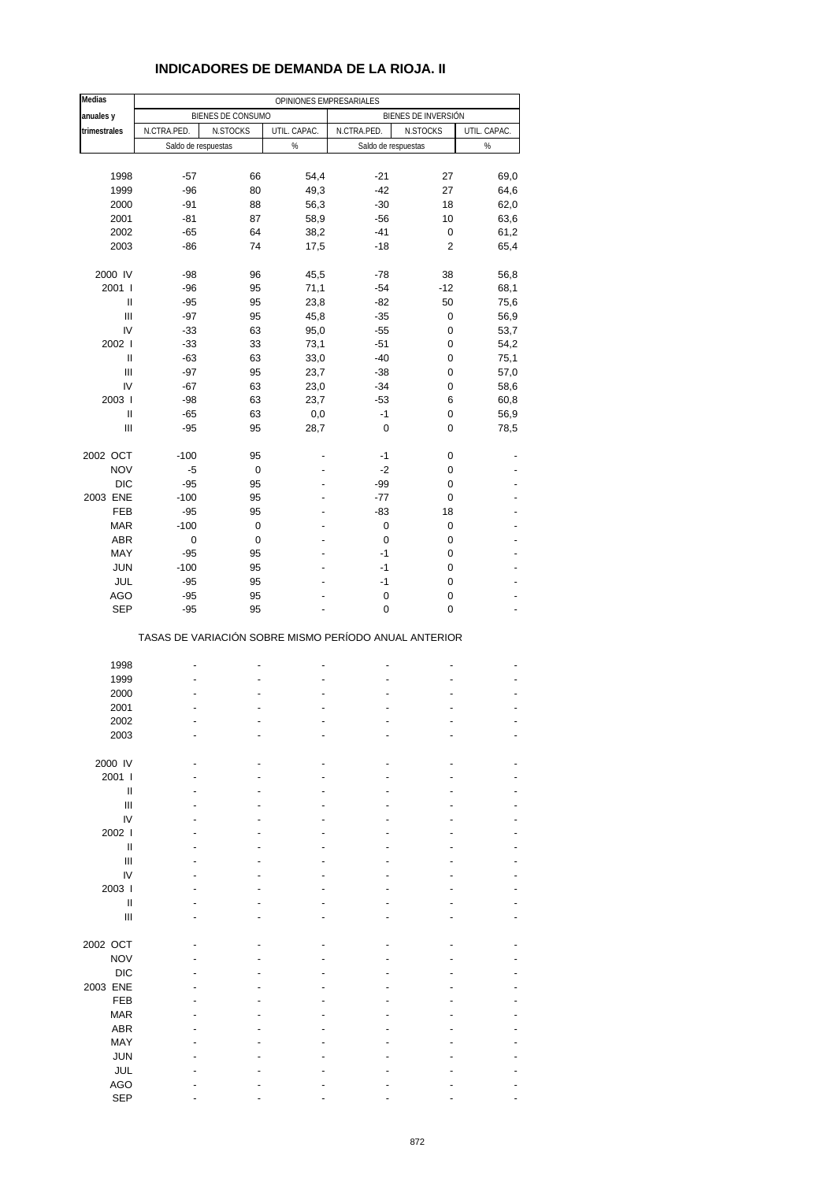# **INDICADORES DE DEMANDA DE LA RIOJA. II**

| <b>Medias</b>                      |             |                     | OPINIONES EMPRESARIALES |                                                       |                     |                |
|------------------------------------|-------------|---------------------|-------------------------|-------------------------------------------------------|---------------------|----------------|
| anuales y                          |             | BIENES DE CONSUMO   |                         |                                                       | BIENES DE INVERSIÓN |                |
| trimestrales                       | N.CTRA.PED. | N.STOCKS            | UTIL. CAPAC.            | N.CTRA.PED.                                           | N.STOCKS            | UTIL. CAPAC.   |
|                                    |             | Saldo de respuestas | $\%$                    | Saldo de respuestas                                   |                     | $\%$           |
|                                    |             |                     |                         |                                                       |                     |                |
|                                    |             |                     |                         |                                                       |                     |                |
| 1998                               | $-57$       | 66                  | 54,4                    | $-21$                                                 | 27                  | 69,0           |
| 1999                               | $-96$       | 80                  | 49,3                    | $-42$                                                 | 27                  | 64,6           |
| 2000                               | $-91$       | 88                  | 56,3                    | $-30$                                                 | 18                  | 62,0           |
| 2001                               | -81         | 87                  | 58,9                    | $-56$                                                 | 10                  | 63,6           |
| 2002                               | $-65$       | 64                  | 38,2                    | $-41$                                                 | 0                   | 61,2           |
| 2003                               | $-86$       | 74                  | 17,5                    | $-18$                                                 | 2                   | 65,4           |
|                                    |             |                     |                         |                                                       |                     |                |
| 2000 IV                            | $-98$       | 96                  | 45,5                    | $-78$                                                 | 38                  | 56,8           |
| 2001 l                             | $-96$       | 95                  | 71,1                    | $-54$                                                 | $-12$               | 68,1           |
| $\ensuremath{\mathsf{II}}$         | $-95$       | 95                  | 23,8                    | $-82$                                                 | 50                  | 75,6           |
| Ш                                  | $-97$       | 95                  | 45,8                    | $-35$                                                 | 0                   | 56,9           |
| IV                                 |             |                     |                         |                                                       |                     |                |
|                                    | $-33$       | 63                  | 95,0                    | $-55$                                                 | 0                   | 53,7           |
| 2002 l                             | $-33$       | 33                  | 73,1                    | $-51$                                                 | 0                   | 54,2           |
| Ш                                  | $-63$       | 63                  | 33,0                    | $-40$                                                 | 0                   | 75,1           |
| Ш                                  | $-97$       | 95                  | 23,7                    | $-38$                                                 | 0                   | 57,0           |
| IV                                 | -67         | 63                  | 23,0                    | $-34$                                                 | 0                   | 58,6           |
| 2003                               | $-98$       | 63                  | 23,7                    | $-53$                                                 | 6                   | 60,8           |
| $\ensuremath{\mathsf{II}}$         | $-65$       | 63                  | 0,0                     | $-1$                                                  | 0                   | 56,9           |
| $\ensuremath{\mathsf{III}}\xspace$ | $-95$       | 95                  | 28,7                    | 0                                                     | 0                   | 78,5           |
|                                    |             |                     |                         |                                                       |                     |                |
| 2002 OCT                           | $-100$      | 95                  |                         | $-1$                                                  | 0                   |                |
| <b>NOV</b>                         | $-5$        | $\mathbf 0$         |                         | $-2$                                                  | 0                   |                |
| <b>DIC</b>                         | $-95$       | 95                  |                         | $-99$                                                 | 0                   |                |
|                                    |             |                     |                         |                                                       |                     |                |
| 2003 ENE                           | $-100$      | 95                  |                         | $-77$                                                 | 0                   |                |
| FEB                                | $-95$       | 95                  |                         | $-83$                                                 | 18                  |                |
| <b>MAR</b>                         | $-100$      | $\mathbf 0$         |                         | 0                                                     | 0                   |                |
| <b>ABR</b>                         | 0           | 0                   |                         | 0                                                     | 0                   |                |
| MAY                                | $-95$       | 95                  |                         | $-1$                                                  | 0                   |                |
| <b>JUN</b>                         | $-100$      | 95                  |                         | $-1$                                                  | 0                   |                |
| JUL                                | $-95$       | 95                  |                         | $-1$                                                  | 0                   |                |
| <b>AGO</b>                         | $-95$       | 95                  |                         | 0                                                     | 0                   |                |
| <b>SEP</b>                         | $-95$       | 95                  |                         | $\mathbf 0$                                           | 0                   | $\overline{a}$ |
|                                    |             |                     |                         | TASAS DE VARIACIÓN SOBRE MISMO PERÍODO ANUAL ANTERIOR |                     |                |
| 1998                               |             |                     |                         |                                                       |                     |                |
| 1999                               |             |                     |                         |                                                       |                     |                |
| 2000                               |             |                     |                         |                                                       |                     |                |
| 2001                               |             |                     |                         |                                                       |                     |                |
|                                    |             |                     |                         |                                                       |                     |                |
| 2002                               |             |                     |                         |                                                       |                     |                |
| 2003                               |             |                     |                         |                                                       |                     |                |
|                                    |             |                     |                         |                                                       |                     |                |
| 2000 IV                            |             |                     |                         |                                                       |                     |                |
| 2001 l                             |             |                     |                         |                                                       |                     |                |
| Ш                                  |             |                     |                         |                                                       |                     |                |
| Ш                                  |             |                     |                         |                                                       |                     |                |
| IV                                 |             |                     |                         |                                                       |                     |                |
| 2002 l                             |             |                     |                         |                                                       |                     |                |
| $\mathbf{I}$                       |             |                     |                         |                                                       |                     |                |
| Ш                                  |             |                     |                         |                                                       |                     |                |
| IV                                 |             |                     |                         |                                                       |                     |                |
|                                    |             |                     |                         |                                                       |                     |                |
| 2003                               |             |                     |                         |                                                       |                     |                |
| Ш                                  |             |                     |                         |                                                       |                     |                |
| Ш                                  |             |                     |                         |                                                       |                     |                |
|                                    |             |                     |                         |                                                       |                     |                |
| 2002 OCT                           |             |                     |                         |                                                       |                     |                |
| <b>NOV</b>                         |             |                     |                         |                                                       |                     |                |
| <b>DIC</b>                         |             |                     |                         |                                                       |                     |                |
| 2003 ENE                           |             |                     |                         |                                                       |                     |                |
| FEB                                |             |                     |                         |                                                       |                     |                |
| <b>MAR</b>                         |             |                     |                         |                                                       |                     |                |
|                                    |             |                     |                         |                                                       |                     |                |
| ABR                                |             |                     |                         |                                                       |                     |                |
| MAY                                |             |                     |                         |                                                       |                     |                |
| <b>JUN</b>                         |             |                     |                         |                                                       |                     |                |
| JUL                                |             |                     |                         |                                                       |                     |                |
| <b>AGO</b>                         |             |                     |                         |                                                       |                     |                |
| <b>SEP</b>                         |             |                     |                         |                                                       |                     |                |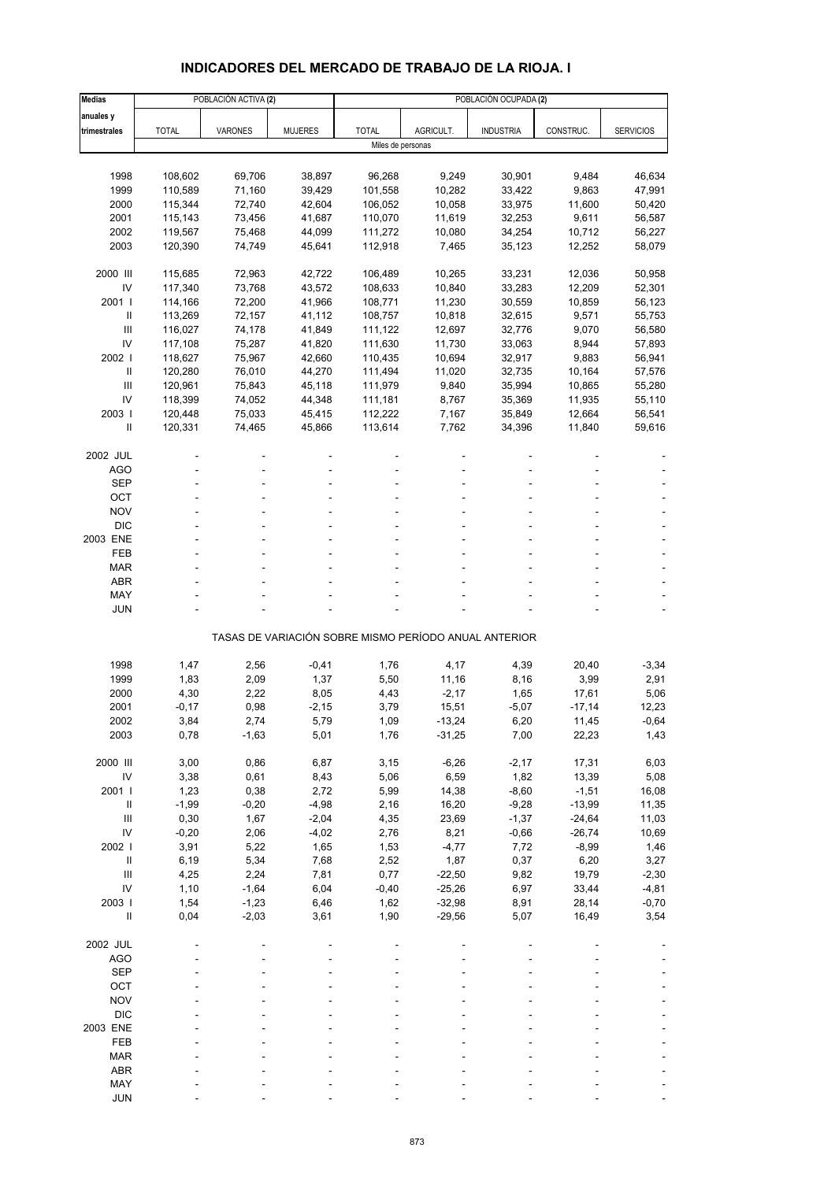# **INDICADORES DEL MERCADO DE TRABAJO DE LA RIOJA. I**

| <b>Medias</b>              |                    | POBLACIÓN ACTIVA (2) |                  |                    |                  | POBLACIÓN OCUPADA (2)                                 |                  |                  |
|----------------------------|--------------------|----------------------|------------------|--------------------|------------------|-------------------------------------------------------|------------------|------------------|
| anuales y                  |                    |                      |                  |                    |                  |                                                       |                  |                  |
| trimestrales               | <b>TOTAL</b>       | VARONES              | <b>MUJERES</b>   | <b>TOTAL</b>       | AGRICULT.        | <b>INDUSTRIA</b>                                      | CONSTRUC.        | <b>SERVICIOS</b> |
|                            |                    |                      |                  | Miles de personas  |                  |                                                       |                  |                  |
|                            |                    |                      |                  |                    |                  |                                                       |                  |                  |
| 1998                       | 108,602            | 69,706               | 38,897           | 96,268             | 9,249            | 30,901                                                | 9,484            | 46,634           |
| 1999                       | 110,589            | 71,160               | 39,429           | 101,558            | 10,282           | 33,422                                                | 9,863            | 47,991           |
| 2000                       | 115,344            | 72,740               | 42,604           | 106,052            | 10,058           | 33,975                                                | 11,600           | 50,420           |
| 2001                       | 115,143            | 73,456               | 41,687           | 110,070            | 11,619           | 32,253                                                | 9,611            | 56,587           |
| 2002                       | 119,567            | 75,468               | 44,099           | 111,272            | 10,080           | 34,254                                                | 10,712           | 56,227           |
| 2003                       | 120,390            | 74,749               | 45,641           | 112,918            | 7,465            | 35,123                                                | 12,252           | 58,079           |
|                            |                    |                      |                  |                    |                  |                                                       |                  |                  |
| 2000 III                   | 115,685            | 72,963               | 42,722           | 106,489            | 10,265           | 33,231                                                | 12,036           | 50,958           |
| IV<br>2001 l               | 117,340<br>114,166 | 73,768<br>72,200     | 43,572<br>41,966 | 108,633<br>108,771 | 10,840<br>11,230 | 33,283<br>30,559                                      | 12,209<br>10,859 | 52,301<br>56,123 |
| Ш                          | 113,269            | 72,157               | 41,112           | 108,757            | 10,818           |                                                       | 9,571            | 55,753           |
| III                        | 116,027            | 74,178               | 41,849           | 111,122            | 12,697           | 32,615<br>32,776                                      | 9,070            | 56,580           |
| IV                         | 117,108            | 75,287               | 41,820           | 111,630            | 11,730           | 33,063                                                | 8,944            | 57,893           |
| 2002                       | 118,627            | 75,967               | 42,660           | 110,435            | 10,694           | 32,917                                                | 9,883            | 56,941           |
| $\mathbf{I}$               | 120,280            | 76,010               | 44,270           | 111,494            | 11,020           | 32,735                                                | 10,164           | 57,576           |
| Ш                          | 120,961            | 75,843               | 45,118           | 111,979            | 9,840            | 35,994                                                | 10,865           | 55,280           |
| IV                         | 118,399            | 74,052               | 44,348           | 111,181            | 8,767            | 35,369                                                | 11,935           | 55,110           |
| 2003                       | 120,448            | 75,033               | 45,415           | 112,222            | 7,167            | 35,849                                                | 12,664           | 56,541           |
| Ш                          | 120,331            | 74,465               | 45,866           | 113,614            | 7,762            | 34,396                                                | 11,840           | 59,616           |
|                            |                    |                      |                  |                    |                  |                                                       |                  |                  |
| 2002 JUL                   |                    |                      |                  |                    |                  |                                                       |                  |                  |
| AGO                        |                    |                      |                  |                    |                  |                                                       |                  |                  |
| <b>SEP</b>                 |                    |                      |                  |                    |                  |                                                       |                  |                  |
| OCT                        |                    |                      |                  |                    |                  |                                                       |                  |                  |
| <b>NOV</b>                 |                    |                      |                  |                    |                  |                                                       |                  |                  |
| <b>DIC</b>                 |                    |                      |                  |                    |                  |                                                       |                  |                  |
| 2003 ENE                   |                    |                      |                  |                    |                  |                                                       |                  |                  |
| FEB                        |                    |                      |                  |                    |                  |                                                       |                  |                  |
| <b>MAR</b>                 |                    |                      |                  |                    |                  |                                                       |                  |                  |
| <b>ABR</b>                 |                    |                      |                  |                    |                  |                                                       |                  |                  |
| MAY                        |                    |                      |                  |                    |                  |                                                       |                  |                  |
| <b>JUN</b>                 |                    |                      |                  |                    |                  |                                                       |                  |                  |
|                            |                    |                      |                  |                    |                  | TASAS DE VARIACIÓN SOBRE MISMO PERÍODO ANUAL ANTERIOR |                  |                  |
|                            |                    |                      |                  |                    |                  |                                                       |                  |                  |
| 1998                       | 1,47               | 2,56                 | $-0,41$          | 1,76               | 4,17             | 4,39                                                  | 20,40            | $-3,34$          |
| 1999                       | 1,83               | 2,09                 | 1,37             | 5,50               | 11,16            | 8,16                                                  | 3,99             | 2,91             |
| 2000                       | 4,30               | 2,22                 | 8,05             | 4,43               | $-2,17$          | 1,65                                                  | 17,61            | 5,06             |
| 2001                       | $-0,17$            | 0,98                 | $-2,15$          | 3,79               | 15,51            | $-5,07$                                               | $-17,14$         | 12,23            |
| 2002                       | 3,84               | 2,74                 | 5,79             | 1,09               | -13,24           | 6,20                                                  | 11,45            | -0,64            |
| 2003                       | 0,78               | $-1,63$              | 5,01             | 1,76               | $-31,25$         | 7,00                                                  | 22,23            | 1,43             |
|                            |                    |                      |                  |                    |                  |                                                       |                  |                  |
| 2000 III                   | 3,00               | 0,86                 | 6,87             | 3,15               | $-6,26$          | $-2,17$                                               | 17,31            | 6,03             |
| IV<br>2001                 | 3,38<br>1,23       | 0,61<br>0,38         | 8,43<br>2,72     | 5,06<br>5,99       | 6,59<br>14,38    | 1,82<br>$-8,60$                                       | 13,39<br>$-1,51$ | 5,08<br>16,08    |
| $\, \parallel$             | $-1,99$            | $-0,20$              | $-4,98$          | 2,16               | 16,20            | $-9,28$                                               | $-13,99$         | 11,35            |
| Ш                          | 0,30               | 1,67                 | $-2,04$          |                    | 23,69            | $-1,37$                                               | $-24,64$         | 11,03            |
| IV                         | $-0,20$            | 2,06                 | $-4,02$          | 4,35<br>2,76       | 8,21             | $-0,66$                                               | $-26,74$         | 10,69            |
| 2002                       | 3,91               | 5,22                 | 1,65             | 1,53               | $-4,77$          | 7,72                                                  | $-8,99$          | 1,46             |
| $\, \, \mathrm{II}$        | 6,19               | 5,34                 | 7,68             | 2,52               | 1,87             | 0,37                                                  | 6,20             | 3,27             |
| $\mathbf{III}$             | 4,25               | 2,24                 | 7,81             | 0,77               | $-22,50$         | 9,82                                                  | 19,79            | $-2,30$          |
| IV                         | 1,10               | $-1,64$              | 6,04             | $-0,40$            | $-25,26$         | 6,97                                                  | 33,44            | $-4,81$          |
| 2003                       | 1,54               | $-1,23$              | 6,46             | 1,62               | $-32,98$         | 8,91                                                  | 28,14            | $-0,70$          |
| $\ensuremath{\mathsf{II}}$ | 0,04               | $-2,03$              | 3,61             | 1,90               | $-29,56$         | 5,07                                                  | 16,49            | 3,54             |
|                            |                    |                      |                  |                    |                  |                                                       |                  |                  |
| 2002 JUL                   |                    |                      |                  |                    |                  |                                                       |                  |                  |
| <b>AGO</b>                 |                    |                      |                  |                    |                  |                                                       |                  |                  |
| <b>SEP</b>                 |                    |                      |                  |                    |                  |                                                       |                  |                  |
| OCT                        |                    |                      |                  |                    |                  |                                                       |                  |                  |
| <b>NOV</b>                 |                    |                      |                  |                    |                  |                                                       |                  |                  |
| <b>DIC</b>                 |                    |                      |                  |                    |                  |                                                       |                  |                  |
| 2003 ENE                   |                    |                      |                  |                    |                  |                                                       |                  |                  |
| FEB                        |                    |                      |                  |                    |                  |                                                       |                  |                  |
| <b>MAR</b>                 |                    |                      |                  |                    |                  |                                                       |                  |                  |
| ABR                        |                    |                      |                  |                    |                  |                                                       |                  |                  |
| MAY                        |                    |                      |                  |                    |                  |                                                       |                  |                  |
| <b>JUN</b>                 |                    |                      |                  |                    |                  |                                                       |                  |                  |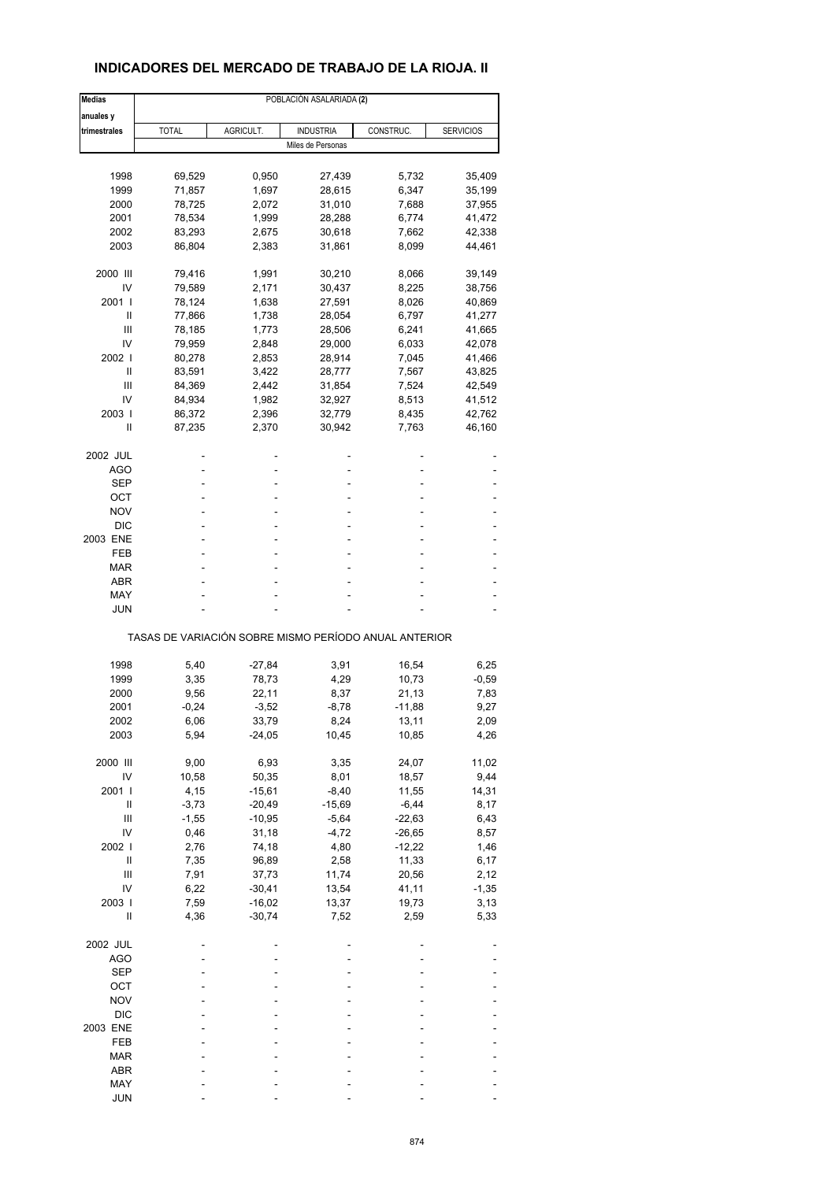## **INDICADORES DEL MERCADO DE TRABAJO DE LA RIOJA. II**

| <b>Medias</b> | POBLACIÓN ASALARIADA (2)                              |                      |                          |                      |                  |  |  |  |  |
|---------------|-------------------------------------------------------|----------------------|--------------------------|----------------------|------------------|--|--|--|--|
| anuales y     |                                                       |                      |                          |                      |                  |  |  |  |  |
| trimestrales  | <b>TOTAL</b>                                          | AGRICULT.            | <b>INDUSTRIA</b>         | CONSTRUC.            | <b>SERVICIOS</b> |  |  |  |  |
|               |                                                       |                      | Miles de Personas        |                      |                  |  |  |  |  |
|               |                                                       |                      |                          |                      |                  |  |  |  |  |
| 1998          | 69,529                                                | 0,950                | 27,439                   | 5,732                | 35,409           |  |  |  |  |
| 1999          | 71,857                                                | 1,697                | 28,615                   | 6,347                | 35,199           |  |  |  |  |
| 2000          | 78,725                                                | 2,072                | 31,010                   | 7,688                | 37,955           |  |  |  |  |
| 2001          | 78,534                                                | 1,999                | 28,288                   | 6,774                | 41,472           |  |  |  |  |
| 2002          | 83,293                                                | 2,675                | 30,618                   | 7,662                | 42,338           |  |  |  |  |
| 2003          | 86,804                                                | 2,383                | 31,861                   | 8,099                | 44,461           |  |  |  |  |
|               |                                                       |                      |                          |                      |                  |  |  |  |  |
| 2000 III      | 79,416                                                | 1,991                | 30,210                   | 8,066                | 39,149           |  |  |  |  |
| IV            | 79,589                                                | 2,171                | 30,437                   | 8,225                | 38,756           |  |  |  |  |
| 2001 l        | 78,124                                                | 1,638                | 27,591                   | 8,026                | 40,869           |  |  |  |  |
| Ш             | 77,866                                                | 1,738                | 28,054                   | 6,797                | 41,277           |  |  |  |  |
| Ш             | 78,185                                                | 1,773                | 28,506                   | 6,241                | 41,665           |  |  |  |  |
| IV            | 79,959                                                | 2,848                | 29,000                   | 6,033                | 42,078           |  |  |  |  |
| 2002 l        | 80,278                                                | 2,853                | 28,914                   | 7,045                | 41,466           |  |  |  |  |
| Ш             | 83,591                                                | 3,422                | 28,777                   | 7,567                | 43,825           |  |  |  |  |
| Ш             | 84,369                                                | 2,442                | 31,854                   | 7,524                | 42,549           |  |  |  |  |
| IV            | 84,934                                                | 1,982                | 32,927                   | 8,513                | 41,512           |  |  |  |  |
| 2003          | 86,372                                                | 2,396                | 32,779                   | 8,435                | 42,762           |  |  |  |  |
| Ш             | 87,235                                                | 2,370                | 30,942                   | 7,763                | 46,160           |  |  |  |  |
| 2002 JUL      |                                                       |                      | $\overline{\phantom{0}}$ |                      |                  |  |  |  |  |
| AGO           |                                                       |                      | ÷,                       |                      |                  |  |  |  |  |
| SEP           |                                                       |                      |                          |                      |                  |  |  |  |  |
| ОСТ           |                                                       |                      | ٠                        |                      |                  |  |  |  |  |
| NOV           |                                                       |                      |                          |                      |                  |  |  |  |  |
| DIC           |                                                       |                      | ä,                       |                      |                  |  |  |  |  |
| 2003 ENE      |                                                       |                      | ٠                        |                      |                  |  |  |  |  |
| FEB           |                                                       |                      |                          |                      |                  |  |  |  |  |
| MAR           |                                                       |                      |                          |                      |                  |  |  |  |  |
| ABR           |                                                       |                      | ۰                        |                      |                  |  |  |  |  |
| MAY           |                                                       |                      |                          |                      |                  |  |  |  |  |
| <b>JUN</b>    |                                                       |                      |                          |                      |                  |  |  |  |  |
|               | TASAS DE VARIACIÓN SOBRE MISMO PERÍODO ANUAL ANTERIOR |                      |                          |                      |                  |  |  |  |  |
|               |                                                       |                      |                          |                      |                  |  |  |  |  |
| 1998          | 5,40                                                  | $-27,84$             | 3,91                     | 16,54                | 6,25             |  |  |  |  |
| 1999          | 3,35                                                  | 78,73                | 4,29                     | 10,73                | $-0,59$          |  |  |  |  |
| 2000          | 9,56                                                  | 22,11                | 8,37                     | 21,13                | 7,83             |  |  |  |  |
| 2001          | $-0,24$                                               | $-3,52$              | $-8,78$                  | -11,88               | 9,27             |  |  |  |  |
| 2002          | 6,06                                                  | 33,79                | 8,24                     | 13,11                | 2,09             |  |  |  |  |
| 2003          | 5,94                                                  | $-24,05$             | 10,45                    | 10,85                | 4,26             |  |  |  |  |
|               |                                                       |                      |                          |                      |                  |  |  |  |  |
| 2000 III      | 9,00                                                  | 6,93                 | 3,35                     | 24,07                | 11,02            |  |  |  |  |
| IV            | 10,58                                                 | 50,35                | 8,01                     | 18,57                | 9,44             |  |  |  |  |
| 2001 l<br>Ш   | 4,15                                                  | $-15,61$<br>$-20,49$ | $-8,40$<br>$-15,69$      | 11,55<br>$-6,44$     | 14,31            |  |  |  |  |
|               | $-3,73$                                               |                      |                          |                      | 8,17             |  |  |  |  |
| Ш<br>IV       | $-1,55$<br>0,46                                       | $-10,95$<br>31,18    | $-5,64$<br>$-4,72$       | $-22,63$<br>$-26,65$ | 6,43             |  |  |  |  |
|               |                                                       |                      |                          |                      | 8,57             |  |  |  |  |
| 2002          | 2,76<br>7,35                                          | 74,18                | 4,80                     | $-12,22$<br>11,33    | 1,46             |  |  |  |  |
| Ш<br>Ш        | 7,91                                                  | 96,89<br>37,73       | 2,58<br>11,74            | 20,56                | 6,17<br>2,12     |  |  |  |  |
| IV            | 6,22                                                  | $-30,41$             |                          |                      | $-1,35$          |  |  |  |  |
| 2003          | 7,59                                                  | $-16,02$             | 13,54<br>13,37           | 41,11                | 3,13             |  |  |  |  |
| Ш             | 4,36                                                  | $-30,74$             | 7,52                     | 19,73<br>2,59        | 5,33             |  |  |  |  |
|               |                                                       |                      |                          |                      |                  |  |  |  |  |
| 2002 JUL      |                                                       |                      |                          |                      |                  |  |  |  |  |
| <b>AGO</b>    |                                                       |                      |                          |                      |                  |  |  |  |  |
| <b>SEP</b>    |                                                       |                      |                          |                      |                  |  |  |  |  |
| OCT           |                                                       |                      |                          |                      |                  |  |  |  |  |
| <b>NOV</b>    |                                                       |                      |                          |                      |                  |  |  |  |  |
| <b>DIC</b>    |                                                       |                      |                          |                      |                  |  |  |  |  |
| 2003 ENE      |                                                       |                      |                          |                      |                  |  |  |  |  |
| FEB           |                                                       |                      |                          |                      |                  |  |  |  |  |
| MAR           |                                                       |                      |                          |                      |                  |  |  |  |  |
| ABR           |                                                       |                      |                          |                      |                  |  |  |  |  |
| MAY           |                                                       |                      |                          |                      |                  |  |  |  |  |
| <b>JUN</b>    |                                                       |                      |                          |                      |                  |  |  |  |  |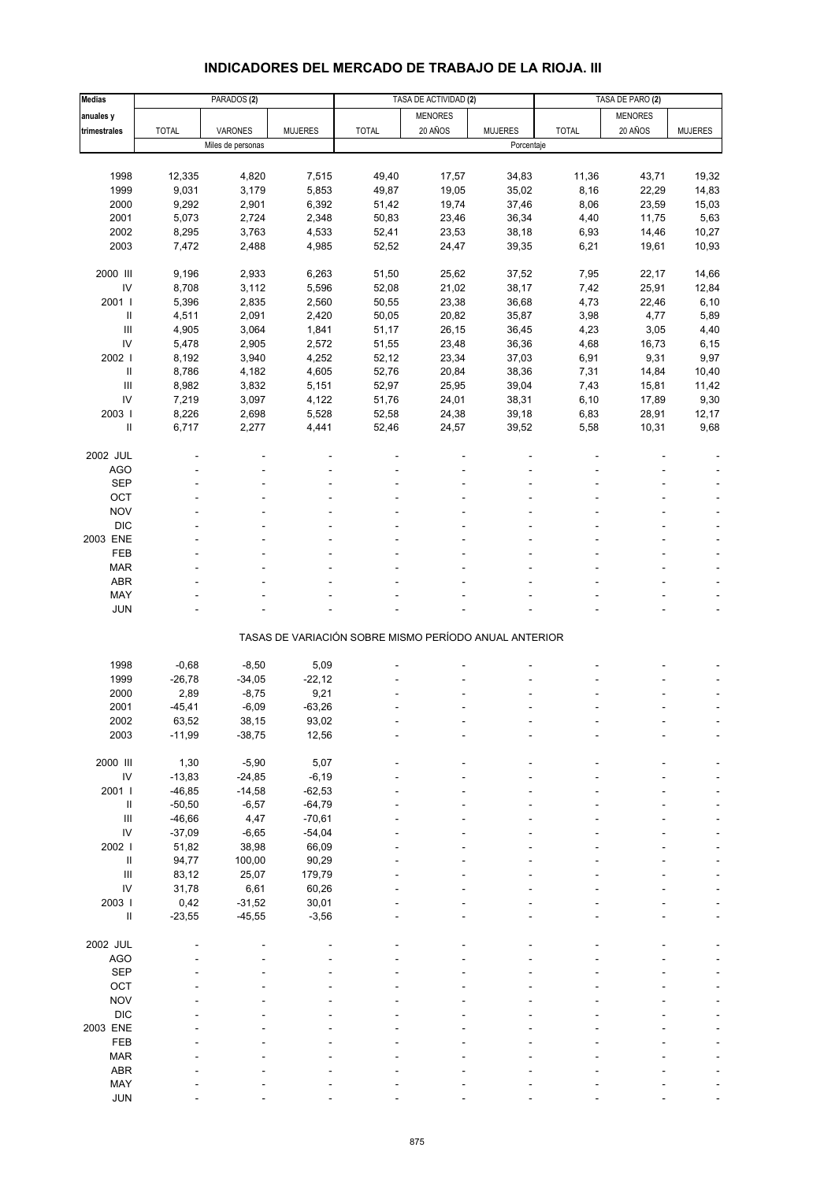#### **Medias** PARADOS **(2)** TASA DE ACTIVIDAD **(2)** TASA DE PARO **(2) anuales y** MENORES MENORES NEWSPORES NEWSPORES **trimestrales |** TOTAL | VARONES | MUJERES | TOTAL | 20 AÑOS | MUJERES | TOTAL | 20 AÑOS | MUJERES Miles de personas Porcentaje 1998 12,335 4,820 7,515 49,40 17,57 34,83 11,36 43,71 19,32 1999 9,031 3,179 5,853 49,87 19,05 35,02 8,16 22,29 14,83 2000 9,292 2,901 6,392 51,42 19,74 37,46 8,06 23,59 15,03 2001 5,073 2,724 2,348 50,83 23,46 36,34 4,40 11,75 5,63 2002 8,295 3,763 4,533 52,41 23,53 38,18 6,93 14,46 10,27 2003 7,472 2,488 4,985 52,52 24,47 39,35 6,21 19,61 10,93 2000 III 9,196 2,933 6,263 51,50 25,62 37,52 7,95 22,17 14,66 IV 8,708 3,112 5,596 52,08 21,02 38,17 7,42 25,91 12,84 2001 I 5,396 2,835 2,560 50,55 23,38 36,68 4,73 22,46 6,10 II 4,511 2,091 2,420 50,05 20,82 35,87 3,98 4,77 5,89 III 4,905 3,064 1,841 51,17 26,15 36,45 4,23 3,05 4,40 IV 5,478 2,905 2,572 51,55 23,48 36,36 4,68 16,73 6,15 2002 I 8,192 3,940 4,252 52,12 23,34 37,03 6,91 9,31 9,97 II 8,786 4,182 4,605 52,76 20,84 38,36 7,31 14,84 10,40 III 8,982 3,832 5,151 52,97 25,95 39,04 7,43 15,81 11,42 IV 7,219 3,097 4,122 51,76 24,01 38,31 6,10 17,89 9,30 2003 I 8,226 2,698 5,528 52,58 24,38 39,18 6,83 28,91 12,17 II 6,717 2,277 4,441 52,46 24,57 39,52 5,58 10,31 9,68 2002 JUL - - - - - - - --  $\overline{A}\overline{G}O$  , and the set of the set of the set of the set of the set of the set of the set of the set of the set of the set of the set of the set of the set of the set of the set of the set of the set of the set of th  $\begin{array}{lllllllllllll} \text{SEP} & \text{---} & \text{---} & \text{---} & \text{---} & \text{---} & \text{---} & \text{---} & \text{---} & \text{---} & \text{---} & \text{---} & \text{---} & \text{---} & \text{---} & \text{---} & \text{---} & \text{---} & \text{---} & \text{---} & \text{---} & \text{---} & \text{---} & \text{---} & \text{---} & \text{---} & \text{---} & \text{---} & \text{---} & \text{---} & \text{---} & \text{---} & \text{---} & \text{---} & \text{$ OCT the set of the set of the set of the set of the set of the set of the set of the set of the set of the set  $NOV$  , and  $S$  -  $S$  -  $S$  -  $S$  -  $S$  -  $S$  -  $S$  -  $S$  -  $S$  -  $S$  -  $S$  -  $S$  -  $S$  -  $S$  -  $S$  -  $S$  -  $S$  -  $S$  -  $S$  -  $S$  -  $S$  -  $S$  -  $S$  -  $S$  -  $S$  -  $S$  -  $S$  -  $S$  -  $S$  -  $S$  -  $S$  -  $S$  -  $S$  -  $S$  -  $S$  - DIC - - - - - - - - - 2003 ENE - - - - - - - -- FEB - - - - - - - - - MAR - - - - - - - - -  $ABR$  , and the set of the set of the set of the set of the set of the set of the set of the set of the set of the set of the set of the set of the set of the set of the set of the set of the set of the set of the set of t MAY - - - - - - - - - JUN - - - - - - - - - TASAS DE VARIACIÓN SOBRE MISMO PERÍODO ANUAL ANTERIOR 1998 -0,68 -8,50 5,09 - - - - -- 1999 -26,78 -34,05 -22,12 - - - - -- 2000 2,89 -8,75 9,21 - - - - -- 2001 -45,41 -6,09 -63,26 - - - - -- 2002 63,52 38,15 93,02 - - - - -- 2003 -11,99 -38,75 12,56 - - - - -- 2000 III 1,30 -5,90 5,07 - - - - - - - - - - - IV -13,83 -24,85 -6,19 - - - - -- 2001 I -46,85 -14,58 -62,53 - - - - -- II -50,50 -6,57 -64,79 - - - - -- III -46,66 4,47 -70,61 - - - - -- IV -37,09 -6,65 -54,04 - - - - -- 2002 I 51,82 38,98 66,09 - - - - -- II 94,77 100,00 90,29 - - - - -- III 83,12 25,07 179,79 - - - - -- IV 31,78 6,61 60,26 - - - - -- 2003 I 0,42 -31,52 30,01 - - - - - - - - - - - - II -23,55 -45,55 -3,56 - - - - -- 2002 JUL - - - - - - - --  $\overline{A}\overline{G}O$  , and the set of the set of the set of the set of the set of the set of the set of the set of the set of the set of the set of the set of the set of the set of the set of the set of the set of the set of th  $\begin{array}{lllllllllllll} \text{SEP} & \text{---} & \text{---} & \text{---} & \text{---} & \text{---} & \text{---} & \text{---} & \text{---} & \text{---} & \text{---} & \text{---} & \text{---} & \text{---} & \text{---} & \text{---} & \text{---} & \text{---} & \text{---} & \text{---} & \text{---} & \text{---} & \text{---} & \text{---} & \text{---} & \text{---} & \text{---} & \text{---} & \text{---} & \text{---} & \text{---} & \text{---} & \text{---} & \text{---} & \text{$ OCT the set of the set of the set of the set of the set of the set of the set of the set of the set of the set  $NOV$  , and  $S$  -  $S$  -  $S$  -  $S$  -  $S$  -  $S$  -  $S$  -  $S$  -  $S$  -  $S$  -  $S$  -  $S$  -  $S$  -  $S$  -  $S$  -  $S$  -  $S$  -  $S$  -  $S$  -  $S$  -  $S$  -  $S$  -  $S$  -  $S$  -  $S$  -  $S$  -  $S$  -  $S$  -  $S$  -  $S$  -  $S$  -  $S$  -  $S$  -  $S$  -  $S$  - DIC - - - - - - - - - 2003 ENE - - - - - - - -- FEB - - - - - - - - - MAR - - - - - - - - - ABR - - - - - - - - -

### **INDICADORES DEL MERCADO DE TRABAJO DE LA RIOJA. III**

 MAY - - - - - - - - - JUN - - - - - - - - -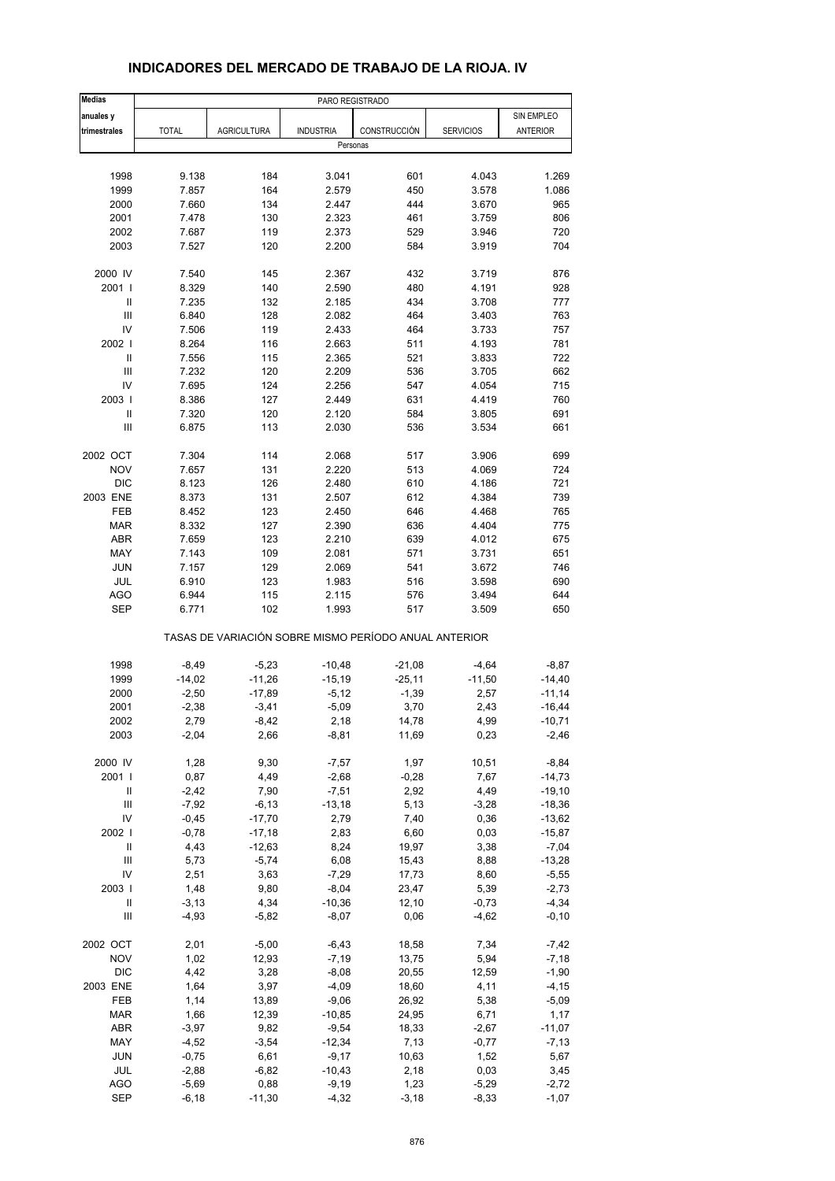| <b>Medias</b>                      | PARO REGISTRADO |                                                       |                  |              |                  |            |
|------------------------------------|-----------------|-------------------------------------------------------|------------------|--------------|------------------|------------|
| anuales y                          |                 |                                                       |                  |              |                  | SIN EMPLEO |
| trimestrales                       | <b>TOTAL</b>    | <b>AGRICULTURA</b>                                    | <b>INDUSTRIA</b> | CONSTRUCCIÓN | <b>SERVICIOS</b> | ANTERIOR   |
|                                    |                 |                                                       | Personas         |              |                  |            |
|                                    |                 |                                                       |                  |              |                  |            |
| 1998                               | 9.138           | 184                                                   | 3.041            | 601          | 4.043            | 1.269      |
| 1999                               | 7.857           | 164                                                   | 2.579            | 450          | 3.578            | 1.086      |
| 2000                               | 7.660           | 134                                                   | 2.447            | 444          | 3.670            | 965        |
| 2001                               | 7.478           | 130                                                   | 2.323            | 461          | 3.759            | 806        |
| 2002                               | 7.687           | 119                                                   | 2.373            | 529          | 3.946            | 720        |
| 2003                               | 7.527           | 120                                                   | 2.200            | 584          | 3.919            | 704        |
| 2000 IV                            | 7.540           | 145                                                   | 2.367            | 432          | 3.719            | 876        |
| 2001 l                             | 8.329           | 140                                                   | 2.590            | 480          | 4.191            | 928        |
| Ш                                  | 7.235           | 132                                                   | 2.185            | 434          | 3.708            | 777        |
| $\ensuremath{\mathsf{III}}\xspace$ | 6.840           | 128                                                   | 2.082            | 464          | 3.403            | 763        |
| IV                                 | 7.506           | 119                                                   | 2.433            | 464          | 3.733            | 757        |
| 2002                               | 8.264           | 116                                                   | 2.663            | 511          | 4.193            | 781        |
| $\ensuremath{\mathsf{II}}$         | 7.556           | 115                                                   | 2.365            | 521          | 3.833            | 722        |
| Ш                                  | 7.232           | 120                                                   | 2.209            | 536          | 3.705            | 662        |
| IV                                 | 7.695           | 124                                                   | 2.256            | 547          | 4.054            | 715        |
| 2003                               | 8.386           | 127                                                   | 2.449            | 631          | 4.419            | 760        |
| $\ensuremath{\mathsf{II}}$         | 7.320           | 120                                                   | 2.120            | 584          | 3.805            | 691        |
| Ш                                  | 6.875           | 113                                                   | 2.030            | 536          | 3.534            | 661        |
|                                    |                 |                                                       |                  |              |                  |            |
| 2002 OCT                           | 7.304           | 114                                                   | 2.068            | 517          | 3.906            | 699        |
| <b>NOV</b>                         | 7.657           | 131                                                   | 2.220            | 513          | 4.069            | 724        |
| <b>DIC</b>                         | 8.123           | 126                                                   | 2.480            | 610          | 4.186            | 721        |
| 2003 ENE                           | 8.373           | 131                                                   | 2.507            | 612          | 4.384            | 739        |
| FEB                                | 8.452           | 123                                                   | 2.450            | 646          | 4.468            | 765        |
| <b>MAR</b>                         | 8.332           | 127                                                   | 2.390            | 636          | 4.404            | 775        |
| <b>ABR</b>                         | 7.659           | 123                                                   | 2.210            | 639          | 4.012            | 675        |
| MAY                                | 7.143           | 109                                                   | 2.081            | 571          | 3.731            | 651        |
| <b>JUN</b>                         | 7.157           | 129                                                   | 2.069            | 541          | 3.672            | 746        |
| JUL                                | 6.910           | 123                                                   | 1.983            | 516          | 3.598            | 690        |
| <b>AGO</b>                         | 6.944           | 115                                                   | 2.115            | 576          | 3.494            | 644        |
| <b>SEP</b>                         | 6.771           | 102                                                   | 1.993            | 517          | 3.509            | 650        |
|                                    |                 | TASAS DE VARIACIÓN SOBRE MISMO PERÍODO ANUAL ANTERIOR |                  |              |                  |            |
| 1998                               | $-8,49$         | $-5,23$                                               | $-10,48$         | $-21,08$     | $-4,64$          | $-8,87$    |
| 1999                               | $-14,02$        | $-11,26$                                              | $-15, 19$        | $-25,11$     | $-11,50$         | $-14,40$   |
| 2000                               | $-2,50$         | $-17,89$                                              | $-5,12$          | $-1,39$      | 2,57             | $-11,14$   |
| 2001                               | $-2,38$         | $-3,41$                                               | $-5,09$          | 3,70         | 2,43             | $-16,44$   |
| 2002                               | 2,79            | -8,42                                                 | 2,18             | 14,78        | 4,99             | -10,71     |
| 2003                               | $-2,04$         | 2,66                                                  | $-8, 81$         | 11,69        | 0,23             | $-2,46$    |
|                                    |                 |                                                       |                  |              |                  |            |
| 2000 IV                            | 1,28            | 9,30                                                  | $-7,57$          | 1,97         | 10,51            | $-8,84$    |
| 2001                               | 0,87            | 4,49                                                  | $-2,68$          | $-0,28$      | 7,67             | $-14,73$   |
| Ш                                  | $-2,42$         | 7,90                                                  | $-7,51$          | 2,92         | 4,49             | $-19,10$   |
| Ш                                  | $-7,92$         | $-6, 13$                                              | $-13,18$         | 5,13         | $-3,28$          | $-18,36$   |
| IV                                 | $-0,45$         | $-17,70$                                              | 2,79             | 7,40         | 0,36             | $-13,62$   |
| 2002                               | $-0,78$         | $-17,18$                                              | 2,83             | 6,60         | 0,03             | $-15,87$   |
| $\ensuremath{\mathsf{II}}$         | 4,43            | $-12,63$                                              | 8,24             | 19,97        | 3,38             | $-7,04$    |
| $\ensuremath{\mathsf{III}}\xspace$ | 5,73            | $-5,74$                                               | 6,08             | 15,43        | 8,88             | $-13,28$   |
| IV                                 | 2,51            | 3,63                                                  | $-7,29$          | 17,73        | 8,60             | $-5,55$    |
| 2003                               | 1,48            | 9,80                                                  | $-8,04$          | 23,47        | 5,39             | $-2,73$    |
| Ш                                  | $-3, 13$        | 4,34                                                  | $-10,36$         | 12,10        | $-0,73$          | $-4,34$    |
| Ш                                  | $-4,93$         | $-5,82$                                               | $-8,07$          | 0,06         | $-4,62$          | $-0, 10$   |
| 2002 OCT                           | 2,01            | $-5,00$                                               | -6,43            | 18,58        | 7,34             | $-7,42$    |
| <b>NOV</b>                         | 1,02            | 12,93                                                 | $-7,19$          | 13,75        | 5,94             | $-7,18$    |
| <b>DIC</b>                         | 4,42            | 3,28                                                  | $-8,08$          | 20,55        | 12,59            | $-1,90$    |
| 2003 ENE                           | 1,64            | 3,97                                                  | $-4,09$          | 18,60        | 4,11             | $-4, 15$   |
| FEB                                | 1,14            | 13,89                                                 | $-9,06$          | 26,92        | 5,38             | $-5,09$    |
| <b>MAR</b>                         | 1,66            | 12,39                                                 | $-10,85$         | 24,95        | 6,71             | 1,17       |
| ABR                                | $-3,97$         | 9,82                                                  | $-9,54$          | 18,33        | $-2,67$          | $-11,07$   |
| MAY                                | $-4,52$         | $-3,54$                                               | $-12,34$         | 7,13         | $-0,77$          | $-7,13$    |
| <b>JUN</b>                         | $-0,75$         | 6,61                                                  | $-9,17$          | 10,63        | 1,52             | 5,67       |
| JUL                                | $-2,88$         | $-6,82$                                               | $-10,43$         | 2,18         | 0,03             | 3,45       |
| <b>AGO</b>                         | $-5,69$         | 0,88                                                  | $-9,19$          | 1,23         | $-5,29$          | $-2,72$    |
| <b>SEP</b>                         | $-6,18$         | $-11,30$                                              | $-4,32$          | $-3,18$      | $-8,33$          | $-1,07$    |

### **INDICADORES DEL MERCADO DE TRABAJO DE LA RIOJA. IV**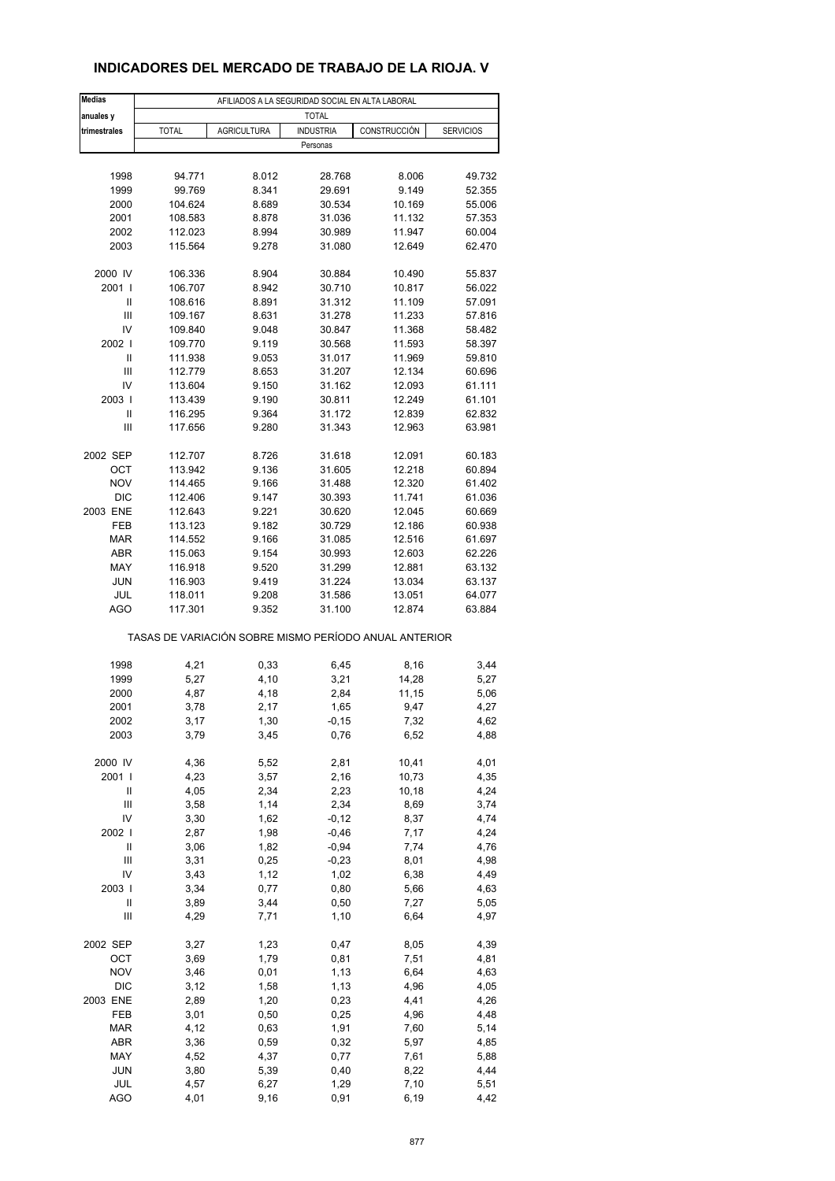## **INDICADORES DEL MERCADO DE TRABAJO DE LA RIOJA. V**

| <b>Medias</b>  | AFILIADOS A LA SEGURIDAD SOCIAL EN ALTA LABORAL |                    |                  |                                                       |                  |  |  |  |
|----------------|-------------------------------------------------|--------------------|------------------|-------------------------------------------------------|------------------|--|--|--|
| anuales y      |                                                 |                    | <b>TOTAL</b>     |                                                       |                  |  |  |  |
| trimestrales   | <b>TOTAL</b>                                    | <b>AGRICULTURA</b> | <b>INDUSTRIA</b> | CONSTRUCCIÓN                                          | <b>SERVICIOS</b> |  |  |  |
|                |                                                 |                    | Personas         |                                                       |                  |  |  |  |
|                |                                                 |                    |                  |                                                       |                  |  |  |  |
| 1998           | 94.771                                          | 8.012              | 28.768           | 8.006                                                 | 49.732           |  |  |  |
| 1999           | 99.769                                          | 8.341              | 29.691           | 9.149                                                 | 52.355           |  |  |  |
| 2000           | 104.624                                         | 8.689              | 30.534           | 10.169                                                | 55.006           |  |  |  |
| 2001           | 108.583                                         | 8.878<br>8.994     | 31.036           | 11.132                                                | 57.353           |  |  |  |
| 2002           | 112.023                                         |                    | 30.989           | 11.947                                                | 60.004           |  |  |  |
| 2003           | 115.564                                         | 9.278              | 31.080           | 12.649                                                | 62.470           |  |  |  |
| 2000 IV        | 106.336                                         | 8.904              | 30.884           | 10.490                                                | 55.837           |  |  |  |
| 2001 l         | 106.707                                         | 8.942              | 30.710           | 10.817                                                | 56.022           |  |  |  |
| Ш              | 108.616                                         | 8.891              | 31.312           | 11.109                                                | 57.091           |  |  |  |
| Ш              | 109.167                                         | 8.631              | 31.278           | 11.233                                                | 57.816           |  |  |  |
| IV             | 109.840                                         | 9.048              | 30.847           | 11.368                                                | 58.482           |  |  |  |
| 2002           | 109.770                                         | 9.119              | 30.568           | 11.593                                                | 58.397           |  |  |  |
| Ш              | 111.938                                         | 9.053              | 31.017           | 11.969                                                | 59.810           |  |  |  |
| Ш              | 112.779                                         | 8.653              | 31.207           | 12.134                                                | 60.696           |  |  |  |
| IV             | 113.604                                         | 9.150              | 31.162           | 12.093                                                | 61.111           |  |  |  |
| 2003           | 113.439                                         | 9.190              | 30.811           | 12.249                                                | 61.101           |  |  |  |
| Ш              | 116.295                                         | 9.364              | 31.172           | 12.839                                                | 62.832           |  |  |  |
| Ш              | 117.656                                         | 9.280              | 31.343           | 12.963                                                | 63.981           |  |  |  |
| 2002 SEP       | 112.707                                         | 8.726              | 31.618           | 12.091                                                | 60.183           |  |  |  |
| OCT            | 113.942                                         | 9.136              | 31.605           | 12.218                                                | 60.894           |  |  |  |
| <b>NOV</b>     | 114.465                                         | 9.166              | 31.488           | 12.320                                                | 61.402           |  |  |  |
| <b>DIC</b>     | 112.406                                         | 9.147              | 30.393           | 11.741                                                | 61.036           |  |  |  |
| 2003 ENE       | 112.643                                         | 9.221              | 30.620           | 12.045                                                | 60.669           |  |  |  |
| FEB            | 113.123                                         | 9.182              | 30.729           | 12.186                                                | 60.938           |  |  |  |
| <b>MAR</b>     | 114.552                                         | 9.166              | 31.085           | 12.516                                                | 61.697           |  |  |  |
| <b>ABR</b>     | 115.063                                         | 9.154              | 30.993           | 12.603                                                | 62.226           |  |  |  |
| MAY            | 116.918                                         | 9.520              | 31.299           | 12.881                                                | 63.132           |  |  |  |
| <b>JUN</b>     | 116.903                                         | 9.419              | 31.224           | 13.034                                                | 63.137           |  |  |  |
| JUL            | 118.011                                         | 9.208              | 31.586           | 13.051                                                | 64.077           |  |  |  |
| AGO            | 117.301                                         | 9.352              | 31.100           | 12.874                                                | 63.884           |  |  |  |
|                |                                                 |                    |                  | TASAS DE VARIACIÓN SOBRE MISMO PERÍODO ANUAL ANTERIOR |                  |  |  |  |
|                |                                                 |                    |                  |                                                       |                  |  |  |  |
| 1998           | 4,21                                            | 0,33               | 6,45             | 8,16                                                  | 3,44             |  |  |  |
| 1999           | 5,27                                            | 4,10               | 3,21             | 14,28                                                 | 5,27             |  |  |  |
| 2000           | 4,87                                            | 4,18               | 2,84             | 11,15                                                 | 5,06             |  |  |  |
| 2001           | 3,78                                            | 2,17               | 1,65             | 9,47                                                  | 4,27             |  |  |  |
| 2002           | 3,17                                            | 1,30               | -0,15            | 7,32                                                  | 4,62             |  |  |  |
| 2003           | 3,79                                            | 3,45               | 0,76             | 6,52                                                  | 4,88             |  |  |  |
| 2000 IV        | 4,36                                            | 5,52               | 2,81             | 10,41                                                 | 4,01             |  |  |  |
| 2001 l         | 4,23                                            | 3,57               | 2,16             | 10,73                                                 | 4,35             |  |  |  |
| Ш              | 4,05                                            | 2,34               | 2,23             | 10,18                                                 | 4,24             |  |  |  |
| Ш              | 3,58                                            | 1,14               | 2,34             | 8,69                                                  | 3,74             |  |  |  |
| IV             | 3,30                                            | 1,62               | $-0,12$          | 8,37                                                  | 4,74             |  |  |  |
| 2002           | 2,87                                            | 1,98               | $-0,46$          | 7,17                                                  | 4,24             |  |  |  |
| $\sf II$       | 3,06                                            | 1,82               | $-0,94$          | 7,74                                                  | 4,76             |  |  |  |
| Ш              | 3,31                                            | 0,25               | $-0,23$          | 8,01                                                  | 4,98             |  |  |  |
| IV             | 3,43                                            | 1,12               | 1,02             | 6,38                                                  | 4,49             |  |  |  |
| 2003           | 3,34                                            | 0,77               | 0,80             | 5,66                                                  | 4,63             |  |  |  |
| Ш              | 3,89                                            | 3,44               | 0,50             | 7,27                                                  | 5,05             |  |  |  |
| $\mathbf{III}$ | 4,29                                            | 7,71               | 1,10             | 6,64                                                  | 4,97             |  |  |  |
| 2002 SEP       | 3,27                                            | 1,23               | 0,47             | 8,05                                                  | 4,39             |  |  |  |
| OCT            | 3,69                                            | 1,79               | 0,81             | 7,51                                                  | 4,81             |  |  |  |
| <b>NOV</b>     | 3,46                                            | 0,01               | 1,13             | 6,64                                                  | 4,63             |  |  |  |
| DIC            | 3,12                                            | 1,58               | 1,13             | 4,96                                                  | 4,05             |  |  |  |
| 2003 ENE       | 2,89                                            | 1,20               | 0,23             | 4,41                                                  | 4,26             |  |  |  |
| FEB            | 3,01                                            | 0,50               | 0,25             | 4,96                                                  | 4,48             |  |  |  |
| <b>MAR</b>     | 4,12                                            | 0,63               | 1,91             | 7,60                                                  | 5,14             |  |  |  |
| ABR            | 3,36                                            | 0,59               | 0,32             | 5,97                                                  | 4,85             |  |  |  |
| MAY            | 4,52                                            | 4,37               | 0,77             | 7,61                                                  | 5,88             |  |  |  |
| <b>JUN</b>     | 3,80                                            | 5,39               | 0,40             | 8,22                                                  | 4,44             |  |  |  |
| JUL            | 4,57                                            | 6,27               | 1,29             | 7,10                                                  | 5,51             |  |  |  |
| <b>AGO</b>     | 4,01                                            | 9,16               | 0,91             | 6,19                                                  | 4,42             |  |  |  |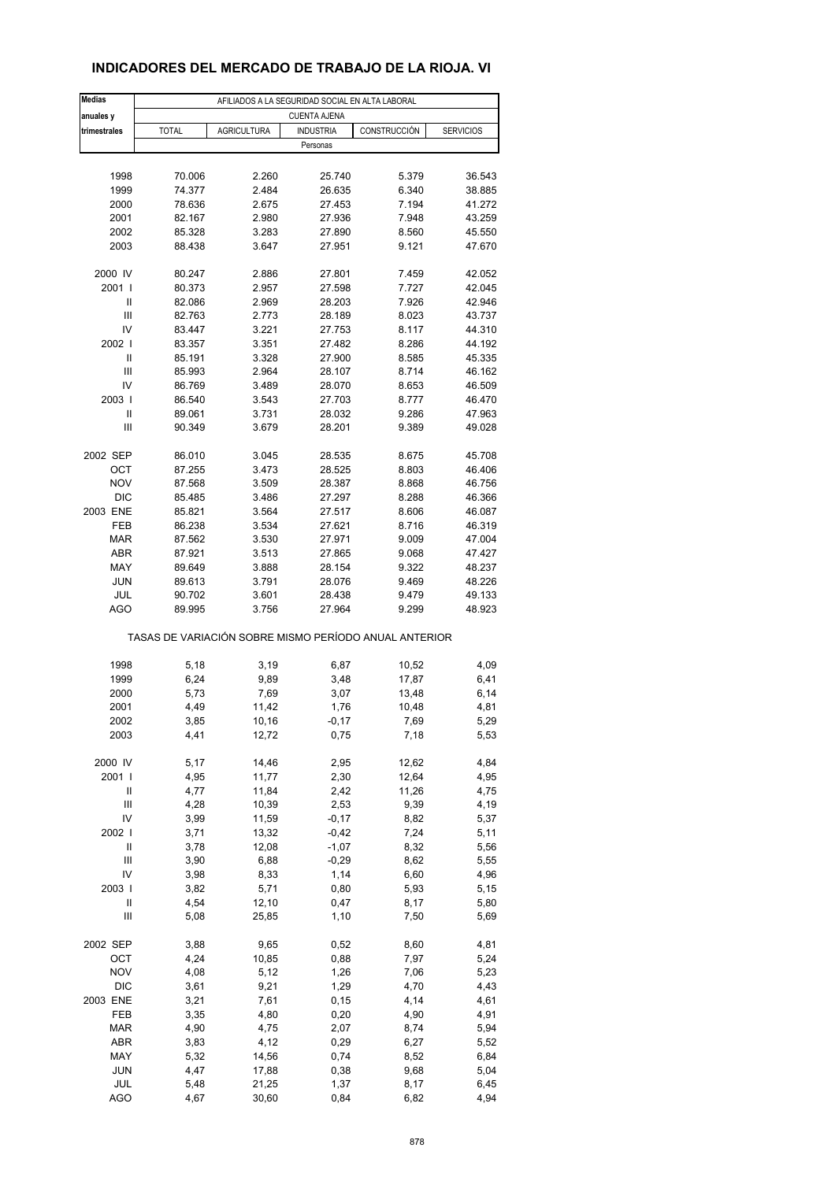## **INDICADORES DEL MERCADO DE TRABAJO DE LA RIOJA. VI**

| <b>Medias</b>     | AFILIADOS A LA SEGURIDAD SOCIAL EN ALTA LABORAL       |                    |                  |                |                  |  |  |  |
|-------------------|-------------------------------------------------------|--------------------|------------------|----------------|------------------|--|--|--|
| anuales y         | <b>CUENTA AJENA</b>                                   |                    |                  |                |                  |  |  |  |
| trimestrales      | <b>TOTAL</b>                                          | <b>AGRICULTURA</b> | <b>INDUSTRIA</b> | CONSTRUCCIÓN   | <b>SERVICIOS</b> |  |  |  |
|                   |                                                       |                    | Personas         |                |                  |  |  |  |
|                   |                                                       |                    |                  |                |                  |  |  |  |
| 1998              | 70.006                                                | 2.260              | 25.740           | 5.379          | 36.543           |  |  |  |
| 1999              | 74.377                                                | 2.484              | 26.635           | 6.340          | 38.885           |  |  |  |
| 2000              | 78.636                                                | 2.675              | 27.453           | 7.194          | 41.272           |  |  |  |
| 2001              | 82.167                                                | 2.980              | 27.936           | 7.948          | 43.259           |  |  |  |
| 2002              | 85.328                                                | 3.283              | 27.890           | 8.560          | 45.550           |  |  |  |
| 2003              | 88.438                                                | 3.647              | 27.951           | 9.121          | 47.670           |  |  |  |
|                   |                                                       |                    |                  |                |                  |  |  |  |
| 2000 IV           | 80.247                                                | 2.886              | 27.801           | 7.459          | 42.052           |  |  |  |
| 2001              | 80.373                                                | 2.957              | 27.598           | 7.727          | 42.045           |  |  |  |
| Ш                 | 82.086                                                | 2.969              | 28.203           | 7.926          | 42.946           |  |  |  |
| Ш<br>IV           | 82.763<br>83.447                                      | 2.773<br>3.221     | 28.189<br>27.753 | 8.023<br>8.117 | 43.737<br>44.310 |  |  |  |
| 2002              | 83.357                                                | 3.351              | 27.482           | 8.286          | 44.192           |  |  |  |
| Ш                 | 85.191                                                | 3.328              | 27.900           | 8.585          | 45.335           |  |  |  |
| Ш                 | 85.993                                                | 2.964              | 28.107           | 8.714          | 46.162           |  |  |  |
| IV                | 86.769                                                | 3.489              | 28.070           | 8.653          | 46.509           |  |  |  |
| 2003              | 86.540                                                | 3.543              | 27.703           | 8.777          | 46.470           |  |  |  |
| Ш                 | 89.061                                                | 3.731              | 28.032           | 9.286          | 47.963           |  |  |  |
| Ш                 | 90.349                                                | 3.679              | 28.201           | 9.389          | 49.028           |  |  |  |
|                   |                                                       |                    |                  |                |                  |  |  |  |
| 2002 SEP          | 86.010                                                | 3.045              | 28.535           | 8.675          | 45.708           |  |  |  |
| ОСТ               | 87.255                                                | 3.473              | 28.525           | 8.803          | 46.406           |  |  |  |
| <b>NOV</b>        | 87.568                                                | 3.509              | 28.387           | 8.868          | 46.756           |  |  |  |
| <b>DIC</b>        | 85.485                                                | 3.486              | 27.297           | 8.288          | 46.366           |  |  |  |
| 2003 ENE          | 85.821                                                | 3.564              | 27.517           | 8.606          | 46.087           |  |  |  |
| FEB               | 86.238                                                | 3.534              | 27.621           | 8.716          | 46.319           |  |  |  |
| <b>MAR</b>        | 87.562                                                | 3.530              | 27.971           | 9.009          | 47.004           |  |  |  |
| <b>ABR</b><br>MAY | 87.921<br>89.649                                      | 3.513<br>3.888     | 27.865<br>28.154 | 9.068<br>9.322 | 47.427<br>48.237 |  |  |  |
| <b>JUN</b>        | 89.613                                                | 3.791              | 28.076           | 9.469          | 48.226           |  |  |  |
| JUL               | 90.702                                                | 3.601              | 28.438           | 9.479          | 49.133           |  |  |  |
| AGO               | 89.995                                                | 3.756              | 27.964           | 9.299          | 48.923           |  |  |  |
|                   | TASAS DE VARIACIÓN SOBRE MISMO PERÍODO ANUAL ANTERIOR |                    |                  |                |                  |  |  |  |
|                   |                                                       |                    |                  |                |                  |  |  |  |
| 1998              | 5,18                                                  | 3,19               | 6,87             | 10,52          | 4,09             |  |  |  |
| 1999              | 6,24                                                  | 9,89               | 3,48             | 17,87          | 6,41             |  |  |  |
| 2000              | 5,73                                                  | 7,69               | 3,07             | 13,48          | 6,14             |  |  |  |
| 2001              | 4,49                                                  | 11,42              | 1,76             | 10,48          | 4,81             |  |  |  |
| 2002              | 3,85                                                  | 10,16              | -0,17            | 7,69           | 5,29             |  |  |  |
| 2003              | 4,41                                                  | 12,72              | 0,75             | 7,18           | 5,53             |  |  |  |
| 2000 IV           | 5,17                                                  | 14,46              | 2,95             | 12,62          | 4,84             |  |  |  |
| 2001 l            | 4,95                                                  | 11,77              | 2,30             | 12,64          | 4,95             |  |  |  |
| Ш                 | 4,77                                                  | 11,84              | 2,42             | 11,26          | 4,75             |  |  |  |
| Ш                 | 4,28                                                  | 10,39              | 2,53             | 9,39           | 4,19             |  |  |  |
| IV                | 3,99                                                  | 11,59              | $-0,17$          | 8,82           | 5,37             |  |  |  |
| 2002              | 3,71                                                  | 13,32              | $-0,42$          | 7,24           | 5,11             |  |  |  |
| Ш                 | 3,78                                                  | 12,08              | $-1,07$          | 8,32           | 5,56             |  |  |  |
| Ш                 | 3,90                                                  | 6,88               | $-0,29$          | 8,62           | 5,55             |  |  |  |
| IV                | 3,98                                                  | 8,33               | 1,14             | 6,60           | 4,96             |  |  |  |
| 2003              | 3,82                                                  | 5,71               | 0,80             | 5,93           | 5,15             |  |  |  |
| Ш                 | 4,54                                                  | 12,10              | 0,47             | 8,17           | 5,80             |  |  |  |
| Ш                 | 5,08                                                  | 25,85              | 1,10             | 7,50           | 5,69             |  |  |  |
| 2002 SEP          | 3,88                                                  | 9,65               | 0,52             | 8,60           | 4,81             |  |  |  |
| OCT               | 4,24                                                  | 10,85              | 0,88             | 7,97           | 5,24             |  |  |  |
| <b>NOV</b>        | 4,08                                                  | 5,12               | 1,26             | 7,06           | 5,23             |  |  |  |
| DIC               | 3,61                                                  | 9,21               | 1,29             | 4,70           | 4,43             |  |  |  |
| 2003 ENE          | 3,21                                                  | 7,61               | 0, 15            | 4,14           | 4,61             |  |  |  |
| FEB               | 3,35                                                  | 4,80               | 0,20             | 4,90           | 4,91             |  |  |  |
| <b>MAR</b>        | 4,90                                                  | 4,75               | 2,07             | 8,74           | 5,94             |  |  |  |
| ABR               | 3,83                                                  | 4,12               | 0,29             | 6,27           | 5,52             |  |  |  |
| MAY<br><b>JUN</b> | 5,32<br>4,47                                          | 14,56              | 0,74             | 8,52           | 6,84             |  |  |  |
| JUL               | 5,48                                                  | 17,88<br>21,25     | 0,38<br>1,37     | 9,68<br>8,17   | 5,04<br>6,45     |  |  |  |
| <b>AGO</b>        | 4,67                                                  | 30,60              | 0,84             | 6,82           | 4,94             |  |  |  |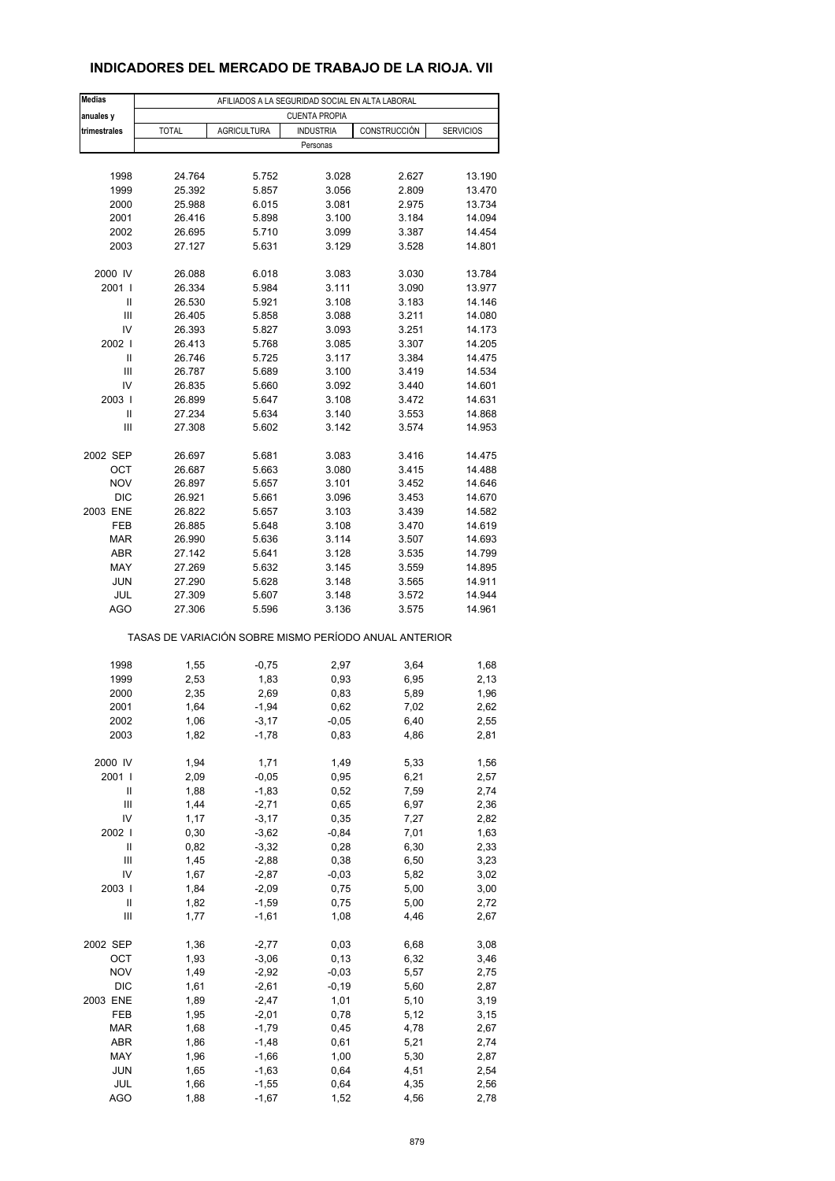## **INDICADORES DEL MERCADO DE TRABAJO DE LA RIOJA. VII**

| <b>Medias</b>            | AFILIADOS A LA SEGURIDAD SOCIAL EN ALTA LABORAL       |                    |                    |                |                  |  |  |  |  |
|--------------------------|-------------------------------------------------------|--------------------|--------------------|----------------|------------------|--|--|--|--|
| anuales y                | <b>CUENTA PROPIA</b>                                  |                    |                    |                |                  |  |  |  |  |
| trimestrales             | <b>TOTAL</b>                                          | <b>AGRICULTURA</b> | <b>INDUSTRIA</b>   | CONSTRUCCIÓN   | <b>SERVICIOS</b> |  |  |  |  |
|                          |                                                       |                    | Personas           |                |                  |  |  |  |  |
|                          |                                                       |                    |                    |                |                  |  |  |  |  |
| 1998                     | 24.764                                                | 5.752              | 3.028              | 2.627          | 13.190           |  |  |  |  |
| 1999                     | 25.392                                                | 5.857              | 3.056              | 2.809          | 13.470           |  |  |  |  |
| 2000                     | 25.988                                                | 6.015              | 3.081              | 2.975          | 13.734           |  |  |  |  |
| 2001                     | 26.416                                                | 5.898              | 3.100              | 3.184          | 14.094           |  |  |  |  |
| 2002                     | 26.695                                                | 5.710              | 3.099              | 3.387          | 14.454           |  |  |  |  |
| 2003                     | 27.127                                                | 5.631              | 3.129              | 3.528          | 14.801           |  |  |  |  |
|                          |                                                       |                    |                    |                |                  |  |  |  |  |
| 2000 IV                  | 26.088                                                | 6.018              | 3.083              | 3.030          | 13.784           |  |  |  |  |
| 2001 l                   | 26.334                                                | 5.984              | 3.111              | 3.090          | 13.977           |  |  |  |  |
| Ш                        | 26.530                                                | 5.921              | 3.108              | 3.183          | 14.146           |  |  |  |  |
| Ш                        | 26.405                                                | 5.858              | 3.088              | 3.211          | 14.080           |  |  |  |  |
| IV                       | 26.393                                                | 5.827              | 3.093              | 3.251          | 14.173           |  |  |  |  |
| 2002                     | 26.413                                                | 5.768              | 3.085              | 3.307          | 14.205           |  |  |  |  |
| Ш                        | 26.746                                                | 5.725              | 3.117              | 3.384          | 14.475           |  |  |  |  |
| Ш                        | 26.787                                                | 5.689              | 3.100              | 3.419          | 14.534           |  |  |  |  |
| IV                       | 26.835                                                | 5.660              | 3.092              | 3.440          | 14.601           |  |  |  |  |
| 2003                     | 26.899                                                | 5.647              | 3.108              | 3.472          | 14.631           |  |  |  |  |
| Ш                        | 27.234                                                | 5.634              | 3.140              | 3.553          | 14.868           |  |  |  |  |
| Ш                        | 27.308                                                | 5.602              | 3.142              | 3.574          | 14.953           |  |  |  |  |
|                          |                                                       |                    |                    |                |                  |  |  |  |  |
| 2002 SEP<br><b>OCT</b>   | 26.697<br>26.687                                      | 5.681<br>5.663     | 3.083<br>3.080     | 3.416<br>3.415 | 14.475<br>14.488 |  |  |  |  |
|                          |                                                       |                    |                    |                |                  |  |  |  |  |
| <b>NOV</b><br><b>DIC</b> | 26.897                                                | 5.657              | 3.101              | 3.452          | 14.646<br>14.670 |  |  |  |  |
|                          | 26.921                                                | 5.661              | 3.096              | 3.453          |                  |  |  |  |  |
| 2003 ENE<br>FEB          | 26.822                                                | 5.657              | 3.103              | 3.439          | 14.582           |  |  |  |  |
|                          | 26.885                                                | 5.648              | 3.108              | 3.470          | 14.619           |  |  |  |  |
| <b>MAR</b>               | 26.990                                                | 5.636              | 3.114              | 3.507          | 14.693           |  |  |  |  |
| ABR                      | 27.142                                                | 5.641              | 3.128              | 3.535          | 14.799           |  |  |  |  |
| MAY                      | 27.269                                                | 5.632              | 3.145              | 3.559          | 14.895           |  |  |  |  |
| <b>JUN</b>               | 27.290                                                | 5.628              | 3.148              | 3.565          | 14.911           |  |  |  |  |
| JUL<br>AGO               | 27.309<br>27.306                                      | 5.607<br>5.596     | 3.148<br>3.136     | 3.572<br>3.575 | 14.944<br>14.961 |  |  |  |  |
|                          |                                                       |                    |                    |                |                  |  |  |  |  |
|                          | TASAS DE VARIACIÓN SOBRE MISMO PERÍODO ANUAL ANTERIOR |                    |                    |                |                  |  |  |  |  |
|                          |                                                       |                    |                    |                |                  |  |  |  |  |
| 1998                     | 1,55                                                  | $-0,75$            | 2,97               | 3,64           | 1,68             |  |  |  |  |
| 1999                     | 2,53                                                  | 1,83               | 0,93               | 6,95           | 2,13             |  |  |  |  |
| 2000                     | 2,35                                                  | 2,69               | 0,83               | 5,89           | 1,96             |  |  |  |  |
| 2001                     | 1,64                                                  | $-1,94$            | 0,62               | 7,02           | 2,62             |  |  |  |  |
| 2002                     | 1,06                                                  | -3,17              | -0,05              | 6,40           | 2,55             |  |  |  |  |
| 2003                     | 1,82                                                  | $-1,78$            | 0,83               | 4,86           | 2,81             |  |  |  |  |
|                          |                                                       |                    |                    |                |                  |  |  |  |  |
| 2000 IV                  | 1,94                                                  | 1,71               | 1,49               | 5,33           | 1,56             |  |  |  |  |
| 2001 l                   | 2,09                                                  | $-0,05$            | 0,95               | 6,21           | 2,57             |  |  |  |  |
| Ш                        | 1,88                                                  | $-1,83$            | 0,52               | 7,59           | 2,74             |  |  |  |  |
| Ш                        | 1,44                                                  | $-2,71$            | 0,65               | 6,97           | 2,36             |  |  |  |  |
| IV                       | 1,17                                                  | $-3,17$            | 0,35               | 7,27           | 2,82             |  |  |  |  |
| 2002                     | 0,30                                                  | $-3,62$            | $-0,84$            | 7,01           | 1,63             |  |  |  |  |
| Ш                        | 0,82                                                  | $-3,32$            | 0,28               | 6,30           | 2,33             |  |  |  |  |
| Ш                        | 1,45                                                  | $-2,88$            | 0,38               | 6,50           | 3,23             |  |  |  |  |
| IV                       | 1,67                                                  | $-2,87$            | $-0,03$            | 5,82           | 3,02             |  |  |  |  |
| 2003                     | 1,84                                                  | $-2,09$            | 0,75               | 5,00           | 3,00             |  |  |  |  |
| Ш                        | 1,82                                                  | $-1,59$            | 0,75               | 5,00           | 2,72             |  |  |  |  |
| Ш                        | 1,77                                                  | $-1,61$            | 1,08               | 4,46           | 2,67             |  |  |  |  |
| 2002 SEP                 |                                                       |                    |                    |                |                  |  |  |  |  |
| OCT                      | 1,36<br>1,93                                          | $-2,77$<br>$-3,06$ | 0,03<br>0, 13      | 6,68<br>6,32   | 3,08             |  |  |  |  |
|                          |                                                       |                    |                    |                | 3,46             |  |  |  |  |
| <b>NOV</b><br>DIC        | 1,49                                                  | $-2,92$            | $-0,03$<br>$-0,19$ | 5,57<br>5,60   | 2,75             |  |  |  |  |
| 2003 ENE                 | 1,61<br>1,89                                          | $-2,61$<br>$-2,47$ | 1,01               | 5,10           | 2,87             |  |  |  |  |
| FEB                      | 1,95                                                  | $-2,01$            | 0,78               | 5,12           | 3,19<br>3,15     |  |  |  |  |
| MAR                      | 1,68                                                  | $-1,79$            | 0,45               | 4,78           |                  |  |  |  |  |
| ABR                      | 1,86                                                  | $-1,48$            | 0,61               | 5,21           | 2,67             |  |  |  |  |
| MAY                      | 1,96                                                  | $-1,66$            | 1,00               | 5,30           | 2,74             |  |  |  |  |
| <b>JUN</b>               | 1,65                                                  | $-1,63$            | 0,64               | 4,51           | 2,87<br>2,54     |  |  |  |  |
| JUL                      | 1,66                                                  | $-1,55$            | 0,64               | 4,35           | 2,56             |  |  |  |  |
| <b>AGO</b>               | 1,88                                                  | $-1,67$            | 1,52               | 4,56           | 2,78             |  |  |  |  |
|                          |                                                       |                    |                    |                |                  |  |  |  |  |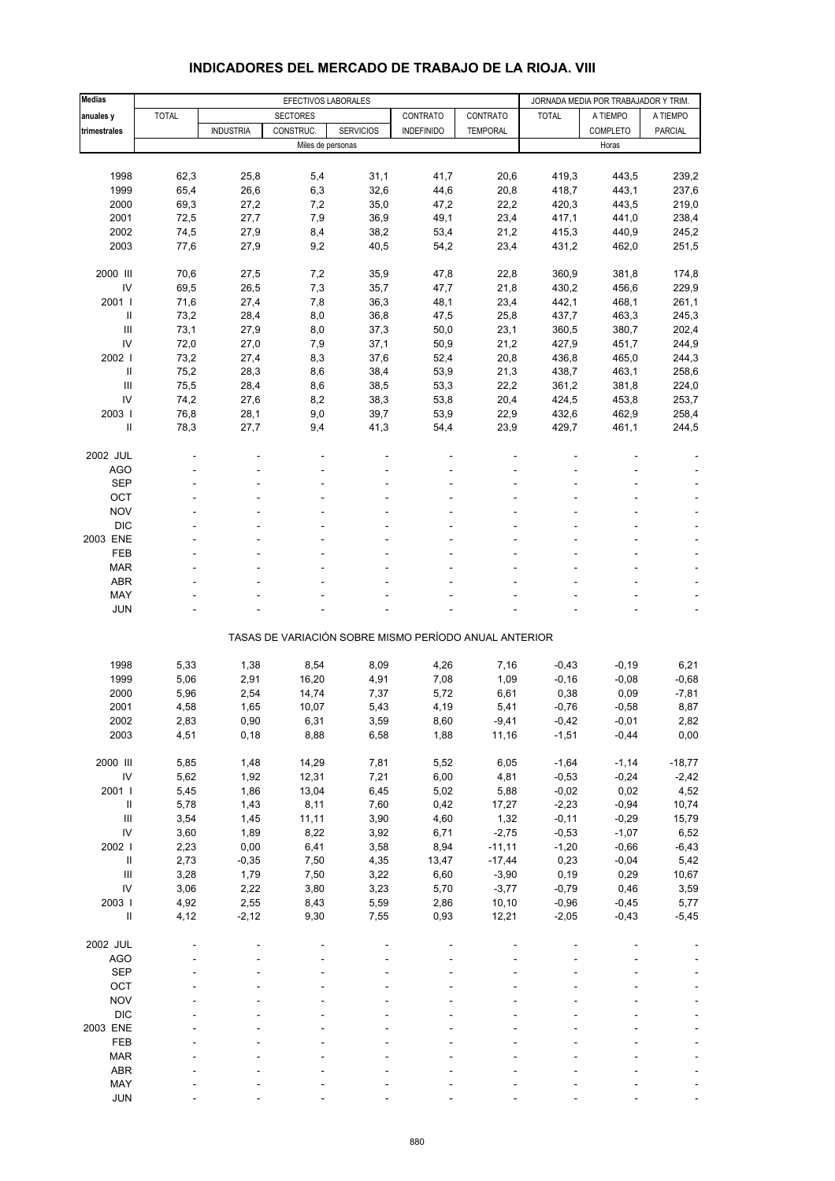| <b>Medias</b>                      |              | EFECTIVOS LABORALES |                   |                                                       |                   |                 |              | JORNADA MEDIA POR TRABAJADOR Y TRIM. |                |
|------------------------------------|--------------|---------------------|-------------------|-------------------------------------------------------|-------------------|-----------------|--------------|--------------------------------------|----------------|
| anuales y                          | <b>TOTAL</b> |                     | <b>SECTORES</b>   |                                                       | CONTRATO          | CONTRATO        | <b>TOTAL</b> | A TIEMPO                             | A TIEMPO       |
| trimestrales                       |              | <b>INDUSTRIA</b>    | CONSTRUC.         | <b>SERVICIOS</b>                                      | <b>INDEFINIDO</b> | <b>TEMPORAL</b> |              | COMPLETO                             | <b>PARCIAL</b> |
|                                    |              |                     | Miles de personas |                                                       |                   |                 |              | Horas                                |                |
|                                    |              |                     |                   |                                                       |                   |                 |              |                                      |                |
| 1998                               | 62,3         | 25,8                | 5,4               | 31,1                                                  | 41,7              | 20,6            | 419,3        | 443,5                                | 239,2          |
| 1999                               | 65,4         | 26,6                | 6,3               | 32,6                                                  | 44,6              | 20,8            | 418,7        | 443,1                                | 237,6          |
| 2000                               | 69,3         | 27,2                | 7,2               | 35,0                                                  | 47,2              | 22,2            | 420,3        | 443,5                                | 219,0          |
| 2001                               | 72,5         | 27,7                | 7,9               | 36,9                                                  | 49,1              | 23,4            | 417,1        | 441,0                                | 238,4          |
| 2002                               | 74,5         | 27,9                | 8,4               | 38,2                                                  | 53,4              | 21,2            | 415,3        | 440,9                                | 245,2          |
| 2003                               | 77,6         | 27,9                | 9,2               | 40,5                                                  | 54,2              | 23,4            | 431,2        | 462,0                                | 251,5          |
|                                    |              |                     |                   |                                                       |                   |                 |              |                                      |                |
| 2000 III                           | 70,6         | 27,5                | 7,2               | 35,9                                                  | 47,8              | 22,8            | 360,9        | 381,8                                | 174,8          |
| IV                                 | 69,5         | 26,5                | 7,3               | 35,7                                                  | 47,7              | 21,8            | 430,2        | 456,6                                | 229,9          |
| 2001 l                             | 71,6         | 27,4                | 7,8               | 36,3                                                  | 48,1              | 23,4            | 442,1        | 468,1                                | 261,1          |
| $\ensuremath{\mathsf{II}}$         | 73,2         | 28,4                | 8,0               | 36,8                                                  | 47,5              | 25,8            | 437,7        | 463,3                                | 245,3          |
| Ш                                  | 73,1         | 27,9                | 8,0               | 37,3                                                  | 50,0              | 23,1            | 360,5        | 380,7                                | 202,4          |
| IV                                 | 72,0         | 27,0                | 7,9               | 37,1                                                  | 50,9              | 21,2            | 427,9        | 451,7                                | 244,9          |
| 2002                               | 73,2         | 27,4                | 8,3               | 37,6                                                  | 52,4              | 20,8            | 436,8        | 465,0                                | 244,3          |
| Ш                                  | 75,2         | 28,3                | 8,6               | 38,4                                                  | 53,9              | 21,3            | 438,7        | 463,1                                | 258,6          |
| Ш                                  |              |                     |                   |                                                       |                   |                 |              |                                      |                |
|                                    | 75,5         | 28,4                | 8,6               | 38,5                                                  | 53,3              | 22,2            | 361,2        | 381,8                                | 224,0          |
| IV                                 | 74,2         | 27,6                | 8,2               | 38,3                                                  | 53,8              | 20,4            | 424,5        | 453,8                                | 253,7          |
| 2003                               | 76,8         | 28,1                | 9,0               | 39,7                                                  | 53,9              | 22,9            | 432,6        | 462,9                                | 258,4          |
| $\mathbf{I}$                       | 78,3         | 27,7                | 9,4               | 41,3                                                  | 54,4              | 23,9            | 429,7        | 461,1                                | 244,5          |
|                                    |              |                     |                   |                                                       |                   |                 |              |                                      |                |
| 2002 JUL                           |              |                     |                   |                                                       |                   |                 |              |                                      |                |
| <b>AGO</b>                         |              |                     |                   |                                                       |                   |                 |              |                                      |                |
| <b>SEP</b>                         |              |                     |                   |                                                       |                   |                 |              |                                      |                |
| OCT                                |              |                     |                   |                                                       |                   |                 |              |                                      |                |
| <b>NOV</b>                         |              |                     |                   |                                                       |                   |                 |              |                                      |                |
| <b>DIC</b>                         |              |                     |                   |                                                       |                   |                 |              |                                      |                |
| 2003 ENE                           |              |                     |                   |                                                       |                   |                 |              |                                      |                |
| FEB                                |              |                     |                   |                                                       |                   |                 |              |                                      |                |
| <b>MAR</b>                         |              |                     |                   |                                                       |                   |                 |              |                                      |                |
| <b>ABR</b>                         |              |                     |                   |                                                       |                   |                 |              |                                      |                |
| MAY                                |              |                     |                   |                                                       |                   |                 |              |                                      |                |
| <b>JUN</b>                         |              |                     |                   |                                                       |                   |                 |              |                                      |                |
|                                    |              |                     |                   |                                                       |                   |                 |              |                                      |                |
|                                    |              |                     |                   | TASAS DE VARIACIÓN SOBRE MISMO PERÍODO ANUAL ANTERIOR |                   |                 |              |                                      |                |
| 1998                               | 5,33         | 1,38                | 8,54              | 8,09                                                  | 4,26              | 7,16            | $-0,43$      | $-0,19$                              | 6,21           |
|                                    |              |                     |                   |                                                       |                   |                 |              |                                      |                |
| 1999                               | 5,06         | 2,91                | 16,20             | 4,91                                                  | 7,08              | 1,09            | $-0,16$      | $-0,08$                              | $-0,68$        |
| 2000                               | 5,96         | 2,54                | 14,74             | 7,37                                                  | 5,72              | 6,61            | 0,38         | 0,09                                 | $-7,81$        |
| 2001                               | 4,58         | 1,65                | 10,07             | 5,43                                                  | 4,19              | 5,41            | $-0,76$      | $-0,58$                              | 8,87           |
| 2002                               | 2,83         | 0,90                | 6,31              | 3,59                                                  | 8,60              | -9,41           | -0,42        | $-0,01$                              | 2,82           |
| 2003                               | 4,51         | 0, 18               | 8,88              | 6,58                                                  | 1,88              | 11,16           | $-1,51$      | $-0,44$                              | 0,00           |
|                                    |              |                     |                   |                                                       |                   |                 |              |                                      |                |
| 2000 III                           | 5,85         | 1,48                | 14,29             | 7,81                                                  | 5,52              | 6,05            | $-1,64$      | $-1,14$                              | $-18,77$       |
| ${\sf IV}$                         | 5,62         | 1,92                | 12,31             | 7,21                                                  | 6,00              | 4,81            | $-0,53$      | $-0,24$                              | $-2,42$        |
| 2001                               | 5,45         | 1,86                | 13,04             | 6,45                                                  | 5,02              | 5,88            | $-0,02$      | 0,02                                 | 4,52           |
| $\ensuremath{\mathsf{II}}$         | 5,78         | 1,43                | 8,11              | 7,60                                                  | 0,42              | 17,27           | $-2,23$      | $-0,94$                              | 10,74          |
| Ш                                  | 3,54         | 1,45                | 11,11             | 3,90                                                  | 4,60              | 1,32            | $-0,11$      | $-0,29$                              | 15,79          |
| IV                                 | 3,60         | 1,89                | 8,22              | 3,92                                                  | 6,71              | $-2,75$         | $-0,53$      | $-1,07$                              | 6,52           |
| 2002                               | 2,23         | 0,00                | 6,41              | 3,58                                                  | 8,94              | $-11,11$        | $-1,20$      | $-0,66$                              | $-6,43$        |
| $\ensuremath{\mathsf{II}}$         | 2,73         | $-0,35$             | 7,50              | 4,35                                                  | 13,47             | $-17,44$        | 0,23         | $-0,04$                              | 5,42           |
| $\ensuremath{\mathsf{III}}\xspace$ | 3,28         | 1,79                | 7,50              | 3,22                                                  | 6,60              | $-3,90$         | 0, 19        | 0,29                                 | 10,67          |
| ${\sf IV}$                         | 3,06         | 2,22                | 3,80              | 3,23                                                  | 5,70              | $-3,77$         | $-0,79$      | 0,46                                 | 3,59           |
| 2003                               | 4,92         | 2,55                | 8,43              | 5,59                                                  | 2,86              | 10, 10          | $-0,96$      | $-0,45$                              | 5,77           |
| $\ensuremath{\mathsf{II}}$         | 4,12         | $-2,12$             | 9,30              | 7,55                                                  | 0,93              | 12,21           | $-2,05$      | $-0,43$                              | $-5,45$        |
|                                    |              |                     |                   |                                                       |                   |                 |              |                                      |                |
| 2002 JUL                           |              |                     |                   |                                                       |                   |                 |              |                                      |                |
| AGO                                |              |                     |                   |                                                       |                   |                 |              |                                      |                |
| SEP                                |              |                     |                   |                                                       |                   |                 |              |                                      |                |
| OCT                                |              |                     |                   |                                                       |                   |                 |              |                                      |                |
| <b>NOV</b>                         |              |                     |                   |                                                       |                   |                 |              |                                      |                |
| <b>DIC</b>                         |              |                     |                   |                                                       |                   |                 |              |                                      |                |
| 2003 ENE                           |              |                     |                   |                                                       |                   |                 |              |                                      |                |
| FEB                                |              |                     |                   |                                                       |                   |                 |              |                                      |                |
| <b>MAR</b>                         |              |                     |                   |                                                       |                   |                 |              |                                      |                |
| ABR                                |              |                     |                   |                                                       |                   |                 |              |                                      |                |
| MAY                                |              |                     |                   |                                                       |                   |                 |              |                                      |                |
| <b>JUN</b>                         |              |                     |                   |                                                       |                   |                 |              |                                      |                |

## **INDICADORES DEL MERCADO DE TRABAJO DE LA RIOJA. VIII**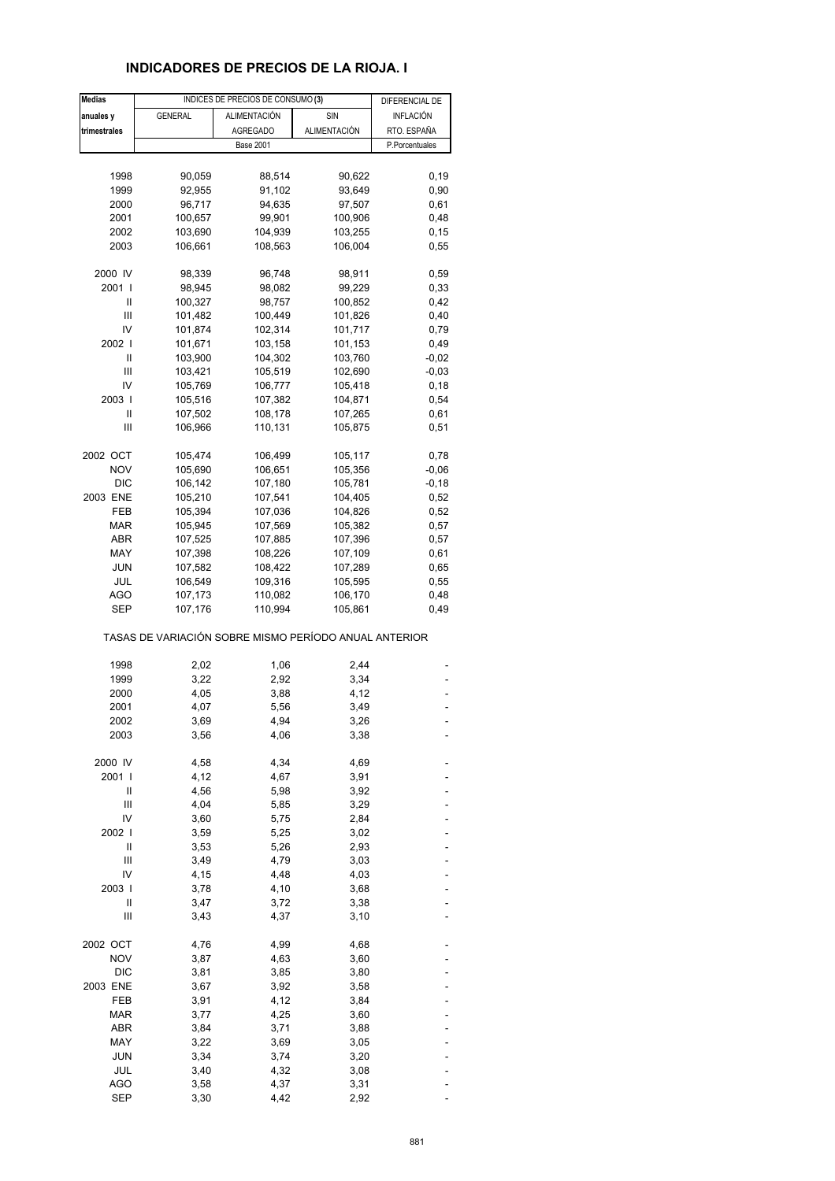## **INDICADORES DE PRECIOS DE LA RIOJA. I**

| <b>Medias</b> |                                                       | INDICES DE PRECIOS DE CONSUMO (3) | DIFERENCIAL DE |                |
|---------------|-------------------------------------------------------|-----------------------------------|----------------|----------------|
| anuales y     | <b>GENERAL</b>                                        | ALIMENTACIÓN                      | <b>SIN</b>     | INFLACIÓN      |
| trimestrales  |                                                       | <b>AGREGADO</b>                   | ALIMENTACIÓN   | RTO. ESPAÑA    |
|               |                                                       | <b>Base 2001</b>                  |                | P.Porcentuales |
|               |                                                       |                                   |                |                |
| 1998          | 90,059                                                | 88,514                            | 90,622         | 0, 19          |
| 1999          | 92,955                                                | 91,102                            | 93,649         | 0,90           |
| 2000          | 96,717                                                | 94,635                            | 97,507         | 0,61           |
| 2001          | 100,657                                               | 99,901                            | 100,906        | 0,48           |
| 2002          | 103,690                                               | 104,939                           | 103,255        | 0, 15          |
| 2003          | 106,661                                               | 108,563                           | 106,004        | 0,55           |
|               |                                                       |                                   |                |                |
| 2000 IV       | 98,339                                                | 96,748                            | 98,911         | 0,59           |
| 2001 l        | 98,945                                                | 98,082                            | 99,229         | 0,33           |
| Ш             | 100,327                                               | 98,757                            | 100,852        | 0,42           |
| Ш             | 101,482                                               | 100,449                           | 101,826        | 0,40           |
| IV            | 101,874                                               | 102,314                           | 101,717        | 0,79           |
| 2002 l        | 101,671                                               | 103,158                           | 101,153        | 0,49           |
| Ш             | 103,900                                               | 104,302                           | 103,760        | $-0,02$        |
| Ш             | 103,421                                               | 105,519                           | 102,690        | $-0,03$        |
| IV            | 105,769                                               | 106,777                           | 105,418        | 0, 18          |
| 2003          | 105,516                                               | 107,382                           | 104,871        | 0,54           |
| Ш             | 107,502                                               | 108,178                           | 107,265        | 0,61           |
| Ш             | 106,966                                               | 110,131                           | 105,875        | 0,51           |
|               |                                                       |                                   |                |                |
| 2002 OCT      | 105,474                                               | 106,499                           | 105,117        | 0,78           |
| <b>NOV</b>    | 105,690                                               | 106,651                           | 105,356        | $-0.06$        |
| <b>DIC</b>    | 106,142                                               | 107,180                           | 105,781        | $-0,18$        |
| 2003 ENE      | 105,210                                               | 107,541                           | 104,405        | 0,52           |
| FEB           | 105,394                                               | 107,036                           | 104,826        | 0,52           |
| MAR           | 105,945                                               | 107,569                           | 105,382        | 0,57           |
| ABR           | 107,525                                               | 107,885                           | 107,396        | 0,57           |
| MAY           | 107,398                                               | 108,226                           | 107,109        | 0,61           |
| <b>JUN</b>    | 107,582                                               | 108,422                           | 107,289        | 0,65           |
| JUL           | 106,549                                               | 109,316                           | 105,595        | 0,55           |
| AGO           | 107,173                                               | 110,082                           | 106,170        | 0,48           |
| <b>SEP</b>    | 107,176                                               | 110,994                           | 105,861        | 0,49           |
|               | TASAS DE VARIACIÓN SOBRE MISMO PERÍODO ANUAL ANTERIOR |                                   |                |                |
| 1998          | 2,02                                                  | 1,06                              | 2,44           |                |
| 1999          | 3,22                                                  | 2,92                              | 3,34           |                |
| 2000          | 4,05                                                  | 3,88                              | 4,12           |                |
| 2001          | 4,07                                                  | 5,56                              | 3,49           |                |
| 2002          | 3,69                                                  | 4,94                              |                |                |
| 2003          | 3,56                                                  | 4,06                              | 3,26<br>3,38   |                |
|               |                                                       |                                   |                |                |
| 2000 IV       | 4,58                                                  | 4,34                              | 4,69           |                |
| 2001 l        | 4,12                                                  | 4,67                              | 3,91           |                |
| Ш             | 4,56                                                  | 5,98                              | 3,92           |                |
| Ш             | 4,04                                                  | 5,85                              | 3,29           |                |
| IV            | 3,60                                                  | 5,75                              | 2,84           |                |
| 2002          | 3,59                                                  | 5,25                              | 3,02           |                |
| Ш             | 3,53                                                  | 5,26                              | 2,93           |                |
| Ш             | 3,49                                                  | 4,79                              | 3,03           |                |
| IV            | 4,15                                                  | 4,48                              | 4,03           |                |
| 2003          | 3,78                                                  | 4,10                              | 3,68           |                |
| Ш             | 3,47                                                  | 3,72                              | 3,38           |                |
| Ш             | 3,43                                                  | 4,37                              | 3,10           |                |
| 2002 OCT      | 4,76                                                  | 4,99                              | 4,68           |                |
| <b>NOV</b>    | 3,87                                                  | 4,63                              | 3,60           |                |
| <b>DIC</b>    | 3,81                                                  | 3,85                              | 3,80           |                |
| 2003 ENE      | 3,67                                                  | 3,92                              | 3,58           |                |
| FEB           | 3,91                                                  | 4,12                              | 3,84           |                |
| <b>MAR</b>    | 3,77                                                  | 4,25                              | 3,60           |                |
| ABR           | 3,84                                                  | 3,71                              | 3,88           |                |
| MAY           | 3,22                                                  | 3,69                              | 3,05           |                |
| JUN           | 3,34                                                  | 3,74                              | 3,20           |                |
| JUL           | 3,40                                                  | 4,32                              | 3,08           |                |
| <b>AGO</b>    | 3,58                                                  | 4,37                              | 3,31           |                |
| <b>SEP</b>    | 3,30                                                  | 4,42                              | 2,92           |                |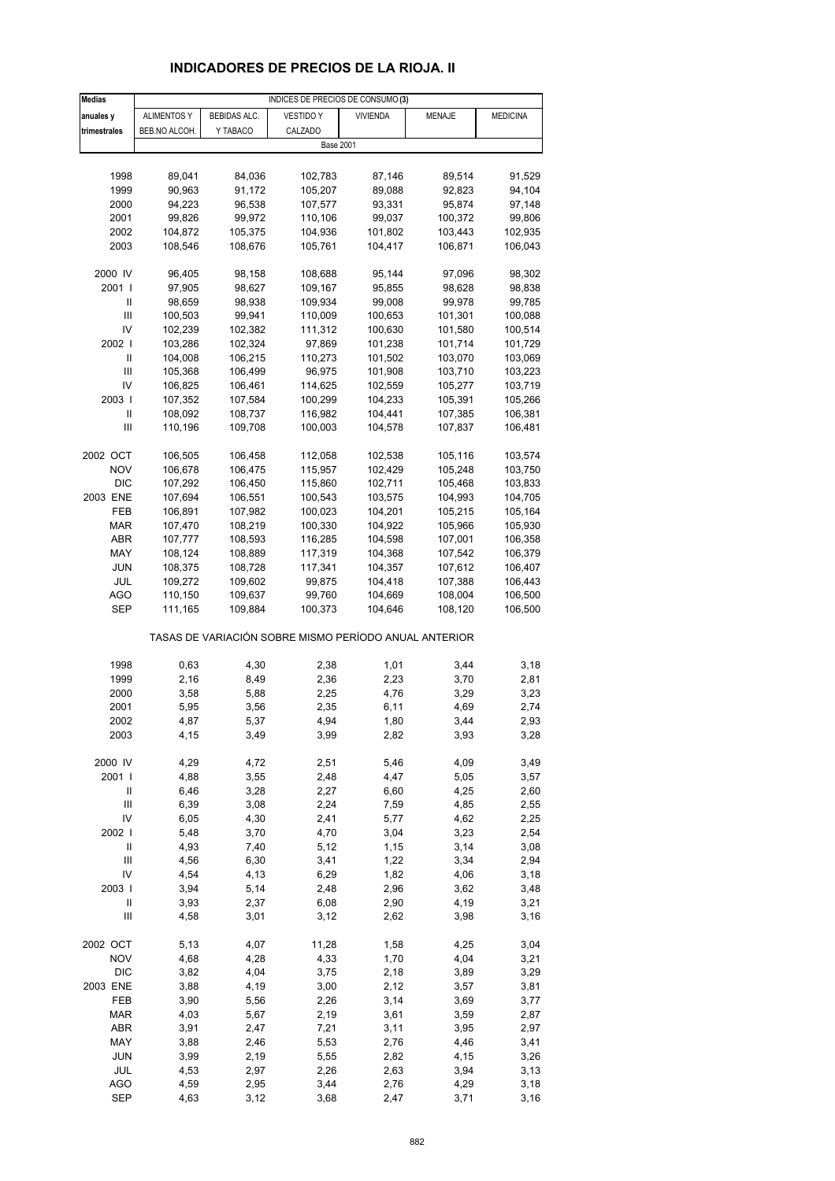| <b>Medias</b>              | INDICES DE PRECIOS DE CONSUMO (3) |              |                                                       |                 |         |                 |  |  |
|----------------------------|-----------------------------------|--------------|-------------------------------------------------------|-----------------|---------|-----------------|--|--|
| anuales y                  | <b>ALIMENTOS Y</b>                | BEBIDAS ALC. | <b>VESTIDO Y</b>                                      | <b>VIVIENDA</b> | MENAJE  | <b>MEDICINA</b> |  |  |
| trimestrales               | BEB.NO ALCOH.                     | Y TABACO     | CALZADO                                               |                 |         |                 |  |  |
|                            |                                   |              | <b>Base 2001</b>                                      |                 |         |                 |  |  |
|                            |                                   |              |                                                       |                 |         |                 |  |  |
| 1998                       | 89,041                            | 84,036       | 102,783                                               | 87,146          | 89,514  | 91,529          |  |  |
| 1999                       | 90,963                            | 91,172       | 105,207                                               | 89,088          | 92,823  | 94,104          |  |  |
| 2000                       |                                   |              |                                                       |                 | 95,874  |                 |  |  |
|                            | 94,223                            | 96,538       | 107,577                                               | 93,331          |         | 97,148          |  |  |
| 2001                       | 99,826                            | 99,972       | 110,106                                               | 99,037          | 100,372 | 99,806          |  |  |
| 2002                       | 104,872                           | 105,375      | 104,936                                               | 101,802         | 103,443 | 102,935         |  |  |
| 2003                       | 108,546                           | 108,676      | 105,761                                               | 104,417         | 106,871 | 106,043         |  |  |
|                            |                                   |              |                                                       |                 |         |                 |  |  |
| 2000 IV                    | 96,405                            | 98,158       | 108,688                                               | 95,144          | 97,096  | 98,302          |  |  |
| 2001 l                     | 97,905                            | 98,627       | 109,167                                               | 95,855          | 98,628  | 98,838          |  |  |
| Ш                          | 98,659                            | 98,938       | 109,934                                               | 99,008          | 99,978  | 99,785          |  |  |
| Ш                          | 100,503                           | 99,941       | 110,009                                               | 100,653         | 101,301 | 100,088         |  |  |
| IV                         | 102,239                           | 102,382      | 111,312                                               | 100,630         | 101,580 | 100,514         |  |  |
| 2002                       | 103,286                           | 102,324      | 97,869                                                | 101,238         | 101,714 | 101,729         |  |  |
| Ш                          | 104,008                           | 106,215      | 110,273                                               | 101,502         | 103,070 | 103,069         |  |  |
| Ш                          | 105,368                           | 106,499      | 96,975                                                | 101,908         | 103,710 | 103,223         |  |  |
| IV                         | 106,825                           | 106,461      | 114,625                                               | 102,559         | 105,277 | 103,719         |  |  |
| 2003                       | 107,352                           | 107,584      | 100,299                                               | 104,233         | 105,391 | 105,266         |  |  |
| Ш                          | 108,092                           | 108,737      | 116,982                                               | 104,441         | 107,385 | 106,381         |  |  |
| $\mathsf{III}$             | 110,196                           | 109,708      | 100,003                                               | 104,578         | 107,837 | 106,481         |  |  |
|                            |                                   |              |                                                       |                 |         |                 |  |  |
| 2002 OCT                   | 106,505                           | 106,458      | 112,058                                               | 102,538         | 105,116 | 103,574         |  |  |
| <b>NOV</b>                 | 106,678                           | 106,475      | 115,957                                               | 102,429         | 105,248 | 103,750         |  |  |
| <b>DIC</b>                 | 107,292                           | 106,450      | 115,860                                               | 102,711         | 105,468 | 103,833         |  |  |
| 2003 ENE                   | 107,694                           | 106,551      | 100,543                                               | 103,575         | 104,993 | 104,705         |  |  |
| FEB                        | 106,891                           | 107,982      | 100,023                                               | 104,201         | 105,215 | 105,164         |  |  |
| <b>MAR</b>                 | 107,470                           | 108,219      | 100,330                                               | 104,922         | 105,966 | 105,930         |  |  |
| ABR                        | 107,777                           | 108,593      | 116,285                                               | 104,598         | 107,001 |                 |  |  |
|                            |                                   |              |                                                       |                 |         | 106,358         |  |  |
| MAY                        | 108,124                           | 108,889      | 117,319                                               | 104,368         | 107,542 | 106,379         |  |  |
| JUN                        | 108,375                           | 108,728      | 117,341                                               | 104,357         | 107,612 | 106,407         |  |  |
| JUL                        | 109,272                           | 109,602      | 99,875                                                | 104,418         | 107,388 | 106,443         |  |  |
| AGO                        | 110,150                           | 109,637      | 99,760                                                | 104,669         | 108,004 | 106,500         |  |  |
| SEP                        | 111,165                           | 109,884      | 100,373                                               | 104,646         | 108,120 | 106,500         |  |  |
|                            |                                   |              | TASAS DE VARIACIÓN SOBRE MISMO PERÍODO ANUAL ANTERIOR |                 |         |                 |  |  |
| 1998                       |                                   | 4,30         |                                                       | 1,01            |         | 3,18            |  |  |
|                            | 0,63                              |              | 2,38                                                  |                 | 3,44    |                 |  |  |
| 1999                       | 2,16                              | 8,49         | 2,36                                                  | 2,23            | 3,70    | 2,81            |  |  |
| 2000                       | 3,58                              | 5,88         | 2,25                                                  | 4,76            | 3,29    | 3,23            |  |  |
| 2001                       | 5,95                              | 3,56         | 2,35                                                  | 6,11            | 4,69    | 2,74            |  |  |
| 2002                       | 4,87                              | 5,37         | 4,94                                                  | 1,80            | 3,44    | 2,93            |  |  |
| 2003                       | 4,15                              | 3,49         | 3,99                                                  | 2,82            | 3,93    | 3,28            |  |  |
|                            |                                   |              |                                                       |                 |         |                 |  |  |
| 2000 IV                    | 4,29                              | 4,72         | 2,51                                                  | 5,46            | 4,09    | 3,49            |  |  |
| 2001 l                     | 4,88                              | 3,55         | 2,48                                                  | 4,47            | 5,05    | 3,57            |  |  |
| Ш                          | 6,46                              | 3,28         | 2,27                                                  | 6,60            | 4,25    | 2,60            |  |  |
| $\mathsf{III}$             | 6,39                              | 3,08         | 2,24                                                  | 7,59            | 4,85    | 2,55            |  |  |
| IV                         | 6,05                              | 4,30         | 2,41                                                  | 5,77            | 4,62    | 2,25            |  |  |
| 2002                       | 5,48                              | 3,70         | 4,70                                                  | 3,04            | 3,23    | 2,54            |  |  |
| $\ensuremath{\mathsf{II}}$ | 4,93                              | 7,40         | 5,12                                                  | 1,15            | 3,14    | 3,08            |  |  |
| $\mathsf{III}$             | 4,56                              | 6,30         | 3,41                                                  | 1,22            | 3,34    | 2,94            |  |  |
| IV                         | 4,54                              | 4,13         | 6,29                                                  | 1,82            | 4,06    | 3,18            |  |  |
| 2003                       | 3,94                              | 5,14         | 2,48                                                  | 2,96            | 3,62    | 3,48            |  |  |
| $\ensuremath{\mathsf{II}}$ | 3,93                              | 2,37         | 6,08                                                  | 2,90            | 4,19    | 3,21            |  |  |
| Ш                          | 4,58                              | 3,01         | 3,12                                                  | 2,62            | 3,98    | 3,16            |  |  |
| 2002 OCT                   | 5,13                              | 4,07         | 11,28                                                 | 1,58            | 4,25    | 3,04            |  |  |
| <b>NOV</b>                 | 4,68                              | 4,28         | 4,33                                                  | 1,70            | 4,04    | 3,21            |  |  |
| <b>DIC</b>                 | 3,82                              | 4,04         | 3,75                                                  | 2,18            | 3,89    | 3,29            |  |  |
| 2003 ENE                   | 3,88                              | 4,19         | 3,00                                                  | 2,12            | 3,57    | 3,81            |  |  |
| FEB                        | 3,90                              | 5,56         | 2,26                                                  | 3,14            | 3,69    | 3,77            |  |  |
| <b>MAR</b>                 | 4,03                              | 5,67         | 2,19                                                  | 3,61            | 3,59    | 2,87            |  |  |
| ABR                        |                                   |              |                                                       |                 |         |                 |  |  |
|                            | 3,91                              | 2,47         | 7,21                                                  | 3,11            | 3,95    | 2,97            |  |  |
| MAY                        | 3,88                              | 2,46         | 5,53                                                  | 2,76            | 4,46    | 3,41            |  |  |
| JUN                        | 3,99                              | 2,19         | 5,55                                                  | 2,82            | 4,15    | 3,26            |  |  |
| JUL                        | 4,53                              | 2,97         | 2,26                                                  | 2,63            | 3,94    | 3,13            |  |  |
| <b>AGO</b>                 | 4,59                              | 2,95         | 3,44                                                  | 2,76            | 4,29    | 3,18            |  |  |
| <b>SEP</b>                 | 4,63                              | 3,12         | 3,68                                                  | 2,47            | 3,71    | 3,16            |  |  |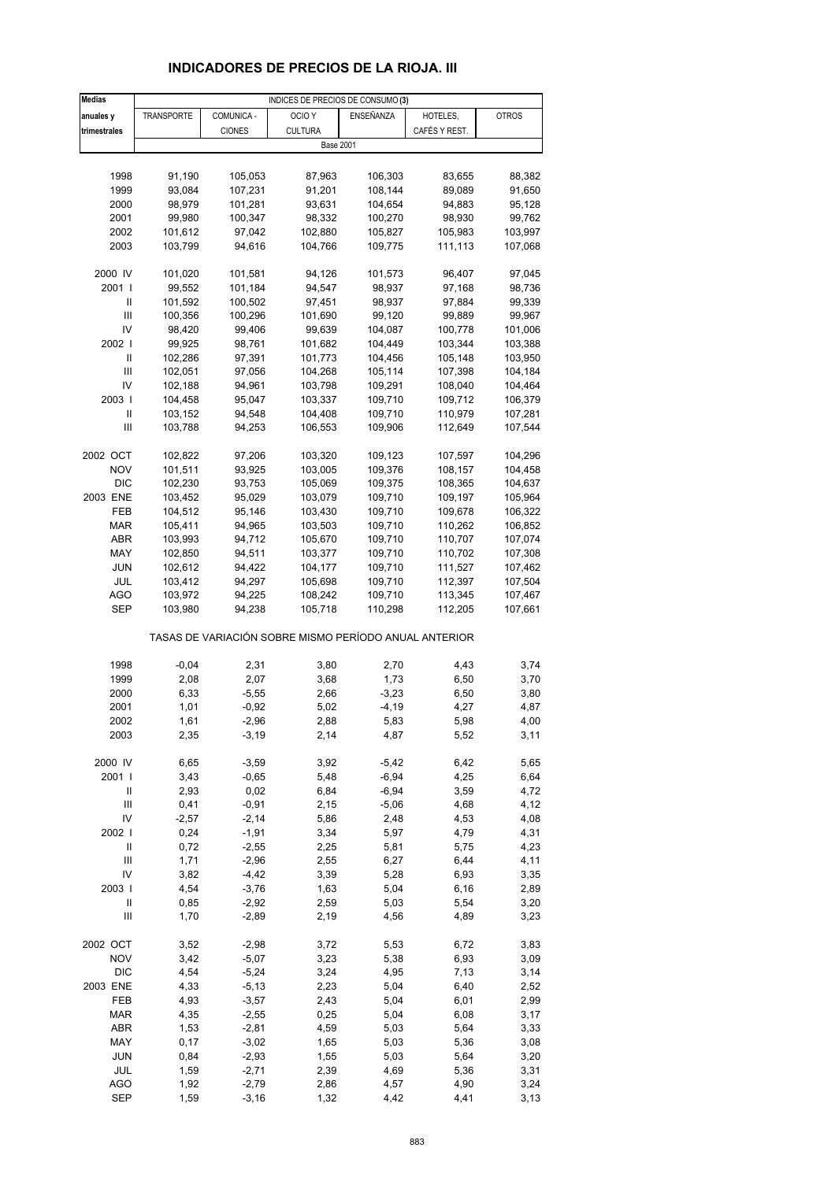# **INDICADORES DE PRECIOS DE LA RIOJA. III**

| <b>Medias</b>                        | INDICES DE PRECIOS DE CONSUMO (3) |                    |                                                       |                  |                  |                   |  |  |
|--------------------------------------|-----------------------------------|--------------------|-------------------------------------------------------|------------------|------------------|-------------------|--|--|
| anuales y                            | TRANSPORTE                        | COMUNICA -         | OCIO <sub>Y</sub>                                     | ENSEÑANZA        | HOTELES,         | <b>OTROS</b>      |  |  |
| trimestrales                         |                                   | <b>CIONES</b>      | <b>CULTURA</b>                                        |                  | CAFÉS Y REST.    |                   |  |  |
|                                      |                                   |                    | <b>Base 2001</b>                                      |                  |                  |                   |  |  |
|                                      |                                   |                    |                                                       |                  |                  |                   |  |  |
| 1998                                 | 91,190                            | 105,053            | 87,963                                                | 106,303          | 83,655           | 88,382            |  |  |
| 1999                                 | 93,084                            | 107,231            | 91,201                                                | 108,144          | 89,089           | 91,650            |  |  |
| 2000                                 | 98,979                            | 101,281            | 93,631                                                | 104,654          | 94,883           | 95,128            |  |  |
| 2001                                 | 99,980                            | 100,347            | 98,332                                                | 100,270          | 98,930           | 99,762            |  |  |
| 2002                                 | 101,612                           | 97,042             | 102,880                                               | 105,827          | 105,983          | 103,997           |  |  |
| 2003                                 | 103,799                           | 94,616             | 104,766                                               | 109,775          | 111,113          | 107,068           |  |  |
|                                      |                                   |                    |                                                       |                  |                  |                   |  |  |
| 2000 IV                              | 101,020                           | 101,581            | 94,126                                                | 101,573          | 96,407           | 97,045            |  |  |
| 2001 l                               | 99,552                            | 101,184            | 94,547                                                | 98,937           | 97,168           | 98,736            |  |  |
| Ш<br>Ш                               | 101,592<br>100,356                | 100,502<br>100,296 | 97,451<br>101,690                                     | 98,937<br>99,120 | 97,884<br>99,889 | 99,339            |  |  |
| IV                                   | 98,420                            | 99,406             | 99,639                                                | 104,087          | 100,778          | 99,967<br>101,006 |  |  |
| 2002                                 | 99,925                            | 98,761             | 101,682                                               | 104,449          | 103,344          | 103,388           |  |  |
| Ш                                    | 102,286                           | 97,391             | 101,773                                               | 104,456          | 105,148          | 103,950           |  |  |
| Ш                                    | 102,051                           | 97,056             | 104,268                                               | 105,114          | 107,398          | 104,184           |  |  |
| IV                                   | 102,188                           | 94,961             | 103,798                                               | 109,291          | 108,040          | 104,464           |  |  |
| 2003                                 | 104,458                           | 95,047             | 103,337                                               | 109,710          | 109,712          | 106,379           |  |  |
| Ш                                    | 103,152                           | 94,548             | 104,408                                               | 109,710          | 110,979          | 107,281           |  |  |
| Ш                                    | 103,788                           | 94,253             | 106,553                                               | 109,906          | 112,649          | 107,544           |  |  |
|                                      |                                   |                    |                                                       |                  |                  |                   |  |  |
| 2002 OCT                             | 102,822                           | 97,206             | 103,320                                               | 109,123          | 107,597          | 104,296           |  |  |
| <b>NOV</b>                           | 101,511                           | 93,925             | 103,005                                               | 109,376          | 108,157          | 104,458           |  |  |
| <b>DIC</b>                           | 102,230                           | 93,753             | 105,069                                               | 109,375          | 108,365          | 104,637           |  |  |
| 2003 ENE                             | 103,452                           | 95,029             | 103,079                                               | 109,710          | 109,197          | 105,964           |  |  |
| FEB                                  | 104,512                           | 95,146             | 103,430                                               | 109,710          | 109,678          | 106,322           |  |  |
| <b>MAR</b>                           | 105,411                           | 94,965             | 103,503                                               | 109,710          | 110,262          | 106,852           |  |  |
| ABR                                  | 103,993                           | 94,712             | 105,670                                               | 109,710          | 110,707          | 107,074           |  |  |
| MAY                                  | 102,850                           | 94,511             | 103,377                                               | 109,710          | 110,702          | 107,308           |  |  |
| JUN                                  | 102,612                           | 94,422             | 104,177                                               | 109,710          | 111,527          | 107,462           |  |  |
| JUL                                  | 103,412                           | 94,297             | 105,698                                               | 109,710          | 112,397          | 107,504           |  |  |
| AGO                                  | 103,972                           | 94,225             | 108,242                                               | 109,710          | 113,345          | 107,467           |  |  |
| SEP                                  | 103,980                           | 94,238             | 105,718                                               | 110,298          | 112,205          | 107,661           |  |  |
|                                      |                                   |                    | TASAS DE VARIACIÓN SOBRE MISMO PERÍODO ANUAL ANTERIOR |                  |                  |                   |  |  |
| 1998                                 | $-0,04$                           | 2,31               | 3,80                                                  | 2,70             | 4,43             | 3,74              |  |  |
| 1999                                 | 2,08                              | 2,07               | 3,68                                                  | 1,73             | 6,50             | 3,70              |  |  |
| 2000                                 | 6,33                              | $-5,55$            | 2,66                                                  | $-3,23$          | 6,50             | 3,80              |  |  |
| 2001                                 | 1,01                              | $-0,92$            | 5,02                                                  | $-4,19$          | 4,27             | 4,87              |  |  |
| 2002                                 | 1,61                              | -2,96              | 2,88                                                  | 5,83             | 5,98             | 4,00              |  |  |
| 2003                                 | 2,35                              | $-3,19$            | 2,14                                                  | 4,87             | 5,52             | 3,11              |  |  |
|                                      |                                   |                    |                                                       |                  |                  |                   |  |  |
| 2000 IV                              | 6,65                              | $-3,59$            | 3,92                                                  | $-5,42$          | 6,42             | 5,65              |  |  |
| 2001 l                               | 3,43                              | $-0,65$            | 5,48                                                  | $-6,94$          | 4,25             | 6,64              |  |  |
| Ш                                    | 2,93                              | 0,02               | 6,84                                                  | $-6,94$          | 3,59             | 4,72              |  |  |
| $\mathsf{III}$<br>IV                 | 0,41                              | $-0,91$            | 2,15                                                  | $-5,06$          | 4,68             | 4,12              |  |  |
|                                      | $-2,57$                           | $-2,14$            | 5,86                                                  | 2,48             | 4,53             | 4,08              |  |  |
| 2002 l<br>$\ensuremath{\mathsf{II}}$ | 0,24<br>0,72                      | $-1,91$<br>$-2,55$ | 3,34<br>2,25                                          | 5,97<br>5,81     | 4,79<br>5,75     | 4,31<br>4,23      |  |  |
| $\mathsf{III}$                       | 1,71                              | $-2,96$            | 2,55                                                  | 6,27             | 6,44             | 4,11              |  |  |
| IV                                   | 3,82                              | $-4,42$            | 3,39                                                  | 5,28             | 6,93             | 3,35              |  |  |
| 2003                                 | 4,54                              | $-3,76$            | 1,63                                                  | 5,04             | 6,16             | 2,89              |  |  |
| $\ensuremath{\mathsf{II}}$           | 0,85                              | $-2,92$            | 2,59                                                  | 5,03             | 5,54             | 3,20              |  |  |
| Ш                                    | 1,70                              | $-2,89$            | 2,19                                                  | 4,56             | 4,89             | 3,23              |  |  |
|                                      |                                   |                    |                                                       |                  |                  |                   |  |  |
| 2002 OCT                             | 3,52                              | $-2,98$            | 3,72                                                  | 5,53             | 6,72             | 3,83              |  |  |
| <b>NOV</b>                           | 3,42                              | $-5,07$            | 3,23                                                  | 5,38             | 6,93             | 3,09              |  |  |
| <b>DIC</b>                           | 4,54                              | $-5,24$            | 3,24                                                  | 4,95             | 7,13             | 3,14              |  |  |
| 2003 ENE                             | 4,33                              | $-5,13$            | 2,23                                                  | 5,04             | 6,40             | 2,52              |  |  |
| FEB                                  | 4,93                              | $-3,57$            | 2,43                                                  | 5,04             | 6,01             | 2,99              |  |  |
| <b>MAR</b>                           | 4,35                              | $-2,55$            | 0,25                                                  | 5,04             | 6,08             | 3,17              |  |  |
| ABR                                  | 1,53                              | $-2,81$            | 4,59                                                  | 5,03             | 5,64             | 3,33              |  |  |
| MAY                                  | 0,17                              | $-3,02$            | 1,65                                                  | 5,03             | 5,36             | 3,08              |  |  |
| JUN                                  | 0,84                              | $-2,93$            | 1,55                                                  | 5,03             | 5,64             | 3,20              |  |  |
| JUL                                  | 1,59                              | $-2,71$            | 2,39                                                  | 4,69             | 5,36             | 3,31              |  |  |
| <b>AGO</b>                           | 1,92                              | $-2,79$            | 2,86                                                  | 4,57             | 4,90             | 3,24              |  |  |
| <b>SEP</b>                           | 1,59                              | $-3,16$            | 1,32                                                  | 4,42             | 4,41             | 3,13              |  |  |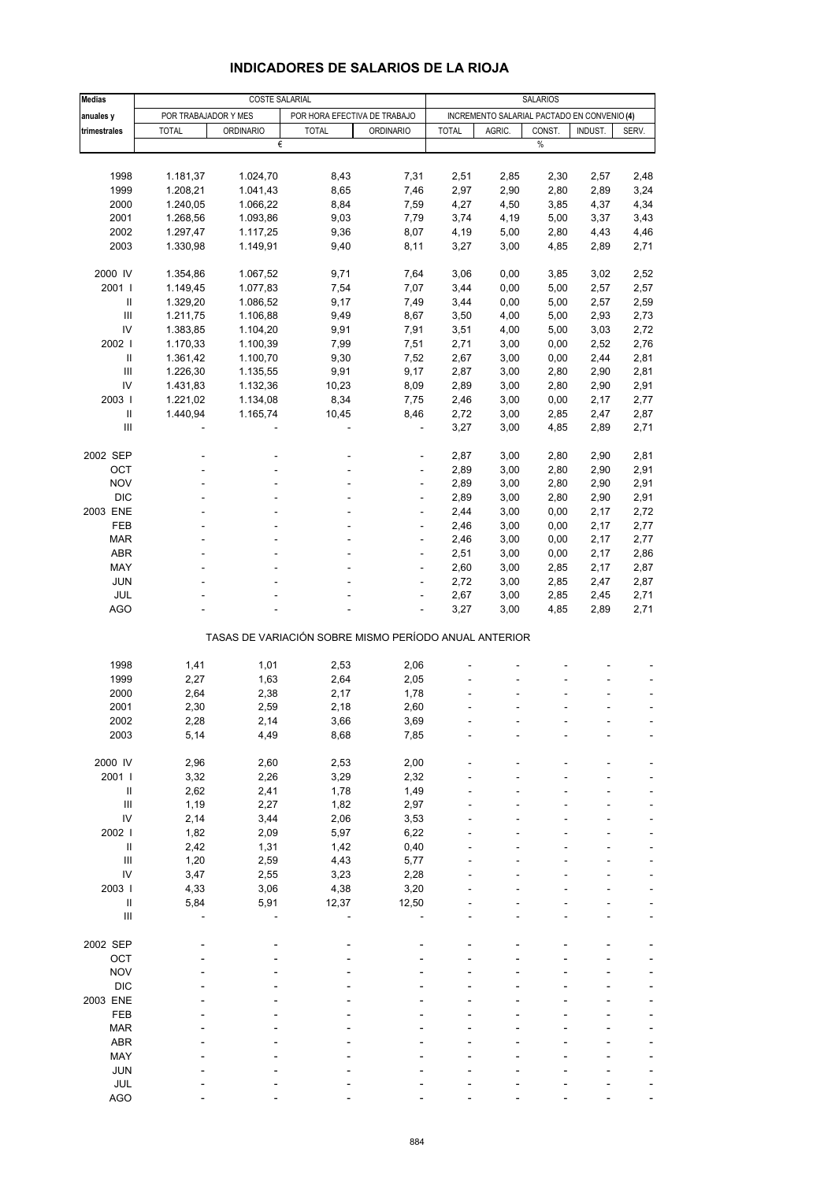| <b>Medias</b>                      |                      | <b>COSTE SALARIAL</b> |                                                       |                  |              | <b>SALARIOS</b>                             |        |         |       |  |
|------------------------------------|----------------------|-----------------------|-------------------------------------------------------|------------------|--------------|---------------------------------------------|--------|---------|-------|--|
|                                    | POR TRABAJADOR Y MES |                       |                                                       |                  |              | INCREMENTO SALARIAL PACTADO EN CONVENIO (4) |        |         |       |  |
| anuales y<br>trimestrales          | <b>TOTAL</b>         | <b>ORDINARIO</b>      | POR HORA EFECTIVA DE TRABAJO<br><b>TOTAL</b>          | <b>ORDINARIO</b> | <b>TOTAL</b> | AGRIC.                                      | CONST. | INDUST. | SERV. |  |
|                                    |                      | €                     |                                                       |                  |              |                                             | $\%$   |         |       |  |
|                                    |                      |                       |                                                       |                  |              |                                             |        |         |       |  |
| 1998                               | 1.181,37             | 1.024,70              | 8,43                                                  | 7,31             | 2,51         | 2,85                                        | 2,30   | 2,57    | 2,48  |  |
| 1999                               | 1.208,21             | 1.041,43              | 8,65                                                  | 7,46             | 2,97         | 2,90                                        | 2,80   | 2,89    | 3,24  |  |
| 2000                               | 1.240,05             | 1.066,22              | 8,84                                                  | 7,59             | 4,27         | 4,50                                        | 3,85   | 4,37    | 4,34  |  |
| 2001                               | 1.268,56             | 1.093,86              | 9,03                                                  | 7,79             | 3,74         | 4,19                                        | 5,00   | 3,37    | 3,43  |  |
| 2002                               | 1.297,47             | 1.117,25              | 9,36                                                  | 8,07             | 4,19         | 5,00                                        | 2,80   | 4,43    | 4,46  |  |
| 2003                               | 1.330,98             | 1.149,91              | 9,40                                                  | 8,11             | 3,27         | 3,00                                        | 4,85   | 2,89    | 2,71  |  |
| 2000 IV                            | 1.354,86             | 1.067,52              | 9,71                                                  | 7,64             | 3,06         | 0,00                                        | 3,85   | 3,02    | 2,52  |  |
| 2001 l                             | 1.149,45             | 1.077,83              | 7,54                                                  | 7,07             | 3,44         | 0,00                                        | 5,00   | 2,57    | 2,57  |  |
| Ш                                  | 1.329,20             | 1.086,52              | 9,17                                                  | 7,49             | 3,44         | 0,00                                        | 5,00   | 2,57    | 2,59  |  |
| Ш                                  | 1.211,75             | 1.106,88              | 9,49                                                  | 8,67             | 3,50         | 4,00                                        | 5,00   | 2,93    | 2,73  |  |
| IV                                 | 1.383,85             | 1.104,20              | 9,91                                                  | 7,91             | 3,51         | 4,00                                        | 5,00   | 3,03    | 2,72  |  |
| 2002                               | 1.170,33             | 1.100,39              | 7,99                                                  | 7,51             | 2,71         | 3,00                                        | 0,00   | 2,52    | 2,76  |  |
| Ш                                  | 1.361,42             | 1.100,70              | 9,30                                                  | 7,52             | 2,67         | 3,00                                        | 0,00   | 2,44    | 2,81  |  |
| Ш                                  | 1.226,30             | 1.135,55              | 9,91                                                  | 9,17             | 2,87         | 3,00                                        | 2,80   | 2,90    | 2,81  |  |
| IV                                 | 1.431,83             | 1.132,36              | 10,23                                                 | 8,09             | 2,89         | 3,00                                        | 2,80   | 2,90    | 2,91  |  |
| 2003                               | 1.221,02             | 1.134,08              | 8,34                                                  | 7,75             | 2,46         | 3,00                                        | 0,00   | 2,17    | 2,77  |  |
| $\mathbf{II}$                      | 1.440,94             | 1.165,74              | 10,45                                                 | 8,46             | 2,72         | 3,00                                        | 2,85   | 2,47    | 2,87  |  |
| Ш                                  |                      |                       |                                                       |                  | 3,27         | 3,00                                        | 4,85   | 2,89    | 2,71  |  |
| 2002 SEP                           |                      |                       |                                                       | ÷,               | 2,87         | 3,00                                        | 2,80   | 2,90    | 2,81  |  |
| OCT                                |                      |                       |                                                       |                  | 2,89         | 3,00                                        | 2,80   | 2,90    | 2,91  |  |
| <b>NOV</b>                         |                      |                       | ÷.                                                    | $\overline{a}$   | 2,89         | 3,00                                        | 2,80   | 2,90    | 2,91  |  |
| <b>DIC</b>                         |                      |                       |                                                       | ä,               | 2,89         | 3,00                                        | 2,80   | 2,90    | 2,91  |  |
| 2003 ENE                           |                      |                       |                                                       |                  | 2,44         | 3,00                                        | 0,00   | 2,17    | 2,72  |  |
| FEB                                |                      |                       | ٠                                                     | ÷,               | 2,46         | 3,00                                        | 0,00   | 2,17    | 2,77  |  |
| <b>MAR</b>                         |                      |                       |                                                       | ä,               | 2,46         | 3,00                                        | 0,00   | 2,17    | 2,77  |  |
| ABR                                |                      |                       |                                                       |                  | 2,51         | 3,00                                        | 0,00   | 2,17    | 2,86  |  |
| MAY                                |                      |                       | ä,                                                    | ÷,               | 2,60         | 3,00                                        | 2,85   | 2,17    | 2,87  |  |
| <b>JUN</b>                         |                      |                       |                                                       |                  | 2,72         | 3,00                                        | 2,85   | 2,47    | 2,87  |  |
| JUL                                |                      |                       |                                                       | ٠                | 2,67         | 3,00                                        | 2,85   | 2,45    | 2,71  |  |
| <b>AGO</b>                         |                      |                       |                                                       | ÷,               | 3,27         | 3,00                                        | 4,85   | 2,89    | 2,71  |  |
|                                    |                      |                       | TASAS DE VARIACIÓN SOBRE MISMO PERÍODO ANUAL ANTERIOR |                  |              |                                             |        |         |       |  |
| 1998                               | 1,41                 | 1,01                  | 2,53                                                  | 2,06             |              |                                             |        |         |       |  |
| 1999                               | 2,27                 | 1,63                  | 2,64                                                  | 2,05             |              |                                             |        |         |       |  |
| 2000                               | 2,64                 | 2,38                  | 2,17                                                  | 1,78             |              |                                             |        |         |       |  |
| 2001                               | 2,30                 | 2,59                  | 2,18                                                  | 2,60             |              |                                             |        |         |       |  |
| 2002                               | 2,28                 | 2,14                  | 3,66                                                  | 3,69             |              |                                             |        |         |       |  |
| 2003                               | 5,14                 | 4,49                  | 8,68                                                  | 7,85             |              |                                             |        |         |       |  |
| 2000 IV                            | 2,96                 | 2,60                  | 2,53                                                  | 2,00             |              |                                             |        |         |       |  |
| 2001 l                             | 3,32                 | 2,26                  | 3,29                                                  | 2,32             |              |                                             |        |         |       |  |
| $\ensuremath{\mathsf{II}}$         | 2,62                 | 2,41                  | 1,78                                                  | 1,49             |              |                                             |        |         |       |  |
| $\ensuremath{\mathsf{III}}\xspace$ | 1,19                 | 2,27                  | 1,82                                                  | 2,97             |              |                                             |        |         |       |  |
| IV                                 | 2,14                 | 3,44                  | 2,06                                                  | 3,53             |              |                                             |        |         |       |  |
| 2002                               | 1,82                 | 2,09                  | 5,97                                                  | 6,22             |              |                                             |        |         |       |  |
| Ш                                  | 2,42                 | 1,31                  | 1,42                                                  | 0,40             |              |                                             |        |         |       |  |
| Ш                                  | 1,20                 | 2,59                  | 4,43                                                  | 5,77             |              |                                             |        |         |       |  |
| IV                                 | 3,47                 | 2,55                  | 3,23                                                  | 2,28             |              |                                             |        |         |       |  |
| 2003                               | 4,33                 | 3,06                  | 4,38                                                  | 3,20             |              |                                             |        |         |       |  |
| Ш                                  | 5,84                 | 5,91                  | 12,37                                                 | 12,50            |              |                                             |        |         |       |  |
| $\ensuremath{\mathsf{III}}\xspace$ |                      |                       |                                                       |                  |              |                                             |        |         |       |  |
| 2002 SEP                           |                      |                       |                                                       |                  |              |                                             |        |         |       |  |
| OCT                                |                      |                       |                                                       |                  |              |                                             |        |         |       |  |
| <b>NOV</b>                         |                      |                       |                                                       |                  |              |                                             |        |         |       |  |
| <b>DIC</b>                         |                      |                       |                                                       |                  |              |                                             |        |         |       |  |
| 2003 ENE                           |                      |                       |                                                       |                  |              |                                             |        |         |       |  |
| FEB                                |                      |                       |                                                       |                  |              |                                             |        |         |       |  |
| <b>MAR</b>                         |                      |                       |                                                       |                  |              |                                             |        |         |       |  |
| ABR                                |                      |                       |                                                       |                  |              |                                             |        |         |       |  |
| MAY                                |                      |                       |                                                       |                  |              |                                             |        |         |       |  |
| <b>JUN</b>                         |                      |                       |                                                       |                  |              |                                             |        |         |       |  |
| JUL                                |                      |                       |                                                       |                  |              |                                             |        |         |       |  |

### **INDICADORES DE SALARIOS DE LA RIOJA**

AGO - - - - - - ---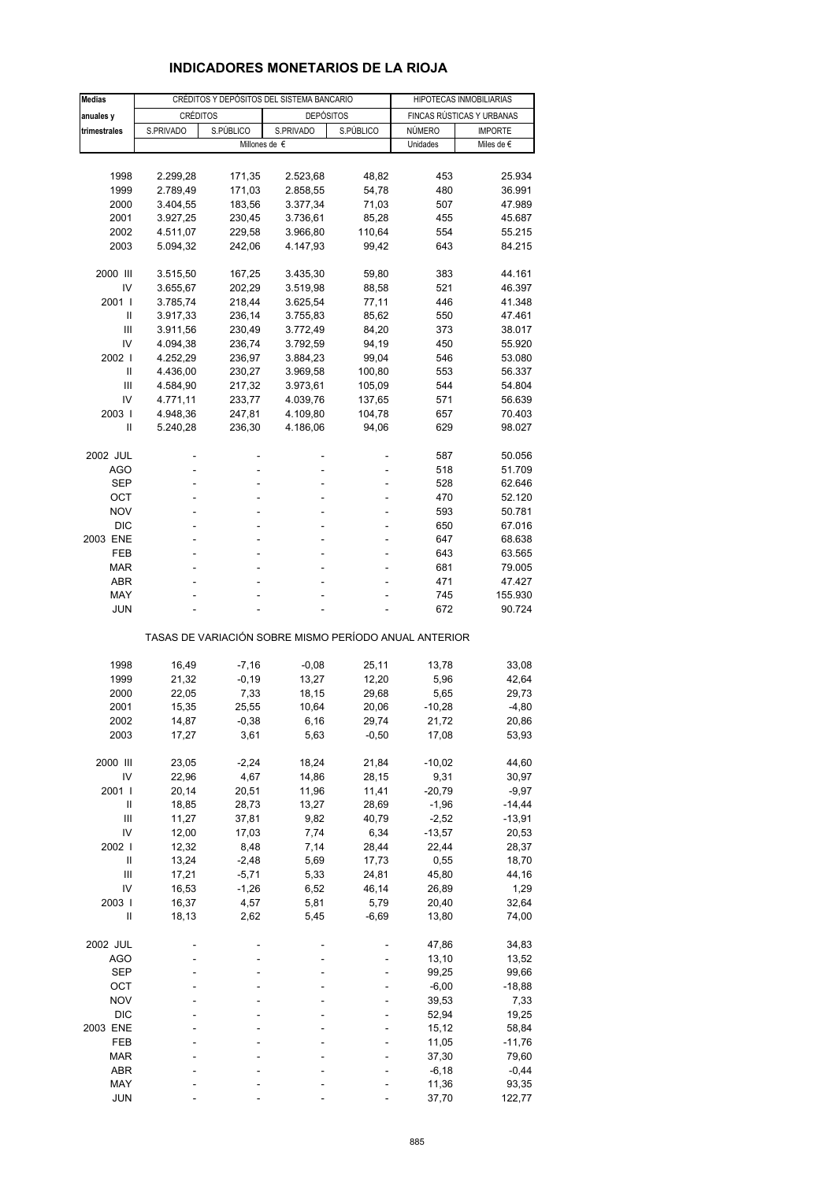| <b>Medias</b>              |                                                       |               | CRÉDITOS Y DEPÓSITOS DEL SISTEMA BANCARIO |           | HIPOTECAS INMOBILIARIAS |                           |  |  |
|----------------------------|-------------------------------------------------------|---------------|-------------------------------------------|-----------|-------------------------|---------------------------|--|--|
| anuales y                  | <b>CRÉDITOS</b>                                       |               | <b>DEPÓSITOS</b>                          |           |                         | FINCAS RÚSTICAS Y URBANAS |  |  |
| trimestrales               | S.PRIVADO                                             | S.PÚBLICO     | S.PRIVADO                                 | S.PÚBLICO | NÚMERO                  | <b>IMPORTE</b>            |  |  |
|                            |                                                       | Millones de € |                                           |           | Unidades                | Miles de €                |  |  |
|                            |                                                       |               |                                           |           |                         |                           |  |  |
| 1998                       | 2.299,28                                              | 171,35        | 2.523,68                                  | 48,82     | 453                     | 25.934                    |  |  |
| 1999                       | 2.789,49                                              | 171,03        | 2.858,55                                  | 54,78     | 480                     | 36.991                    |  |  |
| 2000                       | 3.404,55                                              | 183,56        | 3.377,34                                  | 71,03     | 507                     | 47.989                    |  |  |
| 2001                       | 3.927,25                                              | 230,45        | 3.736,61                                  | 85,28     | 455                     | 45.687                    |  |  |
| 2002                       | 4.511,07                                              | 229,58        | 3.966,80                                  | 110,64    | 554                     | 55.215                    |  |  |
| 2003                       |                                                       |               | 4.147,93                                  |           | 643                     | 84.215                    |  |  |
|                            | 5.094,32                                              | 242,06        |                                           | 99,42     |                         |                           |  |  |
| 2000 III                   | 3.515,50                                              | 167,25        | 3.435,30                                  | 59,80     | 383                     | 44.161                    |  |  |
| IV                         | 3.655,67                                              | 202,29        | 3.519,98                                  | 88,58     | 521                     | 46.397                    |  |  |
| 2001 l                     | 3.785,74                                              | 218,44        | 3.625,54                                  | 77,11     | 446                     | 41.348                    |  |  |
| Ш                          | 3.917,33                                              | 236,14        | 3.755,83                                  | 85,62     | 550                     | 47.461                    |  |  |
| Ш                          | 3.911,56                                              | 230,49        | 3.772,49                                  | 84,20     | 373                     | 38.017                    |  |  |
| IV                         | 4.094,38                                              | 236,74        | 3.792,59                                  | 94,19     | 450                     | 55.920                    |  |  |
| 2002                       | 4.252,29                                              | 236,97        | 3.884,23                                  | 99,04     | 546                     | 53.080                    |  |  |
| Ш                          | 4.436,00                                              | 230,27        | 3.969,58                                  | 100,80    | 553                     | 56.337                    |  |  |
|                            |                                                       |               |                                           |           |                         |                           |  |  |
| Ш                          | 4.584,90                                              | 217,32        | 3.973,61                                  | 105,09    | 544                     | 54.804                    |  |  |
| IV                         | 4.771,11                                              | 233,77        | 4.039,76                                  | 137,65    | 571                     | 56.639                    |  |  |
| 2003                       | 4.948,36                                              | 247,81        | 4.109,80                                  | 104,78    | 657                     | 70.403                    |  |  |
| Ш                          | 5.240,28                                              | 236,30        | 4.186,06                                  | 94,06     | 629                     | 98.027                    |  |  |
| 2002 JUL                   |                                                       |               |                                           | ÷,        | 587                     | 50.056                    |  |  |
| AGO                        |                                                       |               |                                           |           | 518                     | 51.709                    |  |  |
| <b>SEP</b>                 |                                                       |               |                                           |           | 528                     | 62.646                    |  |  |
| OCT                        | ä,                                                    | ä,            | ä,                                        | ٠         | 470                     | 52.120                    |  |  |
| <b>NOV</b>                 |                                                       |               |                                           |           | 593                     | 50.781                    |  |  |
| <b>DIC</b>                 | ä,                                                    |               |                                           | L,        | 650                     | 67.016                    |  |  |
|                            |                                                       |               |                                           |           |                         |                           |  |  |
| 2003 ENE                   | ٠                                                     | ä,            | ä,                                        | ä,        | 647                     | 68.638                    |  |  |
| FEB                        |                                                       |               |                                           | L,        | 643                     | 63.565                    |  |  |
| <b>MAR</b>                 | ä,                                                    |               | ä,                                        |           | 681                     | 79.005                    |  |  |
| ABR                        | ä,                                                    | ä,            | L,                                        |           | 471                     | 47.427                    |  |  |
| MAY                        |                                                       |               |                                           |           | 745                     | 155.930                   |  |  |
| <b>JUN</b>                 |                                                       |               |                                           |           | 672                     | 90.724                    |  |  |
|                            | TASAS DE VARIACIÓN SOBRE MISMO PERÍODO ANUAL ANTERIOR |               |                                           |           |                         |                           |  |  |
| 1998                       | 16,49                                                 | $-7,16$       | $-0,08$                                   | 25,11     | 13,78                   | 33,08                     |  |  |
| 1999                       | 21,32                                                 | $-0,19$       | 13,27                                     | 12,20     | 5,96                    | 42,64                     |  |  |
| 2000                       | 22,05                                                 | 7,33          | 18,15                                     | 29,68     | 5,65                    | 29,73                     |  |  |
|                            |                                                       |               |                                           |           |                         |                           |  |  |
| 2001                       | 15,35                                                 | 25,55         | 10,64                                     | 20,06     | $-10,28$                | $-4,80$                   |  |  |
| 2002                       | 14,87                                                 | $-0,38$       | 6,16                                      | 29,74     | 21,72                   | 20,86                     |  |  |
| 2003                       | 17,27                                                 | 3,61          | 5,63                                      | $-0,50$   | 17,08                   | 53,93                     |  |  |
| 2000 III                   | 23,05                                                 | $-2,24$       | 18,24                                     | 21,84     | $-10,02$                | 44,60                     |  |  |
| IV                         | 22,96                                                 | 4,67          | 14,86                                     | 28,15     | 9,31                    | 30,97                     |  |  |
| 2001 l                     | 20,14                                                 | 20,51         | 11,96                                     | 11,41     | $-20,79$                | $-9,97$                   |  |  |
| Ш                          | 18,85                                                 | 28,73         | 13,27                                     | 28,69     | $-1,96$                 | $-14,44$                  |  |  |
| Ш                          | 11,27                                                 | 37,81         | 9,82                                      | 40,79     | $-2,52$                 | $-13,91$                  |  |  |
| IV                         | 12,00                                                 | 17,03         | 7,74                                      | 6,34      | $-13,57$                | 20,53                     |  |  |
| 2002                       |                                                       |               |                                           |           | 22,44                   |                           |  |  |
|                            | 12,32                                                 | 8,48          | 7,14                                      | 28,44     |                         | 28,37                     |  |  |
| $\ensuremath{\mathsf{II}}$ | 13,24                                                 | $-2,48$       | 5,69                                      | 17,73     | 0,55                    | 18,70                     |  |  |
| Ш                          | 17,21                                                 | $-5,71$       | 5,33                                      | 24,81     | 45,80                   | 44,16                     |  |  |
| IV                         | 16,53                                                 | $-1,26$       | 6,52                                      | 46,14     | 26,89                   | 1,29                      |  |  |
| 2003                       | 16,37                                                 | 4,57          | 5,81                                      | 5,79      | 20,40                   | 32,64                     |  |  |
| Ш                          | 18,13                                                 | 2,62          | 5,45                                      | $-6,69$   | 13,80                   | 74,00                     |  |  |
| 2002 JUL                   |                                                       |               |                                           |           | 47,86                   | 34,83                     |  |  |
| AGO                        |                                                       |               |                                           |           | 13,10                   | 13,52                     |  |  |
| <b>SEP</b>                 |                                                       |               |                                           |           | 99,25                   | 99,66                     |  |  |
|                            |                                                       |               |                                           |           |                         |                           |  |  |
| OCT                        |                                                       |               |                                           |           | $-6,00$                 | $-18,88$                  |  |  |
| <b>NOV</b>                 |                                                       |               |                                           |           | 39,53                   | 7,33                      |  |  |
| <b>DIC</b>                 |                                                       |               |                                           |           | 52,94                   | 19,25                     |  |  |
| 2003 ENE                   |                                                       |               |                                           |           | 15,12                   | 58,84                     |  |  |
| FEB                        |                                                       |               |                                           |           | 11,05                   | $-11,76$                  |  |  |
| <b>MAR</b>                 |                                                       |               |                                           |           | 37,30                   | 79,60                     |  |  |
| ABR                        |                                                       |               |                                           |           | $-6,18$                 | $-0,44$                   |  |  |
| MAY                        |                                                       |               |                                           |           | 11,36                   | 93,35                     |  |  |
|                            |                                                       |               |                                           |           |                         |                           |  |  |
| <b>JUN</b>                 |                                                       |               |                                           |           | 37,70                   | 122,77                    |  |  |